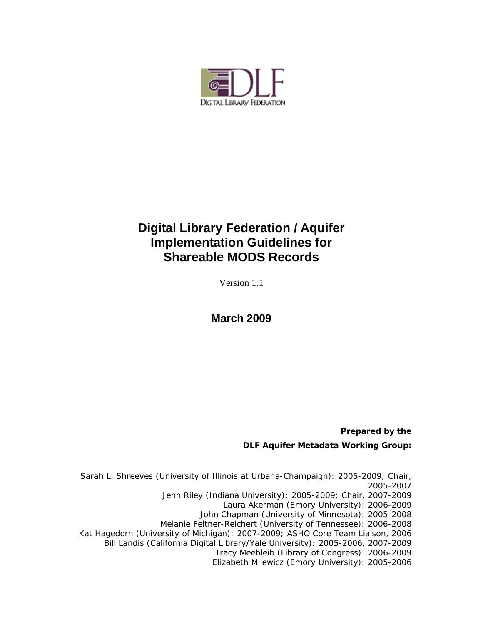

# **Digital Library Federation / Aquifer Implementation Guidelines for Shareable MODS Records**

Version 1.1

# **March 2009**

**Prepared by the** 

### **DLF Aquifer Metadata Working Group:**

Sarah L. Shreeves (University of Illinois at Urbana-Champaign): 2005-2009; Chair, 2005-2007 Jenn Riley (Indiana University): 2005-2009; Chair, 2007-2009 Laura Akerman (Emory University): 2006-2009 John Chapman (University of Minnesota): 2005-2008 Melanie Feltner-Reichert (University of Tennessee): 2006-2008 Kat Hagedorn (University of Michigan): 2007-2009; ASHO Core Team Liaison, 2006 Bill Landis (California Digital Library/Yale University): 2005-2006, 2007-2009 Tracy Meehleib (Library of Congress): 2006-2009 Elizabeth Milewicz (Emory University): 2005-2006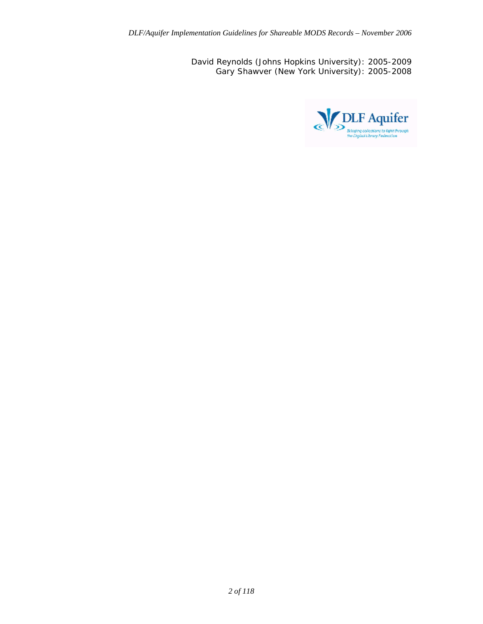David Reynolds (Johns Hopkins University): 2005-2009 Gary Shawver (New York University): 2005-2008

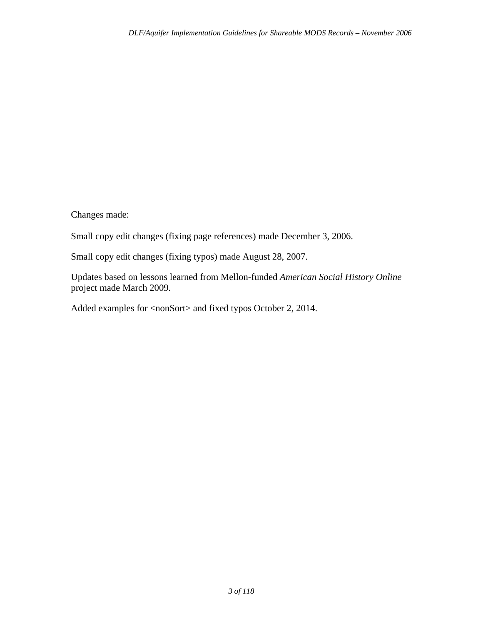## Changes made:

Small copy edit changes (fixing page references) made December 3, 2006.

Small copy edit changes (fixing typos) made August 28, 2007.

Updates based on lessons learned from Mellon-funded *American Social History Online* project made March 2009.

Added examples for <nonSort> and fixed typos October 2, 2014.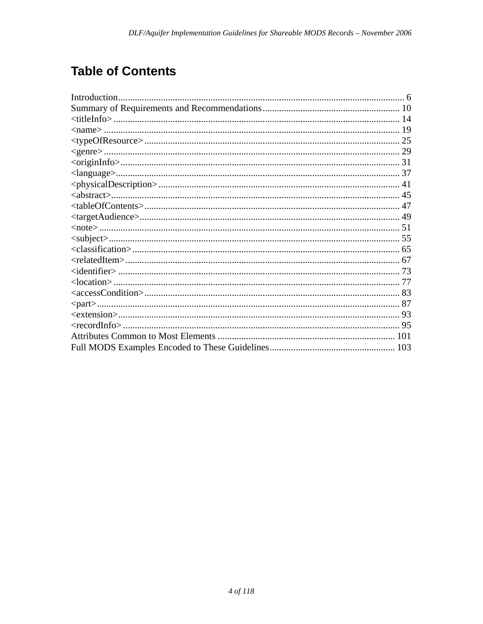# **Table of Contents**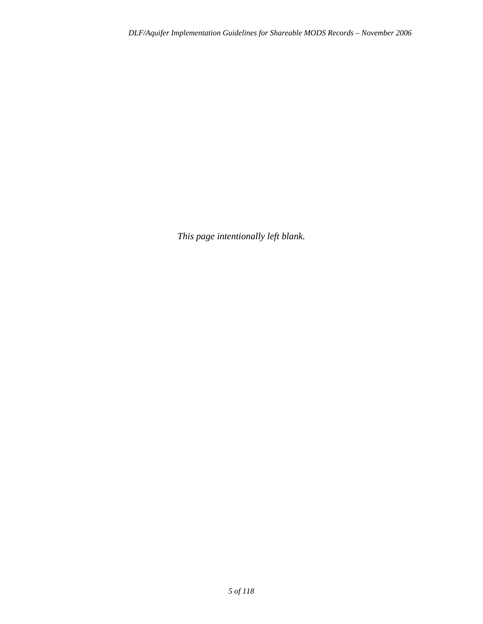*This page intentionally left blank.*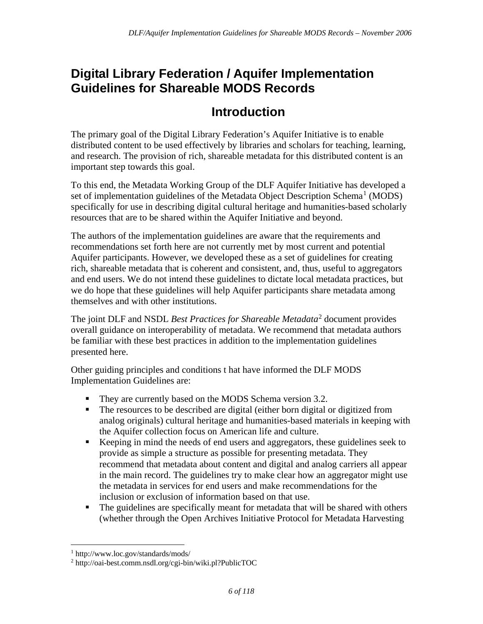# <span id="page-5-0"></span>**Digital Library Federation / Aquifer Implementation Guidelines for Shareable MODS Records**

# **Introduction**

The primary goal of the Digital Library Federation's Aquifer Initiative is to enable distributed content to be used effectively by libraries and scholars for teaching, learning, and research. The provision of rich, shareable metadata for this distributed content is an important step towards this goal.

To this end, the Metadata Working Group of the DLF Aquifer Initiative has developed a set of implementation guidelines of the Metadata Object Description Schema<sup>[1](#page-5-1)</sup> (MODS) specifically for use in describing digital cultural heritage and humanities-based scholarly resources that are to be shared within the Aquifer Initiative and beyond.

The authors of the implementation guidelines are aware that the requirements and recommendations set forth here are not currently met by most current and potential Aquifer participants. However, we developed these as a set of guidelines for creating rich, shareable metadata that is coherent and consistent, and, thus, useful to aggregators and end users. We do not intend these guidelines to dictate local metadata practices, but we do hope that these guidelines will help Aquifer participants share metadata among themselves and with other institutions.

The joint DLF and NSDL *Best Practices for Shareable Metadata*[2](#page-5-2) document provides overall guidance on interoperability of metadata. We recommend that metadata authors be familiar with these best practices in addition to the implementation guidelines presented here.

Other guiding principles and conditions t hat have informed the DLF MODS Implementation Guidelines are:

- They are currently based on the MODS Schema version 3.2.
- The resources to be described are digital (either born digital or digitized from analog originals) cultural heritage and humanities-based materials in keeping with the Aquifer collection focus on American life and culture.
- Keeping in mind the needs of end users and aggregators, these guidelines seek to provide as simple a structure as possible for presenting metadata. They recommend that metadata about content and digital and analog carriers all appear in the main record. The guidelines try to make clear how an aggregator might use the metadata in services for end users and make recommendations for the inclusion or exclusion of information based on that use.
- The guidelines are specifically meant for metadata that will be shared with others (whether through the Open Archives Initiative Protocol for Metadata Harvesting

<span id="page-5-1"></span><sup>1</sup> http://www.loc.gov/standards/mods/

<span id="page-5-2"></span><sup>2</sup> http://oai-best.comm.nsdl.org/cgi-bin/wiki.pl?PublicTOC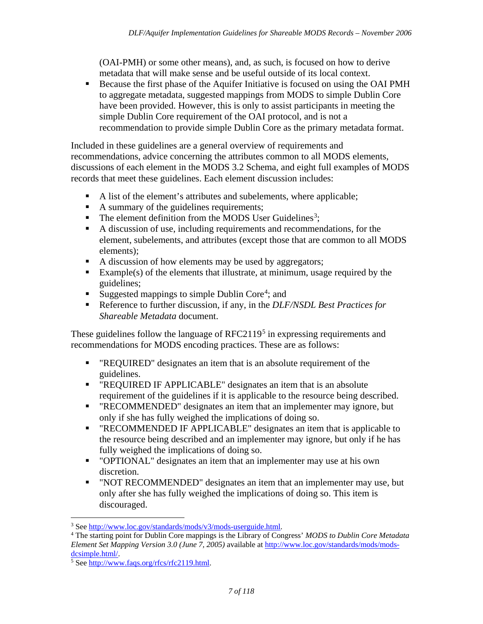(OAI-PMH) or some other means), and, as such, is focused on how to derive metadata that will make sense and be useful outside of its local context.

Because the first phase of the Aquifer Initiative is focused on using the OAI PMH to aggregate metadata, suggested mappings from MODS to simple Dublin Core have been provided. However, this is only to assist participants in meeting the simple Dublin Core requirement of the OAI protocol, and is not a recommendation to provide simple Dublin Core as the primary metadata format.

Included in these guidelines are a general overview of requirements and recommendations, advice concerning the attributes common to all MODS elements, discussions of each element in the MODS 3.2 Schema, and eight full examples of MODS records that meet these guidelines. Each element discussion includes:

- A list of the element's attributes and subelements, where applicable;
- A summary of the guidelines requirements;
- $\blacksquare$  The element definition from the MODS User Guidelines<sup>[3](#page-6-0)</sup>;
- A discussion of use, including requirements and recommendations, for the element, subelements, and attributes (except those that are common to all MODS elements);
- A discussion of how elements may be used by aggregators;
- Example(s) of the elements that illustrate, at minimum, usage required by the guidelines;
- Suggested mappings to simple Dublin Core<sup>[4](#page-6-1)</sup>; and
- Reference to further discussion, if any, in the *DLF/NSDL Best Practices for Shareable Metadata* document.

These guidelines follow the language of  $RFC2119<sup>5</sup>$  $RFC2119<sup>5</sup>$  $RFC2119<sup>5</sup>$  in expressing requirements and recommendations for MODS encoding practices. These are as follows:

- " "REQUIRED" designates an item that is an absolute requirement of the guidelines.
- **•** "REQUIRED IF APPLICABLE" designates an item that is an absolute requirement of the guidelines if it is applicable to the resource being described.
- **•** "RECOMMENDED" designates an item that an implementer may ignore, but only if she has fully weighed the implications of doing so.
- "RECOMMENDED IF APPLICABLE" designates an item that is applicable to the resource being described and an implementer may ignore, but only if he has fully weighed the implications of doing so.
- "OPTIONAL" designates an item that an implementer may use at his own discretion.
- "NOT RECOMMENDED" designates an item that an implementer may use, but only after she has fully weighed the implications of doing so. This item is discouraged.

<span id="page-6-0"></span><sup>3</sup> Se[e http://www.loc.gov/standards/mods/v3/mods-userguide.html.](http://www.loc.gov/standards/mods/v3/mods-userguide.html)

<span id="page-6-1"></span><sup>4</sup> The starting point for Dublin Core mappings is the Library of Congress' *MODS to Dublin Core Metadata Element Set Mapping Version 3.0 (June 7, 2005)* available at [http://www.loc.gov/standards/mods/mods](http://www.loc.gov/standards/mods/mods-dcsimple.html/)[dcsimple.html/.](http://www.loc.gov/standards/mods/mods-dcsimple.html/)

<span id="page-6-2"></span><sup>5</sup> Se[e http://www.faqs.org/rfcs/rfc2119.html.](http://www.faqs.org/rfcs/rfc2119.html)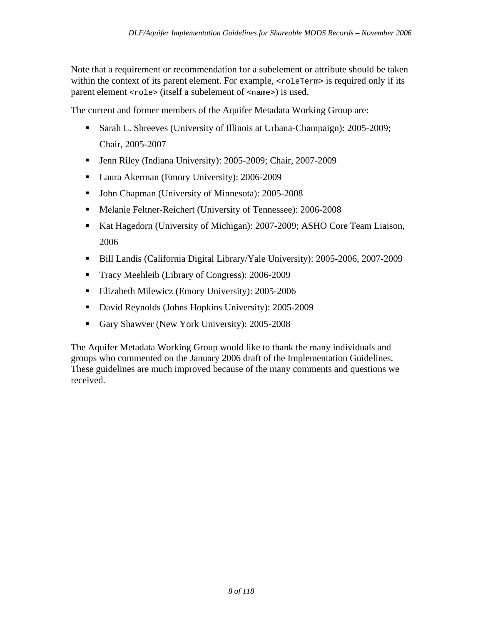Note that a requirement or recommendation for a subelement or attribute should be taken within the context of its parent element. For example, <roleTerm> is required only if its parent element <role> (itself a subelement of <name>) is used.

The current and former members of the Aquifer Metadata Working Group are:

- Sarah L. Shreeves (University of Illinois at Urbana-Champaign): 2005-2009; Chair, 2005-2007
- Jenn Riley (Indiana University): 2005-2009; Chair, 2007-2009
- **Laura Akerman (Emory University): 2006-2009**
- John Chapman (University of Minnesota): 2005-2008
- Melanie Feltner-Reichert (University of Tennessee): 2006-2008
- Kat Hagedorn (University of Michigan): 2007-2009; ASHO Core Team Liaison, 2006
- Bill Landis (California Digital Library/Yale University): 2005-2006, 2007-2009
- Tracy Meehleib (Library of Congress): 2006-2009
- **Elizabeth Milewicz (Emory University): 2005-2006**
- David Reynolds (Johns Hopkins University): 2005-2009
- Gary Shawver (New York University): 2005-2008

The Aquifer Metadata Working Group would like to thank the many individuals and groups who commented on the January 2006 draft of the Implementation Guidelines. These guidelines are much improved because of the many comments and questions we received.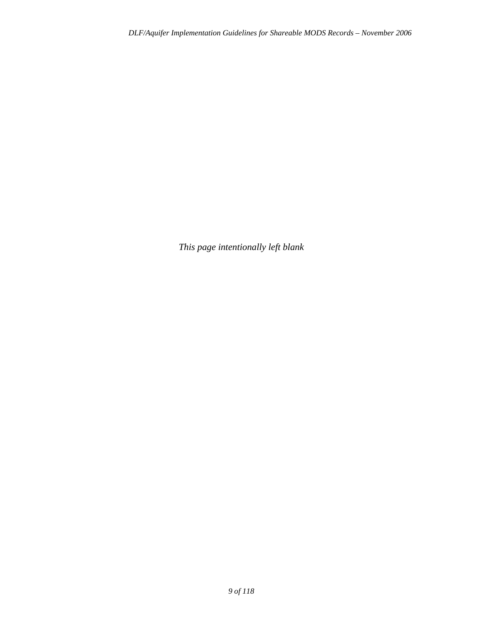*This page intentionally left blank*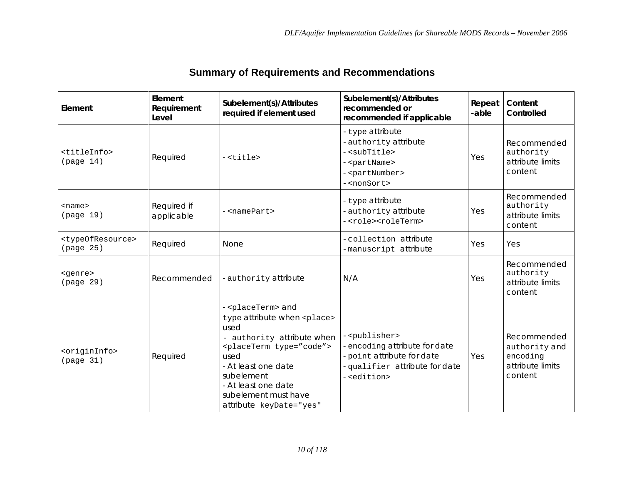# **Summary of Requirements and Recommendations**

<span id="page-9-0"></span>

| Element                                         | Element<br>Requirement<br>Level | Subelement(s)/Attributes<br>required if element used                                                                                                                                                                                                                               | Subelement(s)/Attributes<br>recommended or<br>recommended if applicable                                                                                    | Repeat<br>-able | Content<br>Controlled                                                   |
|-------------------------------------------------|---------------------------------|------------------------------------------------------------------------------------------------------------------------------------------------------------------------------------------------------------------------------------------------------------------------------------|------------------------------------------------------------------------------------------------------------------------------------------------------------|-----------------|-------------------------------------------------------------------------|
| <titleinfo><br/>(page 14)</titleinfo>           | Required                        | - <title></title>                                                                                                                                                                                                                                                                  | - type attribute<br>- authority attribute<br>- <subtitle><br/>- <partname><br/>- <partnumber><br/>- <nonsort></nonsort></partnumber></partname></subtitle> | Yes             | Recommended<br>authority<br>attribute limits<br>content                 |
| $<$ name $>$<br>(page 19)                       | Required if<br>applicable       | - <namepart></namepart>                                                                                                                                                                                                                                                            | - type attribute<br>- authority attribute<br>- <role><roleterm></roleterm></role>                                                                          | Yes             | Recommended<br>authority<br>attribute limits<br>content                 |
| <type0fresource><br/>(page 25)</type0fresource> | Required                        | None                                                                                                                                                                                                                                                                               | - Collection attribute<br>- manuscript attribute                                                                                                           | Yes             | Yes                                                                     |
| <genre><br/>(page 29)</genre>                   | Recommended                     | - authority attribute                                                                                                                                                                                                                                                              | N/A                                                                                                                                                        | Yes             | Recommended<br>authority<br>attribute limits<br>content                 |
| <origininfo><br/>(page 31)</origininfo>         | Required                        | - <placeterm> and<br/>type attribute when <place><br/>used<br/>- authority attribute when<br/><placeterm type="code"><br/>used<br/>- At least one date<br/>subelement<br/>- At least one date<br/>subelement must have<br/>attribute keyDate="yes"</placeterm></place></placeterm> | - <publisher><br/>- encoding attribute for date<br/>- point attribute for date<br/>- qualifier attribute for date<br/>- <edition></edition></publisher>    | Yes             | Recommended<br>authority and<br>encoding<br>attribute limits<br>content |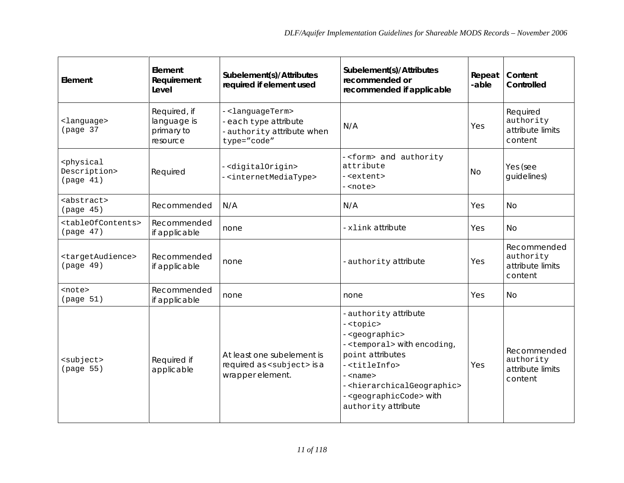| Element                                                  | Element<br>Requirement<br>Level                       | Subelement(s)/Attributes<br>required if element used                                                     | Subelement(s)/Attributes<br>recommended or<br>recommended if applicable                                                                                                                                                                                                                                                                           | Repeat<br>-able | Content<br>Controlled                                   |
|----------------------------------------------------------|-------------------------------------------------------|----------------------------------------------------------------------------------------------------------|---------------------------------------------------------------------------------------------------------------------------------------------------------------------------------------------------------------------------------------------------------------------------------------------------------------------------------------------------|-----------------|---------------------------------------------------------|
| <language><br/>(page 37</language>                       | Required, if<br>language is<br>primary to<br>resource | - <languageterm><br/>- each type attribute<br/>- authority attribute when<br/>type="code"</languageterm> | N/A                                                                                                                                                                                                                                                                                                                                               | Yes             | Required<br>authority<br>attribute limits<br>content    |
| <physical<br>Description&gt;<br/>(page 41)</physical<br> | Required                                              | - <digitalorigin><br/>- <internetmediatype></internetmediatype></digitalorigin>                          | - <form> and authority<br/>attribute<br/>- <extent><br/>- <note></note></extent></form>                                                                                                                                                                                                                                                           | <b>No</b>       | Yes (see<br>guidelines)                                 |
| <abstract><br/>(page 45)</abstract>                      | Recommended                                           | N/A                                                                                                      | N/A                                                                                                                                                                                                                                                                                                                                               | Yes             | <b>No</b>                                               |
| <tableofcontents><br/>(page 47)</tableofcontents>        | Recommended<br>if applicable                          | none                                                                                                     | - xlink attribute                                                                                                                                                                                                                                                                                                                                 | Yes             | <b>No</b>                                               |
| <targetaudience><br/>(page 49)</targetaudience>          | Recommended<br>if applicable                          | none                                                                                                     | - authority attribute                                                                                                                                                                                                                                                                                                                             | Yes             | Recommended<br>authority<br>attribute limits<br>content |
| <note><br/>(page 51)</note>                              | Recommended<br>if applicable                          | none                                                                                                     | none                                                                                                                                                                                                                                                                                                                                              | Yes             | <b>No</b>                                               |
| <subject><br/>(page 55)</subject>                        | Required if<br>applicable                             | At least one subelement is<br>required as <subject> is a<br/>wrapper element.</subject>                  | - authority attribute<br>- <topic><br/>- <geographic><br/>- <temporal> with encoding,<br/>point attributes<br/>- <titleinfo><br/><math> &lt;</math>name<math>&gt;</math><br/>- <hierarchicalgeographic><br/>- <geographiccode> with<br/>authority attribute</geographiccode></hierarchicalgeographic></titleinfo></temporal></geographic></topic> | Yes             | Recommended<br>authority<br>attribute limits<br>content |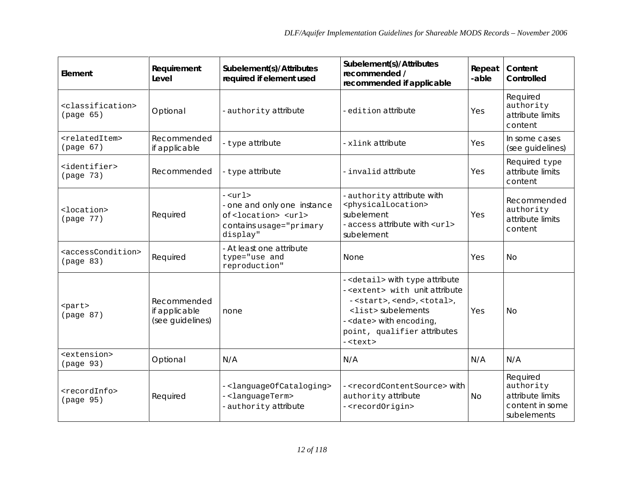| Element                                           | Requirement<br>Level                             | Subelement(s)/Attributes<br>required if element used                                                                      | Subelement(s)/Attributes<br>recommended /<br>recommended if applicable                                                                                                                                                                                        | Repeat<br>-able | Content<br>Controlled                                                       |
|---------------------------------------------------|--------------------------------------------------|---------------------------------------------------------------------------------------------------------------------------|---------------------------------------------------------------------------------------------------------------------------------------------------------------------------------------------------------------------------------------------------------------|-----------------|-----------------------------------------------------------------------------|
| <classification><br/>(page 65)</classification>   | Optional                                         | - authority attribute                                                                                                     | - edition attribute                                                                                                                                                                                                                                           | Yes             | Required<br>authority<br>attribute limits<br>content                        |
| <relateditem><br/>(page 67)</relateditem>         | Recommended<br>if applicable                     | type attribute                                                                                                            | - xlink attribute                                                                                                                                                                                                                                             | Yes             | In some cases<br>(see guidelines)                                           |
| <identifier><br/>(page 73)</identifier>           | Recommended                                      | - type attribute                                                                                                          | - invalid attribute                                                                                                                                                                                                                                           | Yes             | Required type<br>attribute limits<br>content                                |
| <location><br/>(page 77)</location>               | Required                                         | $-<$ url><br>- one and only one instance<br>of <location> <url><br/>contains usage="primary<br/>display"</url></location> | - authority attribute with<br><physicallocation><br/>subelement<br/>- access attribute with <ur1><br/>subelement</ur1></physicallocation>                                                                                                                     | Yes             | Recommended<br>authority<br>attribute limits<br>content                     |
| <accesscondition><br/>(page 83)</accesscondition> | Required                                         | - At least one attribute<br>type="use and<br>reproduction"                                                                | None                                                                                                                                                                                                                                                          | Yes             | No                                                                          |
| <part><br/>(page 87)</part>                       | Recommended<br>if applicable<br>(see guidelines) | none                                                                                                                      | - <detail> with type attribute<br/>- <extent> with unit attribute<br/>- <start>, <end>, <total>,<br/><list> subelements<br/>- <date> with encoding,<br/>point, qualifier attributes<br/>- <text></text></date></list></total></end></start></extent></detail> | Yes             | <b>No</b>                                                                   |
| <extension><br/>(page 93)</extension>             | Optional                                         | N/A                                                                                                                       | N/A                                                                                                                                                                                                                                                           | N/A             | N/A                                                                         |
| <recordinfo><br/>(page 95)</recordinfo>           | Required                                         | - <languageofcataloging><br/><languageterm><br/>authority attribute</languageterm></languageofcataloging>                 | - <recordcontentsource> with<br/>authority attribute<br/>- <recordorigin></recordorigin></recordcontentsource>                                                                                                                                                | No.             | Required<br>authority<br>attribute limits<br>content in some<br>subelements |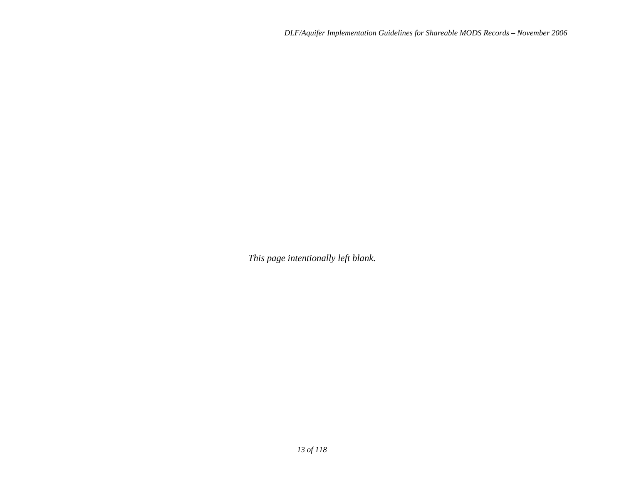*This page intentionally left blank.*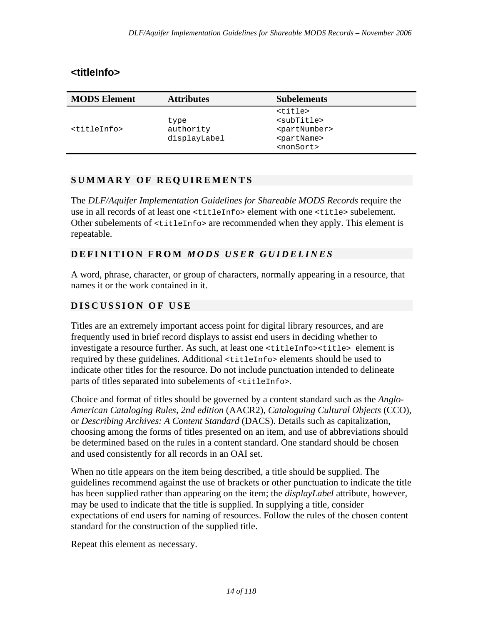# <span id="page-13-1"></span><span id="page-13-0"></span>**<titleInfo>**

| <b>MODS</b> Element     | <b>Attributes</b>                 | <b>Subelements</b>                                                                                                        |
|-------------------------|-----------------------------------|---------------------------------------------------------------------------------------------------------------------------|
| <titleinfo></titleinfo> | type<br>authority<br>displayLabel | <title><br/><subtitle><br/><partnumber><br/><partname><br/><nonsort></nonsort></partname></partnumber></subtitle></title> |

# **SUMMARY OF REQUIREMENTS**

The *DLF/Aquifer Implementation Guidelines for Shareable MODS Records* require the use in all records of at least one <titleInfo> element with one <title> subelement. Other subelements of <titleInfo> are recommended when they apply. This element is repeatable.

# **DEFINITION FROM** *MODS USER GUIDELINES*

A word, phrase, character, or group of characters, normally appearing in a resource, that names it or the work contained in it.

# **DISCUSSION OF USE**

Titles are an extremely important access point for digital library resources, and are frequently used in brief record displays to assist end users in deciding whether to investigate a resource further. As such, at least one <titleInfo><title> element is required by these guidelines. Additional <titleInfo> elements should be used to indicate other titles for the resource. Do not include punctuation intended to delineate parts of titles separated into subelements of <titleInfo>.

Choice and format of titles should be governed by a content standard such as the *Anglo-American Cataloging Rules, 2nd edition* (AACR2), *Cataloguing Cultural Objects* (CCO), or *Describing Archives: A Content Standard* (DACS). Details such as capitalization, choosing among the forms of titles presented on an item, and use of abbreviations should be determined based on the rules in a content standard. One standard should be chosen and used consistently for all records in an OAI set.

When no title appears on the item being described, a title should be supplied. The guidelines recommend against the use of brackets or other punctuation to indicate the title has been supplied rather than appearing on the item; the *displayLabel* attribute, however, may be used to indicate that the title is supplied. In supplying a title, consider expectations of end users for naming of resources. Follow the rules of the chosen content standard for the construction of the supplied title.

Repeat this element as necessary.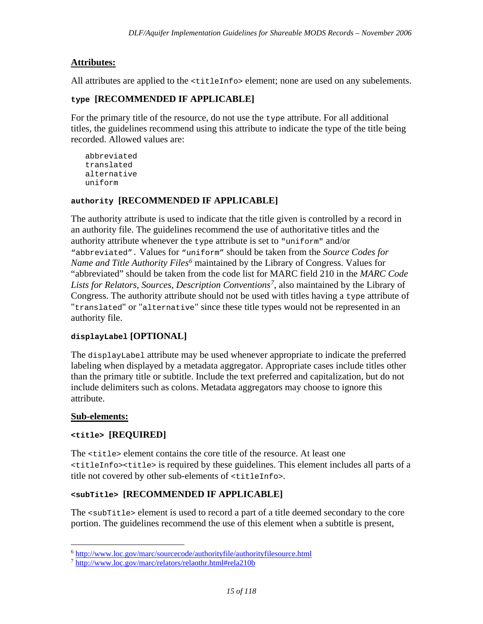# **Attributes:**

All attributes are applied to the  $\leq$ titleInfo $\geq$ element; none are used on any subelements.

# **type [RECOMMENDED IF APPLICABLE]**

For the primary title of the resource, do not use the type attribute. For all additional titles, the guidelines recommend using this attribute to indicate the type of the title being recorded. Allowed values are:

```
abbreviated
translated
alternative
uniform
```
## **authority [RECOMMENDED IF APPLICABLE]**

The authority attribute is used to indicate that the title given is controlled by a record in an authority file. The guidelines recommend the use of authoritative titles and the authority attribute whenever the type attribute is set to "uniform" and/or "abbreviated". Values for "uniform" should be taken from the *Source Codes for Name and Title Authority Files[6](#page-14-0)* maintained by the Library of Congress. Values for "abbreviated" should be taken from the code list for MARC field 210 in the *MARC Code Lists for Relators, Sources, Description Conventions[7](#page-14-1)*, also maintained by the Library of Congress. The authority attribute should not be used with titles having a type attribute of "translated" or "alternative" since these title types would not be represented in an authority file.

## **displayLabel [OPTIONAL]**

The displayLabel attribute may be used whenever appropriate to indicate the preferred labeling when displayed by a metadata aggregator. Appropriate cases include titles other than the primary title or subtitle. Include the text preferred and capitalization, but do not include delimiters such as colons. Metadata aggregators may choose to ignore this attribute.

### **Sub-elements:**

 $\overline{a}$ 

## **<title> [REQUIRED]**

The  $\text{critless}$  element contains the core title of the resource. At least one <titleInfo><title> is required by these guidelines. This element includes all parts of a title not covered by other sub-elements of <titleInfo>.

## **<subTitle> [RECOMMENDED IF APPLICABLE]**

The <subTitle> element is used to record a part of a title deemed secondary to the core portion. The guidelines recommend the use of this element when a subtitle is present,

<span id="page-14-0"></span><sup>6</sup> <http://www.loc.gov/marc/sourcecode/authorityfile/authorityfilesource.html>

<span id="page-14-1"></span><sup>7</sup> [http://www.loc.gov/marc/relators/relaothr.html#rela210b](http://www.loc.gov/marc/relators/relaothr.html%23rela210b)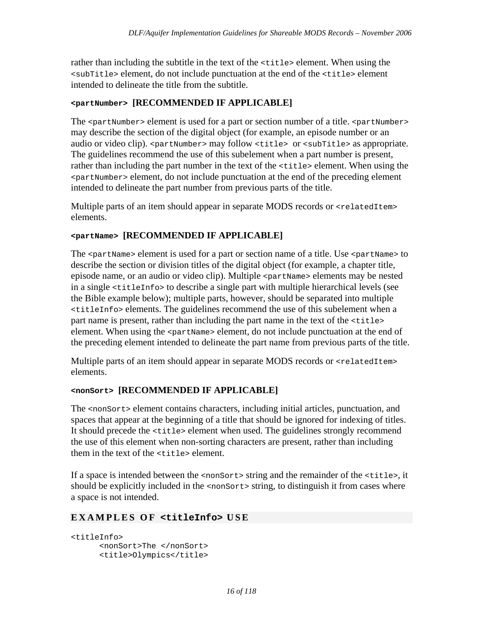rather than including the subtitle in the text of the <title> element. When using the <subTitle> element, do not include punctuation at the end of the <title> element intended to delineate the title from the subtitle.

### **<partNumber> [RECOMMENDED IF APPLICABLE]**

The  $\epsilon$  partNumber> element is used for a part or section number of a title.  $\epsilon$  partNumber> may describe the section of the digital object (for example, an episode number or an audio or video clip). <partNumber> may follow <title> or <subTitle> as appropriate. The guidelines recommend the use of this subelement when a part number is present, rather than including the part number in the text of the  $\le$ title> element. When using the <partNumber> element, do not include punctuation at the end of the preceding element intended to delineate the part number from previous parts of the title.

Multiple parts of an item should appear in separate MODS records or <relatedItem> elements.

#### **<partName> [RECOMMENDED IF APPLICABLE]**

The  $\epsilon$  partName> element is used for a part or section name of a title. Use  $\epsilon$  partName> to describe the section or division titles of the digital object (for example, a chapter title, episode name, or an audio or video clip). Multiple <partName> elements may be nested in a single <titleInfo> to describe a single part with multiple hierarchical levels (see the Bible example below); multiple parts, however, should be separated into multiple <titleInfo> elements. The guidelines recommend the use of this subelement when a part name is present, rather than including the part name in the text of the  $\langle$ title> element. When using the  $\epsilon_{partName}$  element, do not include punctuation at the end of the preceding element intended to delineate the part name from previous parts of the title.

Multiple parts of an item should appear in separate MODS records or <relatedItem> elements.

### **<nonSort> [RECOMMENDED IF APPLICABLE]**

The <nonSort> element contains characters, including initial articles, punctuation, and spaces that appear at the beginning of a title that should be ignored for indexing of titles. It should precede the <title> element when used. The guidelines strongly recommend the use of this element when non-sorting characters are present, rather than including them in the text of the  $\leq$ title> element.

If a space is intended between the <nonSort> string and the remainder of the <title>, it should be explicitly included in the <nonSort> string, to distinguish it from cases where a space is not intended.

### **EXAMPLES O F <titleInfo> USE**

```
<titleInfo>
      <nonSort>The </nonSort>
      <title>Olympics</title>
```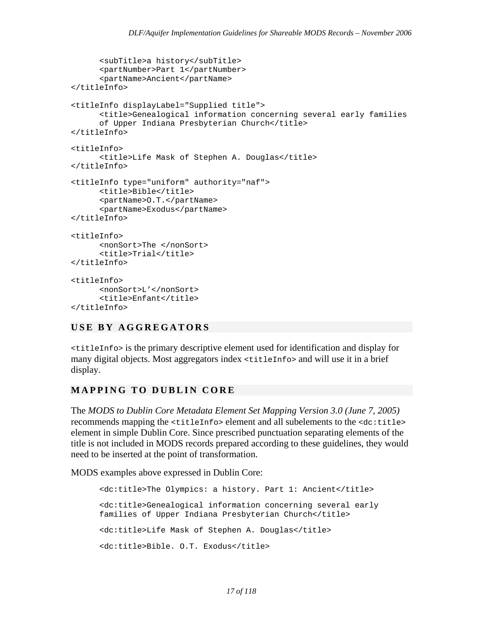```
<subTitle>a history</subTitle>
      <partNumber>Part 1</partNumber>
      <partName>Ancient</partName>
</titleInfo>
<titleInfo displayLabel="Supplied title">
      <title>Genealogical information concerning several early families 
      of Upper Indiana Presbyterian Church</title>
</titleInfo>
<titleInfo>
      <title>Life Mask of Stephen A. Douglas</title>
</titleInfo>
<titleInfo type="uniform" authority="naf">
      <title>Bible</title>
      <partName>O.T.</partName>
      <partName>Exodus</partName>
</titleInfo>
<titleInfo>
      <nonSort>The </nonSort>
      <title>Trial</title>
</titleInfo>
<titleInfo>
      <nonSort>L'</nonSort>
      <title>Enfant</title>
</titleInfo>
```
## **USE BY AGGREGATORS**

<titleInfo> is the primary descriptive element used for identification and display for many digital objects. Most aggregators index <titleInfo> and will use it in a brief display.

## **MAPPING TO DUBLIN CORE**

The *MODS to Dublin Core Metadata Element Set Mapping Version 3.0 (June 7, 2005)* recommends mapping the  $\langle\text{titleInfo}\rangle$  element and all subelements to the  $\langle\text{dc:title}\rangle$ element in simple Dublin Core. Since prescribed punctuation separating elements of the title is not included in MODS records prepared according to these guidelines, they would need to be inserted at the point of transformation.

MODS examples above expressed in Dublin Core:

```
<dc:title>The Olympics: a history. Part 1: Ancient</title>
<dc:title>Genealogical information concerning several early 
families of Upper Indiana Presbyterian Church</title>
<dc:title>Life Mask of Stephen A. Douglas</title>
<dc:title>Bible. O.T. Exodus</title>
```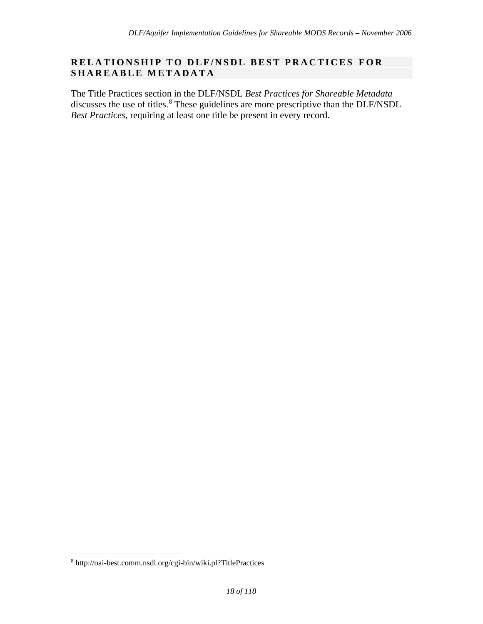# **RELATIONSHIP TO DLF/ NSDL BEST PRACTICES FOR SHAREABLE METADATA**

The Title Practices section in the DLF/NSDL *Best Practices for Shareable Metadata* discusses the use of titles.<sup>[8](#page-17-0)</sup> These guidelines are more prescriptive than the DLF/NSDL *Best Practices*, requiring at least one title be present in every record.

<span id="page-17-0"></span><sup>8</sup> http://oai-best.comm.nsdl.org/cgi-bin/wiki.pl?TitlePractices  $\overline{a}$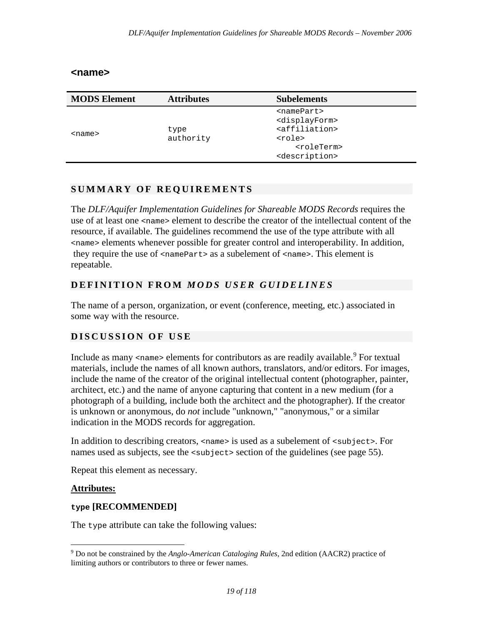#### <span id="page-18-1"></span><span id="page-18-0"></span>**<name>**

| <b>MODS Element</b> | <b>Attributes</b> | <b>Subelements</b>                                                                                                                                         |
|---------------------|-------------------|------------------------------------------------------------------------------------------------------------------------------------------------------------|
| <name></name>       | type<br>authority | $<$ name $Part$<br><displayform><br/><affiliation><br/><role><br/><roleterm><br/><description></description></roleterm></role></affiliation></displayform> |

### **SUMMARY OF REQUIREMENTS**

The *DLF/Aquifer Implementation Guidelines for Shareable MODS Records* requires the use of at least one <name> element to describe the creator of the intellectual content of the resource, if available. The guidelines recommend the use of the type attribute with all <name> elements whenever possible for greater control and interoperability. In addition, they require the use of  $\langle$ namePart> as a subelement of  $\langle$ name>. This element is repeatable.

### **DEFINITION FROM** *MODS USER GUIDELINES*

The name of a person, organization, or event (conference, meeting, etc.) associated in some way with the resource.

### **DISCUSSION OF USE**

Include as many  $\langle$ -name> elements for contributors as are readily available.<sup>[9](#page-18-2)</sup> For textual materials, include the names of all known authors, translators, and/or editors. For images, include the name of the creator of the original intellectual content (photographer, painter, architect, etc.) and the name of anyone capturing that content in a new medium (for a photograph of a building, include both the architect and the photographer). If the creator is unknown or anonymous, do *not* include "unknown," "anonymous," or a similar indication in the MODS records for aggregation.

In addition to describing creators,  $\langle$  -name  $\rangle$  is used as a subelement of  $\langle$  subject  $\rangle$ . For names used as subjects, see the  $\epsilon$  subject is section of the guidelines (see page [55\)](#page-54-0).

Repeat this element as necessary.

#### **Attributes:**

 $\overline{a}$ 

#### **type [RECOMMENDED]**

The type attribute can take the following values:

<span id="page-18-2"></span><sup>9</sup> Do not be constrained by the *Anglo-American Cataloging Rules*, 2nd edition (AACR2) practice of limiting authors or contributors to three or fewer names.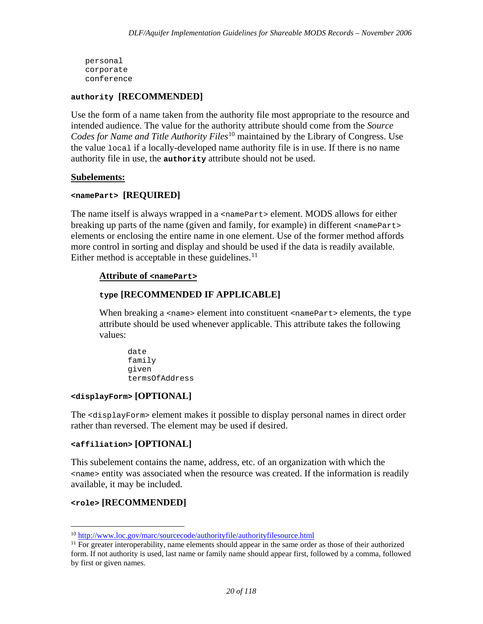```
personal
corporate
conference
```
### **authority [RECOMMENDED]**

Use the form of a name taken from the authority file most appropriate to the resource and intended audience. The value for the authority attribute should come from the *Source Codes for Name and Title Authority Files*[10](#page-19-0) maintained by the Library of Congress. Use the value local if a locally-developed name authority file is in use. If there is no name authority file in use, the **authority** attribute should not be used.

#### **Subelements:**

#### **<namePart> [REQUIRED]**

The name itself is always wrapped in a  $\epsilon$ namePart> element. MODS allows for either breaking up parts of the name (given and family, for example) in different <namePart> elements or enclosing the entire name in one element. Use of the former method affords more control in sorting and display and should be used if the data is readily available. Either method is acceptable in these guidelines. $11$ 

#### **Attribute of <namePart>**

#### **type [RECOMMENDED IF APPLICABLE]**

When breaking a  $\epsilon$  -name element into constituent  $\epsilon$  -name Part elements, the type attribute should be used whenever applicable. This attribute takes the following values:

date family given termsOfAddress

#### **<displayForm> [OPTIONAL]**

The <displayForm> element makes it possible to display personal names in direct order rather than reversed. The element may be used if desired.

#### **<affiliation> [OPTIONAL]**

This subelement contains the name, address, etc. of an organization with which the <name> entity was associated when the resource was created. If the information is readily available, it may be included.

### **<role> [RECOMMENDED]**

<sup>&</sup>lt;sup>10</sup> <http://www.loc.gov/marc/sourcecode/authorityfile/authorityfilesource.html>

<span id="page-19-1"></span><span id="page-19-0"></span> $11$  For greater interoperability, name elements should appear in the same order as those of their authorized form. If not authority is used, last name or family name should appear first, followed by a comma, followed by first or given names.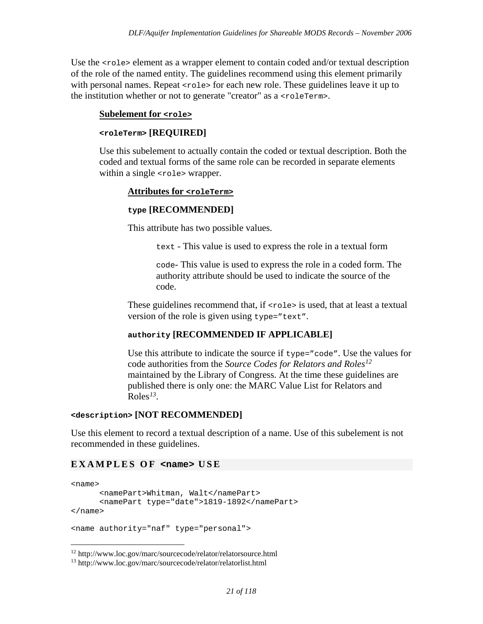Use the  $\langle \text{role} \rangle$  element as a wrapper element to contain coded and/or textual description of the role of the named entity. The guidelines recommend using this element primarily with personal names. Repeat <role> for each new role. These guidelines leave it up to the institution whether or not to generate "creator" as a <roleTerm>.

### **Subelement for <role>**

#### **<roleTerm> [REQUIRED]**

Use this subelement to actually contain the coded or textual description. Both the coded and textual forms of the same role can be recorded in separate elements within a single <role> wrapper.

#### **Attributes for <roleTerm>**

#### **type [RECOMMENDED]**

This attribute has two possible values.

text - This value is used to express the role in a textual form

code- This value is used to express the role in a coded form. The authority attribute should be used to indicate the source of the code.

These guidelines recommend that, if  $\langle \text{role} \rangle$  is used, that at least a textual version of the role is given using type="text".

### **authority [RECOMMENDED IF APPLICABLE]**

Use this attribute to indicate the source if type="code". Use the values for code authorities from the *Source Codes for Relators and Role[s12](#page-20-0)* maintained by the Library of Congress. At the time these guidelines are published there is only one: the MARC Value List for Relators and Roles*[13](#page-20-1)*.

#### **<description> [NOT RECOMMENDED]**

Use this element to record a textual description of a name. Use of this subelement is not recommended in these guidelines.

### **EXAMPLES OF <name> USE**

```
<name>
      <namePart>Whitman, Walt</namePart>
      <namePart type="date">1819-1892</namePart>
</name>
<name authority="naf" type="personal">
```
<span id="page-20-0"></span><sup>12</sup> http://www.loc.gov/marc/sourcecode/relator/relatorsource.html

<span id="page-20-1"></span><sup>&</sup>lt;sup>13</sup> http://www.loc.gov/marc/sourcecode/relator/relatorlist.html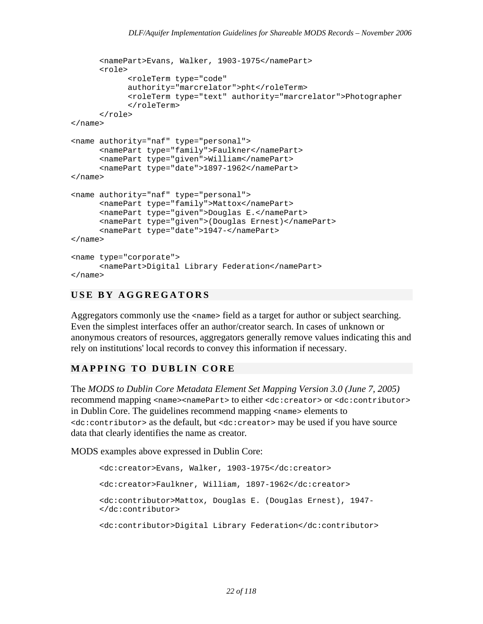```
<namePart>Evans, Walker, 1903-1975</namePart>
      <role>
            <roleTerm type="code" 
            authority="marcrelator">pht</roleTerm>
            <roleTerm type="text" authority="marcrelator">Photographer
            </roleTerm>
      </role>
</name>
<name authority="naf" type="personal">
      <namePart type="family">Faulkner</namePart>
      <namePart type="given">William</namePart>
      <namePart type="date">1897-1962</namePart>
</name>
<name authority="naf" type="personal">
      <namePart type="family">Mattox</namePart>
      <namePart type="given">Douglas E.</namePart>
      <namePart type="given">(Douglas Ernest)</namePart>
      <namePart type="date">1947-</namePart>
</name>
<name type="corporate">
     <namePart>Digital Library Federation</namePart>
</name>
```
### **USE BY AGGREGATORS**

Aggregators commonly use the  $\langle$ -name> field as a target for author or subject searching. Even the simplest interfaces offer an author/creator search. In cases of unknown or anonymous creators of resources, aggregators generally remove values indicating this and rely on institutions' local records to convey this information if necessary.

### **MAPPING TO DUBLIN CORE**

The *MODS to Dublin Core Metadata Element Set Mapping Version 3.0 (June 7, 2005)* recommend mapping <name><namePart> to either <dc:creator> or <dc:contributor> in Dublin Core. The guidelines recommend mapping <name> elements to <dc:contributor> as the default, but <dc:creator> may be used if you have source data that clearly identifies the name as creator*.*

MODS examples above expressed in Dublin Core:

```
<dc:creator>Evans, Walker, 1903-1975</dc:creator>
<dc:creator>Faulkner, William, 1897-1962</dc:creator>
<dc:contributor>Mattox, Douglas E. (Douglas Ernest), 1947-
</dc:contributor>
<dc:contributor>Digital Library Federation</dc:contributor>
```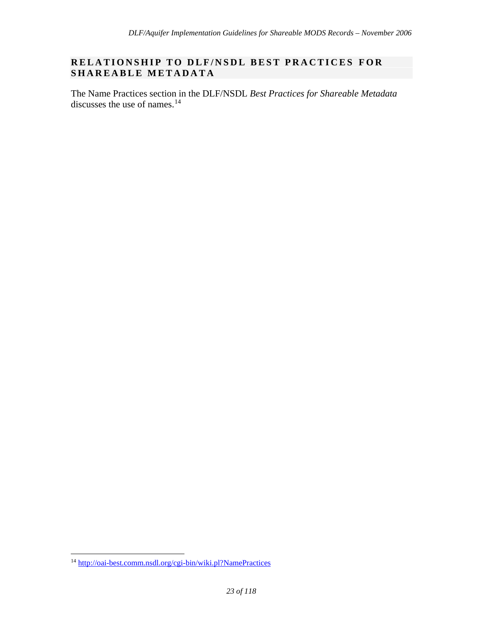# **RELATIONSHIP TO DLF/ NSDL BEST PRACTICES FOR SHAREABLE METADATA**

The Name Practices section in the DLF/NSDL *Best Practices for Shareable Metadata* discusses the use of names.<sup>[14](#page-22-0)</sup>

<span id="page-22-0"></span><sup>&</sup>lt;sup>14</sup> <http://oai-best.comm.nsdl.org/cgi-bin/wiki.pl?NamePractices>  $\overline{a}$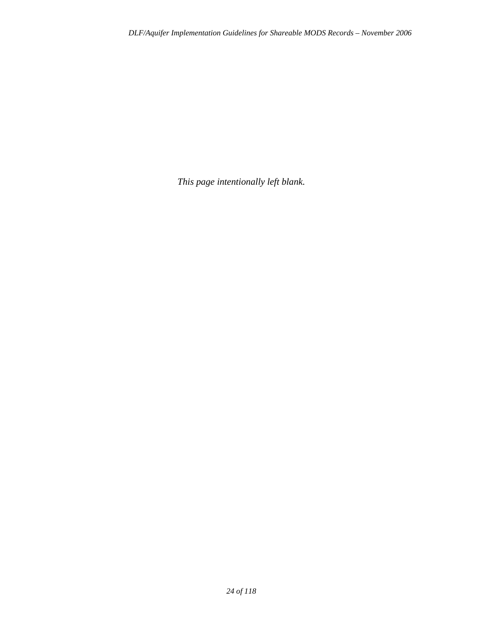*This page intentionally left blank.*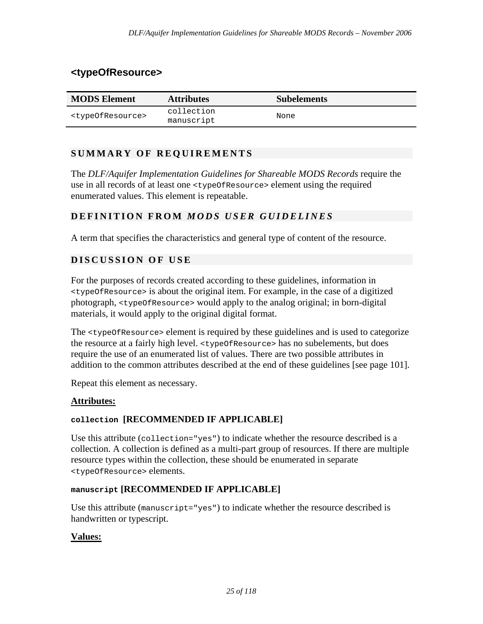# <span id="page-24-1"></span><span id="page-24-0"></span>**<typeOfResource>**

| <b>MODS</b> Element               | <b>Attributes</b>        | <b>Subelements</b> |
|-----------------------------------|--------------------------|--------------------|
| <type0fresource></type0fresource> | collection<br>manuscript | None               |

# **SUMMARY OF REQUIREMENTS**

The *DLF/Aquifer Implementation Guidelines for Shareable MODS Records* require the use in all records of at least one <typeOfResource> element using the required enumerated values. This element is repeatable.

# **DEFINITION FROM** *MODS USER GUIDELINES*

A term that specifies the characteristics and general type of content of the resource.

# **DISCUSSION OF USE**

For the purposes of records created according to these guidelines, information in <typeOfResource> is about the original item. For example, in the case of a digitized photograph, <typeOfResource> would apply to the analog original; in born-digital materials, it would apply to the original digital format.

The  $\langle\text{typeOfResource}\rangle$  element is required by these guidelines and is used to categorize the resource at a fairly high level. <typeOfResource> has no subelements, but does require the use of an enumerated list of values. There are two possible attributes in addition to the common attributes described at the end of these guidelines [see page [101\]](#page-100-0).

Repeat this element as necessary.

### **Attributes:**

## **collection [RECOMMENDED IF APPLICABLE]**

Use this attribute (collection="yes") to indicate whether the resource described is a collection. A collection is defined as a multi-part group of resources. If there are multiple resource types within the collection, these should be enumerated in separate <typeOfResource> elements.

## **manuscript [RECOMMENDED IF APPLICABLE]**

Use this attribute (manuscript="yes") to indicate whether the resource described is handwritten or typescript.

## **Values:**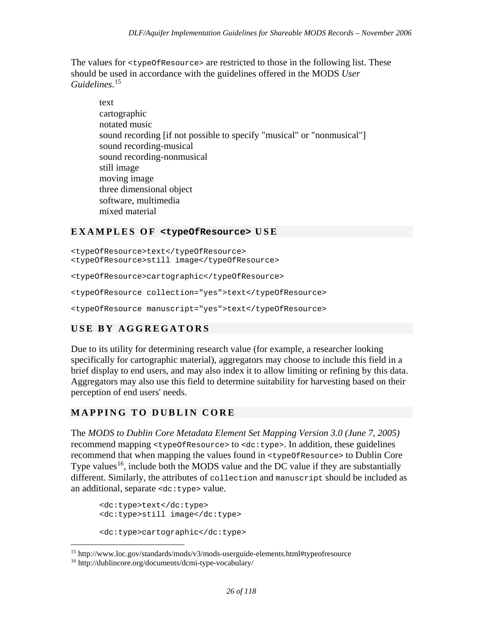The values for  $\langle \text{typeOfResource} \rangle$  are restricted to those in the following list. These should be used in accordance with the guidelines offered in the MODS *User Guidelines*. [15](#page-25-0)

text cartographic notated music sound recording [if not possible to specify "musical" or "nonmusical"] sound recording-musical sound recording-nonmusical still image moving image three dimensional object software, multimedia mixed material

### **EXAMPLES OF <typeOfResource> USE**

```
<typeOfResource>text</typeOfResource>
<typeOfResource>still image</typeOfResource>
<typeOfResource>cartographic</typeOfResource>
<typeOfResource collection="yes">text</typeOfResource>
<typeOfResource manuscript="yes">text</typeOfResource>
```
# **USE BY AGGREGATORS**

Due to its utility for determining research value (for example, a researcher looking specifically for cartographic material), aggregators may choose to include this field in a brief display to end users, and may also index it to allow limiting or refining by this data. Aggregators may also use this field to determine suitability for harvesting based on their perception of end users' needs.

# **MAPPING TO DUBLIN CORE**

The *MODS to Dublin Core Metadata Element Set Mapping Version 3.0 (June 7, 2005)* recommend mapping <typeOfResource> to <dc:type>. In addition, these guidelines recommend that when mapping the values found in <typeOfResource> to Dublin Core Type values<sup>16</sup>, include both the MODS value and the DC value if they are substantially different. Similarly, the attributes of collection and manuscript should be included as an additional, separate <dc:type> value.

```
<dc:type>text</dc:type>
<dc:type>still image</dc:type>
<dc:type>cartographic</dc:type>
```
<span id="page-25-0"></span><sup>15</sup> http://www.loc.gov/standards/mods/v3/mods-userguide-elements.html#typeofresource

<span id="page-25-1"></span><sup>16</sup> http://dublincore.org/documents/dcmi-type-vocabulary/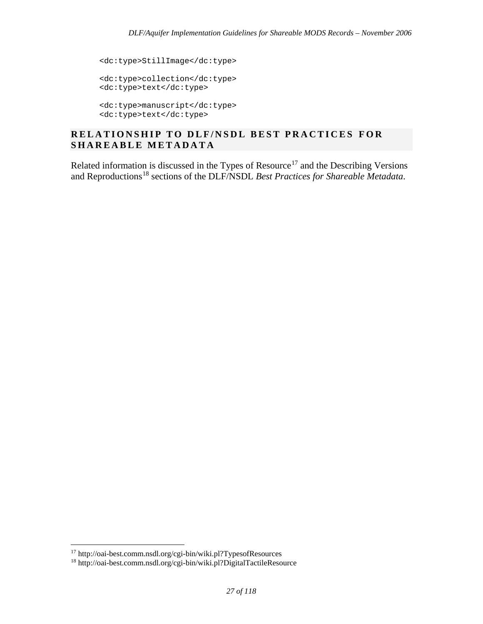<dc:type>StillImage</dc:type>

```
<dc:type>collection</dc:type>
<dc:type>text</dc:type>
```

```
<dc:type>manuscript</dc:type>
<dc:type>text</dc:type>
```
## **RELATIONSHIP TO DLF/ NSDL BES T PRACTICES FOR SHAREABLE METADATA**

Related information is discussed in the Types of Resource<sup>[17](#page-26-0)</sup> and the Describing Versions and Reproductions<sup>[18](#page-26-1)</sup> sections of the DLF/NSDL *Best Practices for Shareable Metadata*.

<span id="page-26-0"></span><sup>17</sup> http://oai-best.comm.nsdl.org/cgi-bin/wiki.pl?TypesofResources

<span id="page-26-1"></span><sup>18</sup> http://oai-best.comm.nsdl.org/cgi-bin/wiki.pl?DigitalTactileResource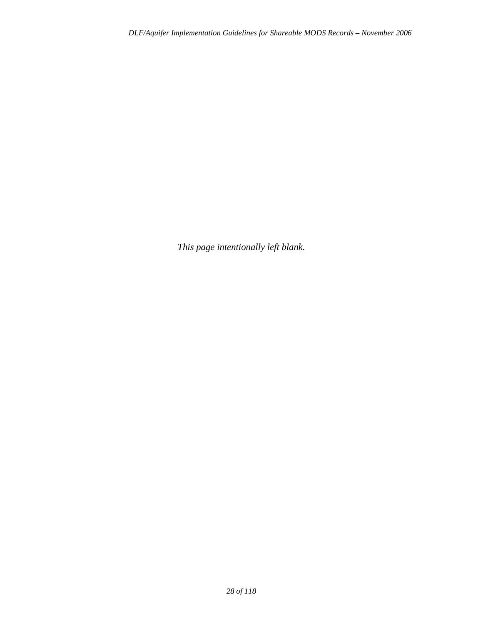*This page intentionally left blank.*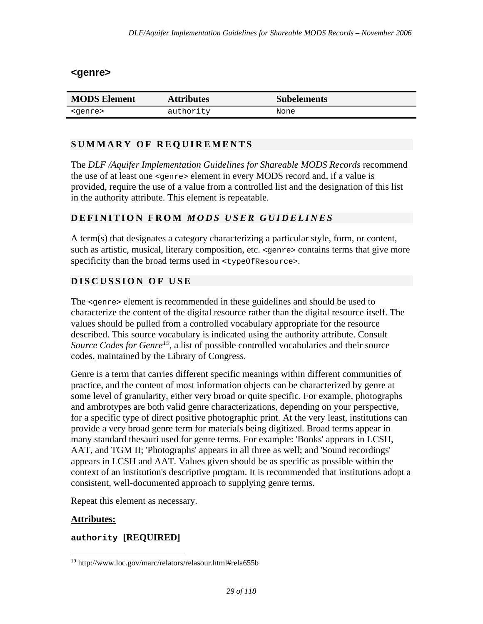## <span id="page-28-1"></span><span id="page-28-0"></span>**<genre>**

| <b>MODS Element</b> | <b>Attributes</b> | <b>Subelements</b> |
|---------------------|-------------------|--------------------|
| <genre></genre>     | authority         | None               |

# **SUMMARY OF REQUIREMENTS**

The *DLF /Aquifer Implementation Guidelines for Shareable MODS Records* recommend the use of at least one  $\leq$  energeness element in every MODS record and, if a value is provided, require the use of a value from a controlled list and the designation of this list in the authority attribute. This element is repeatable.

### **DEFINITION FROM** *MODS USER GUIDELINES*

A term(s) that designates a category characterizing a particular style, form, or content, such as artistic, musical, literary composition, etc. <genre> contains terms that give more specificity than the broad terms used in  $\langle$ typeOfResource>.

# **DISCUSSION OF USE**

The <genre> element is recommended in these guidelines and should be used to characterize the content of the digital resource rather than the digital resource itself. The values should be pulled from a controlled vocabulary appropriate for the resource described. This source vocabulary is indicated using the authority attribute. Consult *Source Codes for Genre<sup>[19](#page-28-2)</sup>*, a list of possible controlled vocabularies and their source codes, maintained by the Library of Congress.

Genre is a term that carries different specific meanings within different communities of practice, and the content of most information objects can be characterized by genre at some level of granularity, either very broad or quite specific. For example, photographs and ambrotypes are both valid genre characterizations, depending on your perspective, for a specific type of direct positive photographic print. At the very least, institutions can provide a very broad genre term for materials being digitized. Broad terms appear in many standard thesauri used for genre terms. For example: 'Books' appears in LCSH, AAT, and TGM II; 'Photographs' appears in all three as well; and 'Sound recordings' appears in LCSH and AAT. Values given should be as specific as possible within the context of an institution's descriptive program. It is recommended that institutions adopt a consistent, well-documented approach to supplying genre terms.

Repeat this element as necessary.

### **Attributes:**

 $\overline{a}$ 

### **authority [REQUIRED]**

<span id="page-28-2"></span><sup>19</sup> http://www.loc.gov/marc/relators/relasour.html#rela655b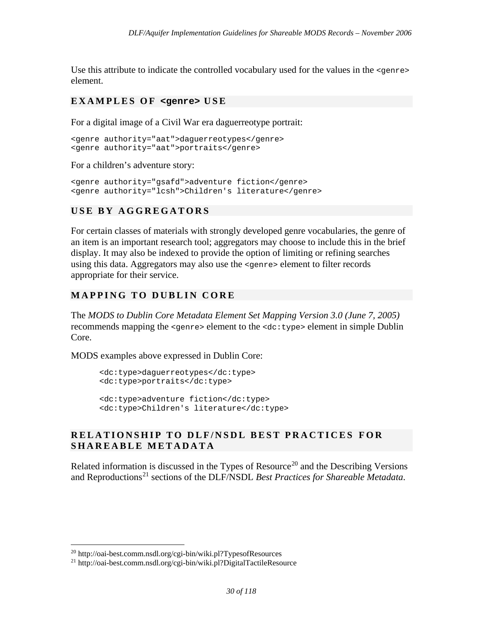Use this attribute to indicate the controlled vocabulary used for the values in the  $\leq$   $\leq$   $\leq$ element.

### **EXAMPLES OF <genre> USE**

For a digital image of a Civil War era daguerreotype portrait:

```
<genre authority="aat">daguerreotypes</genre>
<genre authority="aat">portraits</genre>
```
For a children's adventure story:

```
<genre authority="gsafd">adventure fiction</genre>
<genre authority="lcsh">Children's literature</genre>
```
### **USE BY AGGREGATORS**

For certain classes of materials with strongly developed genre vocabularies, the genre of an item is an important research tool; aggregators may choose to include this in the brief display. It may also be indexed to provide the option of limiting or refining searches using this data. Aggregators may also use the <genre> element to filter records appropriate for their service.

### **MAPPING TO DUBLIN CORE**

The *MODS to Dublin Core Metadata Element Set Mapping Version 3.0 (June 7, 2005)* recommends mapping the  $\leq$  eqenres element to the  $\leq$  dc: types element in simple Dublin Core.

MODS examples above expressed in Dublin Core:

```
<dc:type>daguerreotypes</dc:type>
<dc:type>portraits</dc:type>
<dc:type>adventure fiction</dc:type>
<dc:type>Children's literature</dc:type>
```
# **RELATIONSHIP TO DLF/ NSDL BEST PRACTICES FOR SHAREABLE METADATA**

Related information is discussed in the Types of Resource<sup>[20](#page-29-0)</sup> and the Describing Versions and Reproductions<sup>[21](#page-29-1)</sup> sections of the DLF/NSDL *Best Practices for Shareable Metadata*.

<span id="page-29-0"></span><sup>20</sup> http://oai-best.comm.nsdl.org/cgi-bin/wiki.pl?TypesofResources

<span id="page-29-1"></span><sup>21</sup> http://oai-best.comm.nsdl.org/cgi-bin/wiki.pl?DigitalTactileResource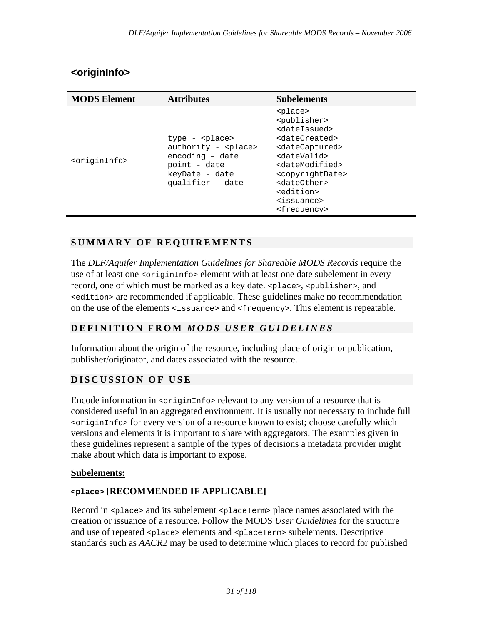# <span id="page-30-1"></span><span id="page-30-0"></span>**<originInfo>**

| <b>MODS Element</b>       | <b>Attributes</b>                                                                                                             | <b>Subelements</b>                                                                                                                                                                                                                                                                                                                                      |
|---------------------------|-------------------------------------------------------------------------------------------------------------------------------|---------------------------------------------------------------------------------------------------------------------------------------------------------------------------------------------------------------------------------------------------------------------------------------------------------------------------------------------------------|
| <origininfo></origininfo> | type - $<$ place><br>authority - <place><br/>encoding - date<br/>point - date<br/>keyDate - date<br/>qualifier - date</place> | <place><br/><publisher><br/><dateissued><br/><datecreated><br/><datecaptured><br/><datevalid><br/><datemodified><br/><copyrightdate><br/><dateother><br/><edition><br/><issuance><br/><frequency></frequency></issuance></edition></dateother></copyrightdate></datemodified></datevalid></datecaptured></datecreated></dateissued></publisher></place> |

# **SUMMARY OF REQUIREMENTS**

The *DLF/Aquifer Implementation Guidelines for Shareable MODS Records* require the use of at least one <originInfo> element with at least one date subelement in every record, one of which must be marked as a key date. <place>, <publisher>, and <edition> are recommended if applicable. These guidelines make no recommendation on the use of the elements <issuance> and <frequency>. This element is repeatable.

## **DEFINITION FROM** *MODS USER GUIDELINES*

Information about the origin of the resource, including place of origin or publication, publisher/originator, and dates associated with the resource.

# **DISCUSSION OF USE**

Encode information in <originInfo> relevant to any version of a resource that is considered useful in an aggregated environment. It is usually not necessary to include full <originInfo> for every version of a resource known to exist; choose carefully which versions and elements it is important to share with aggregators. The examples given in these guidelines represent a sample of the types of decisions a metadata provider might make about which data is important to expose.

### **Subelements:**

## **<place> [RECOMMENDED IF APPLICABLE]**

Record in <place> and its subelement <placeTerm> place names associated with the creation or issuance of a resource. Follow the MODS *User Guidelines* for the structure and use of repeated <place> elements and <placeTerm> subelements. Descriptive standards such as *AACR2* may be used to determine which places to record for published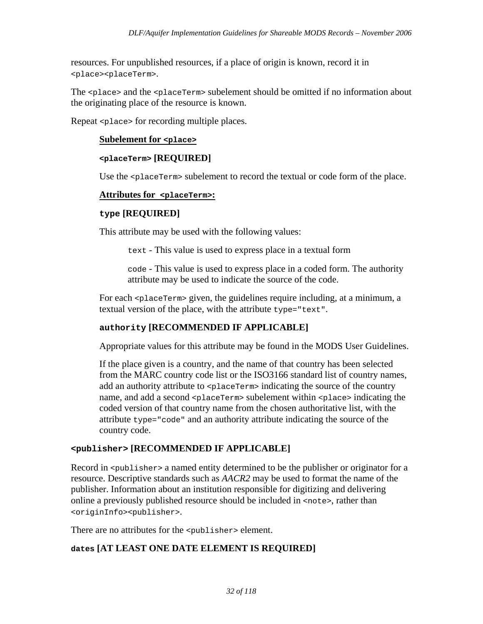resources. For unpublished resources, if a place of origin is known, record it in <place><placeTerm>.

The  $\epsilon_{\text{place}}$  and the  $\epsilon_{\text{placeTerm}}$  subelement should be omitted if no information about the originating place of the resource is known.

Repeat <place> for recording multiple places.

### **Subelement for <place>**

### **<placeTerm> [REQUIRED]**

Use the  $\epsilon_{\text{placeTerm}}$  subelement to record the textual or code form of the place.

### **Attributes for <placeTerm>:**

### **type [REQUIRED]**

This attribute may be used with the following values:

text - This value is used to express place in a textual form

code - This value is used to express place in a coded form. The authority attribute may be used to indicate the source of the code.

For each <placeTerm> given, the guidelines require including, at a minimum, a textual version of the place, with the attribute type="text".

## **authority [RECOMMENDED IF APPLICABLE]**

Appropriate values for this attribute may be found in the MODS User Guidelines.

If the place given is a country, and the name of that country has been selected from the MARC country code list or the ISO3166 standard list of country names, add an authority attribute to <placeTerm> indicating the source of the country name, and add a second <placeTerm> subelement within <place> indicating the coded version of that country name from the chosen authoritative list, with the attribute type="code" and an authority attribute indicating the source of the country code.

### **<publisher> [RECOMMENDED IF APPLICABLE]**

Record in <publisher> a named entity determined to be the publisher or originator for a resource. Descriptive standards such as *AACR2* may be used to format the name of the publisher. Information about an institution responsible for digitizing and delivering online a previously published resource should be included in <note>, rather than <originInfo><publisher>.

There are no attributes for the  $\epsilon$  sublisher selement.

## **dates [AT LEAST ONE DATE ELEMENT IS REQUIRED]**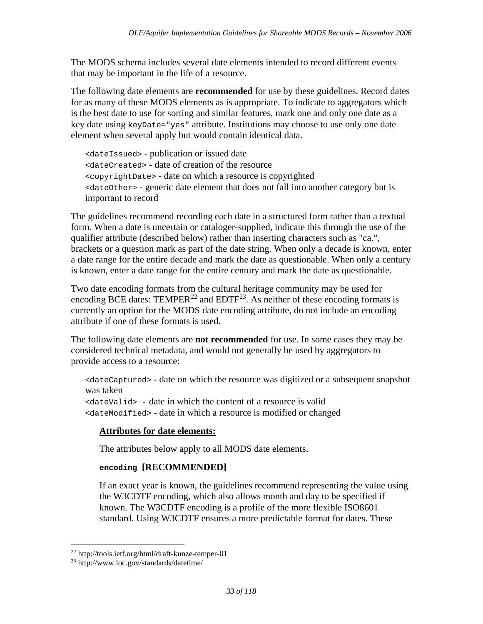The MODS schema includes several date elements intended to record different events that may be important in the life of a resource.

The following date elements are **recommended** for use by these guidelines. Record dates for as many of these MODS elements as is appropriate. To indicate to aggregators which is the best date to use for sorting and similar features, mark one and only one date as a key date using keyDate="yes" attribute. Institutions may choose to use only one date element when several apply but would contain identical data.

<dateIssued> - publication or issued date <dateCreated> - date of creation of the resource <copyrightDate> - date on which a resource is copyrighted <dateOther> - generic date element that does not fall into another category but is important to record

The guidelines recommend recording each date in a structured form rather than a textual form. When a date is uncertain or cataloger-supplied, indicate this through the use of the qualifier attribute (described below) rather than inserting characters such as "ca.", brackets or a question mark as part of the date string. When only a decade is known, enter a date range for the entire decade and mark the date as questionable. When only a century is known, enter a date range for the entire century and mark the date as questionable.

Two date encoding formats from the cultural heritage community may be used for encoding BCE dates: TEMPER<sup>[22](#page-32-0)</sup> and EDTF<sup>[23](#page-32-1)</sup>. As neither of these encoding formats is currently an option for the MODS date encoding attribute, do not include an encoding attribute if one of these formats is used.

The following date elements are **not recommended** for use. In some cases they may be considered technical metadata, and would not generally be used by aggregators to provide access to a resource:

<dateCaptured> - date on which the resource was digitized or a subsequent snapshot was taken <dateValid> - date in which the content of a resource is valid <dateModified> - date in which a resource is modified or changed

# **Attributes for date elements:**

The attributes below apply to all MODS date elements.

## **encoding [RECOMMENDED]**

If an exact year is known, the guidelines recommend representing the value using the W3CDTF encoding, which also allows month and day to be specified if known. The W3CDTF encoding is a profile of the more flexible ISO8601 standard. Using W3CDTF ensures a more predictable format for dates. These

<span id="page-32-0"></span><sup>22</sup> http://tools.ietf.org/html/draft-kunze-temper-01

<span id="page-32-1"></span><sup>23</sup> http://www.loc.gov/standards/datetime/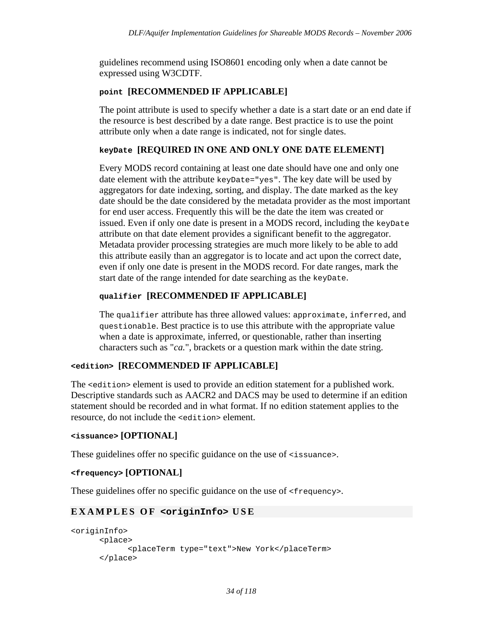guidelines recommend using ISO8601 encoding only when a date cannot be expressed using W3CDTF.

### **point [RECOMMENDED IF APPLICABLE]**

The point attribute is used to specify whether a date is a start date or an end date if the resource is best described by a date range. Best practice is to use the point attribute only when a date range is indicated, not for single dates.

#### **keyDate [REQUIRED IN ONE AND ONLY ONE DATE ELEMENT]**

Every MODS record containing at least one date should have one and only one date element with the attribute keyDate="yes". The key date will be used by aggregators for date indexing, sorting, and display. The date marked as the key date should be the date considered by the metadata provider as the most important for end user access. Frequently this will be the date the item was created or issued. Even if only one date is present in a MODS record, including the keyDate attribute on that date element provides a significant benefit to the aggregator. Metadata provider processing strategies are much more likely to be able to add this attribute easily than an aggregator is to locate and act upon the correct date, even if only one date is present in the MODS record. For date ranges, mark the start date of the range intended for date searching as the keyDate.

#### **qualifier [RECOMMENDED IF APPLICABLE]**

The qualifier attribute has three allowed values: approximate, inferred, and questionable. Best practice is to use this attribute with the appropriate value when a date is approximate, inferred, or questionable, rather than inserting characters such as "*ca.*", brackets or a question mark within the date string.

### **<edition> [RECOMMENDED IF APPLICABLE]**

The <edition> element is used to provide an edition statement for a published work. Descriptive standards such as AACR2 and DACS may be used to determine if an edition statement should be recorded and in what format. If no edition statement applies to the resource, do not include the <edition> element.

#### **<issuance> [OPTIONAL]**

These guidelines offer no specific guidance on the use of  $\leq$  issuance>.

#### **<frequency> [OPTIONAL]**

These guidelines offer no specific guidance on the use of  $\leq$  frequency>.

#### **EXAMPLES OF <originInfo> USE**

```
<originInfo>
      <place>
            <placeTerm type="text">New York</placeTerm>
      </place>
```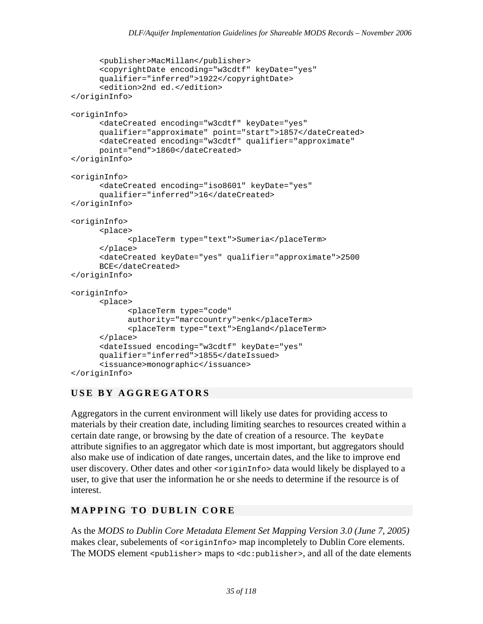```
<publisher>MacMillan</publisher>
      <copyrightDate encoding="w3cdtf" keyDate="yes" 
      qualifier="inferred">1922</copyrightDate>
      <edition>2nd ed.</edition>
</originInfo>
<originInfo>
      <dateCreated encoding="w3cdtf" keyDate="yes" 
      qualifier="approximate" point="start">1857</dateCreated>
      <dateCreated encoding="w3cdtf" qualifier="approximate" 
      point="end">1860</dateCreated>
</originInfo>
<originInfo>
      <dateCreated encoding="iso8601" keyDate="yes" 
      qualifier="inferred">16</dateCreated>
</originInfo>
<originInfo>
      <place>
            <placeTerm type="text">Sumeria</placeTerm>
      </place>
      <dateCreated keyDate="yes" qualifier="approximate">2500 
      BCE</dateCreated>
</originInfo>
<originInfo>
      <place>
            <placeTerm type="code" 
            authority="marccountry">enk</placeTerm>
            <placeTerm type="text">England</placeTerm>
      </place>
      <dateIssued encoding="w3cdtf" keyDate="yes" 
      qualifier="inferred">1855</dateIssued>
      <issuance>monographic</issuance>
</originInfo>
```
## **USE BY AGGREGATORS**

Aggregators in the current environment will likely use dates for providing access to materials by their creation date, including limiting searches to resources created within a certain date range, or browsing by the date of creation of a resource. The keyDate attribute signifies to an aggregator which date is most important, but aggregators should also make use of indication of date ranges, uncertain dates, and the like to improve end user discovery. Other dates and other <originInfo> data would likely be displayed to a user, to give that user the information he or she needs to determine if the resource is of interest.

### **MAPPING TO DUBLIN CORE**

As the *MODS to Dublin Core Metadata Element Set Mapping Version 3.0 (June 7, 2005)* makes clear, subelements of  $\langle$ originInfo> map incompletely to Dublin Core elements. The MODS element  $\epsilon$  publisher maps to  $\alpha$ : publisher >, and all of the date elements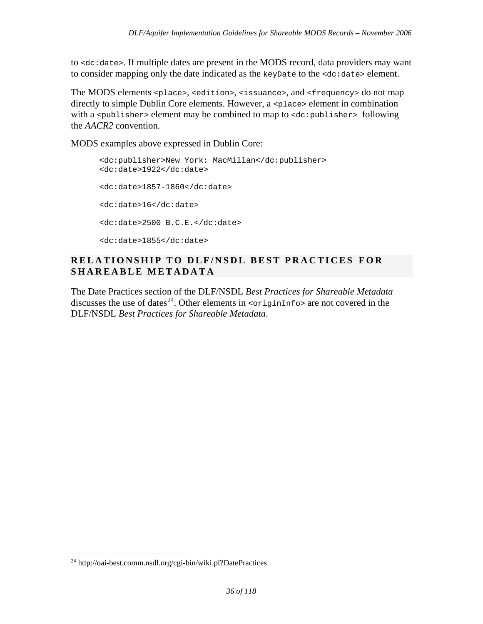to <dc:date>. If multiple dates are present in the MODS record, data providers may want to consider mapping only the date indicated as the keyDate to the <dc:date> element.

The MODS elements <place>, <edition>, <issuance>, and <frequency> do not map directly to simple Dublin Core elements. However, a <place> element in combination with a  $\epsilon$  spublisher beloment may be combined to map to  $\epsilon$  dc: publisher bollowing the *AACR2* convention.

MODS examples above expressed in Dublin Core:

<dc:publisher>New York: MacMillan</dc:publisher> <dc:date>1922</dc:date> <dc:date>1857-1860</dc:date> <dc:date>16</dc:date> <dc:date>2500 B.C.E.</dc:date> <dc:date>1855</dc:date>

# **RELATIONSHIP TO DLF/ NSDL BEST PRACTICES FOR SHAREABLE METADATA**

The Date Practices section of the DLF/NSDL *Best Practices for Shareable Metadata* discusses the use of dates<sup>24</sup>. Other elements in  $\langle$ originInfo> are not covered in the DLF/NSDL *Best Practices for Shareable Metadata*.

<span id="page-35-0"></span><sup>24</sup> http://oai-best.comm.nsdl.org/cgi-bin/wiki.pl?DatePractices  $\overline{a}$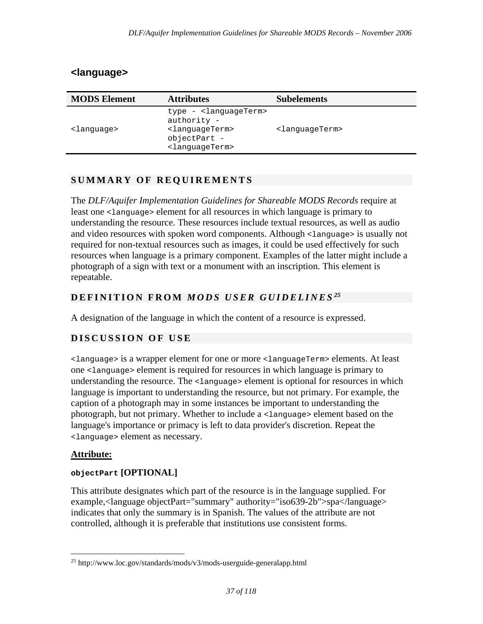### **<language>**

| <b>MODS Element</b>   | <b>Attributes</b>                                                                                                                         | <b>Subelements</b>            |
|-----------------------|-------------------------------------------------------------------------------------------------------------------------------------------|-------------------------------|
| <language></language> | type - <languageterm><br/>authority -<br/><languageterm><br/>objectPart -<br/><languageterm></languageterm></languageterm></languageterm> | <languageterm></languageterm> |

## **SUMMARY OF REQUIREMENTS**

The *DLF/Aquifer Implementation Guidelines for Shareable MODS Records* require at least one <language> element for all resources in which language is primary to understanding the resource. These resources include textual resources, as well as audio and video resources with spoken word components. Although <language> is usually not required for non-textual resources such as images, it could be used effectively for such resources when language is a primary component. Examples of the latter might include a photograph of a sign with text or a monument with an inscription. This element is repeatable.

## **DEFINITION FROM** *MODS USER GUIDELINES [25](#page-36-0)*

A designation of the language in which the content of a resource is expressed.

## **DISCUSSION OF USE**

<language> is a wrapper element for one or more <languageTerm> elements. At least one <language> element is required for resources in which language is primary to understanding the resource. The <language> element is optional for resources in which language is important to understanding the resource, but not primary. For example, the caption of a photograph may in some instances be important to understanding the photograph, but not primary. Whether to include a <language> element based on the language's importance or primacy is left to data provider's discretion. Repeat the <language> element as necessary.

### **Attribute:**

 $\overline{a}$ 

### **objectPart [OPTIONAL]**

This attribute designates which part of the resource is in the language supplied. For example,<language objectPart="summary" authority="iso639-2b">spa</language> indicates that only the summary is in Spanish. The values of the attribute are not controlled, although it is preferable that institutions use consistent forms.

<span id="page-36-0"></span> $^{25}$  http://www.loc.gov/standards/mods/v3/mods-userguide-generalapp.html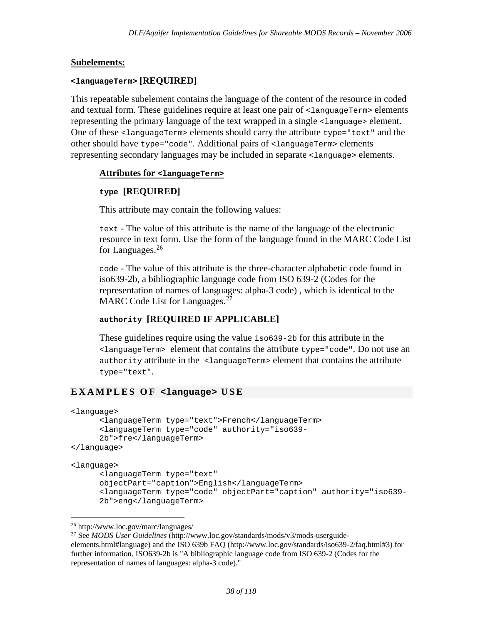#### **Subelements:**

#### **<languageTerm> [REQUIRED]**

This repeatable subelement contains the language of the content of the resource in coded and textual form. These guidelines require at least one pair of <languageTerm> elements representing the primary language of the text wrapped in a single <language> element. One of these  $\leq$ languageTerm> elements should carry the attribute  $\leq$ ype="text" and the other should have type="code". Additional pairs of <languageTerm> elements representing secondary languages may be included in separate <language> elements.

#### **Attributes for <languageTerm>**

### **type [REQUIRED]**

This attribute may contain the following values:

text - The value of this attribute is the name of the language of the electronic resource in text form. Use the form of the language found in the MARC Code List for Languages.<sup>[26](#page-37-0)</sup>

code - The value of this attribute is the three-character alphabetic code found in iso639-2b, a bibliographic language code from ISO 639-2 (Codes for the representation of names of languages: alpha-3 code) , which is identical to the MARC Code List for Languages.<sup>[27](#page-37-1)</sup>

#### **authority [REQUIRED IF APPLICABLE]**

These guidelines require using the value iso639-2b for this attribute in the <languageTerm> element that contains the attribute type="code". Do not use an authority attribute in the <languageTerm> element that contains the attribute type="text".

### **EXAMPLES OF <language> USE**

```
<language>
      <languageTerm type="text">French</languageTerm>
      <languageTerm type="code" authority="iso639-
      2b">fre</languageTerm>
</language>
```
<language>

 $\overline{a}$ 

```
<languageTerm type="text" 
objectPart="caption">English</languageTerm>
<languageTerm type="code" objectPart="caption" authority="iso639-
2b">eng</languageTerm>
```
<span id="page-37-0"></span><sup>26</sup> http://www.loc.gov/marc/languages/

<sup>27</sup> See *MODS User Guidelines* (http://www.loc.gov/standards/mods/v3/mods-userguide-

<span id="page-37-1"></span>elements.html#language) and the ISO 639b FAQ (http://www.loc.gov/standards/iso639-2/faq.html#3) for further information. ISO639-2b is "A bibliographic language code from ISO 639-2 (Codes for the representation of names of languages: alpha-3 code)."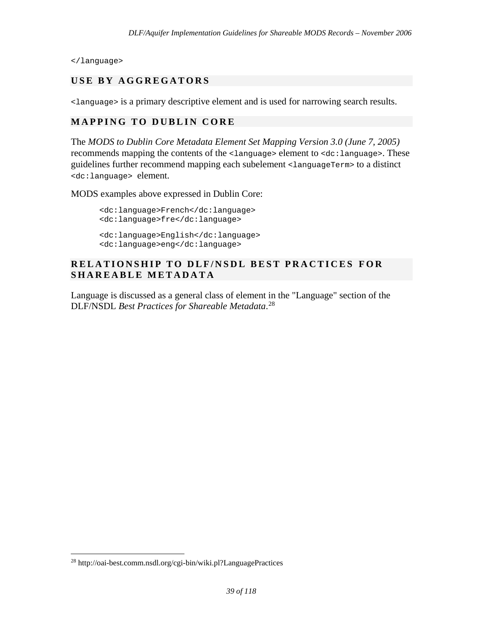</language>

# **USE BY AGGREGATORS**

<language> is a primary descriptive element and is used for narrowing search results.

# **MAPPING TO DUBLIN CORE**

The *MODS to Dublin Core Metadata Element Set Mapping Version 3.0 (June 7, 2005)* recommends mapping the contents of the <language> element to <dc:language>. These guidelines further recommend mapping each subelement <languageTerm> to a distinct <dc:language> element.

MODS examples above expressed in Dublin Core:

<dc:language>French</dc:language> <dc:language>fre</dc:language> <dc:language>English</dc:language> <dc:language>eng</dc:language>

## **RELATIONSHIP TO DLF/ NSDL BEST PRACTICES FOR SHAREABLE METADATA**

Language is discussed as a general class of element in the "Language" section of the DLF/NSDL *Best Practices for Shareable Metadata*. [28](#page-38-0)

<span id="page-38-0"></span><sup>28</sup> http://oai-best.comm.nsdl.org/cgi-bin/wiki.pl?LanguagePractices  $\overline{a}$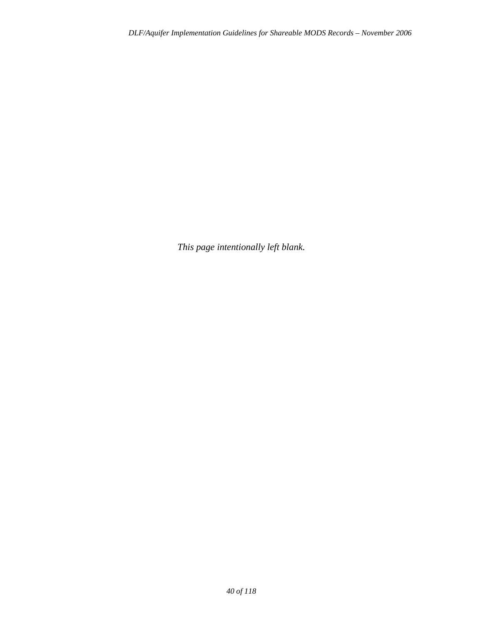*This page intentionally left blank.*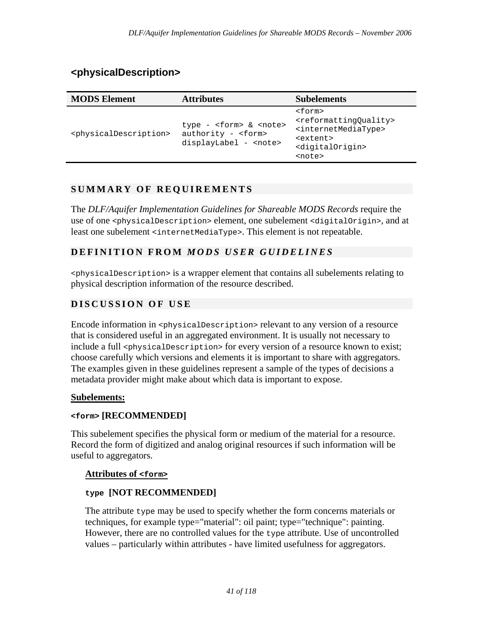# **<physicalDescription>**

| <b>MODS Element</b>                         | <b>Attributes</b>                                                              | <b>Subelements</b>                                                                                                                                                                  |
|---------------------------------------------|--------------------------------------------------------------------------------|-------------------------------------------------------------------------------------------------------------------------------------------------------------------------------------|
| <physicaldescription></physicaldescription> | $type -  < note$<br>authority - <form><br/>displayLabel - <note></note></form> | $<$ form $>$<br><reformattingquality><br/><internetmediatype><br/><extent><br/><digitalorigin><br/><note></note></digitalorigin></extent></internetmediatype></reformattingquality> |

# **SUMMARY OF REQUIREMENTS**

The *DLF/Aquifer Implementation Guidelines for Shareable MODS Records* require the use of one <physicalDescription> element, one subelement <digitalOrigin>, and at least one subelement <internetMediaType>. This element is not repeatable.

# **DEFINITION FROM** *MODS USER GUIDELINES*

<physicalDescription> is a wrapper element that contains all subelements relating to physical description information of the resource described.

# **DISCUSSION OF USE**

Encode information in  $\epsilon$ <sub>physicalDescription</sub>, relevant to any version of a resource that is considered useful in an aggregated environment. It is usually not necessary to include a full <physicalDescription> for every version of a resource known to exist; choose carefully which versions and elements it is important to share with aggregators. The examples given in these guidelines represent a sample of the types of decisions a metadata provider might make about which data is important to expose.

## **Subelements:**

## **<form> [RECOMMENDED]**

This subelement specifies the physical form or medium of the material for a resource. Record the form of digitized and analog original resources if such information will be useful to aggregators.

## **Attributes of <form>**

## **type [NOT RECOMMENDED]**

The attribute type may be used to specify whether the form concerns materials or techniques, for example type="material": oil paint; type="technique": painting. However, there are no controlled values for the type attribute. Use of uncontrolled values – particularly within attributes - have limited usefulness for aggregators.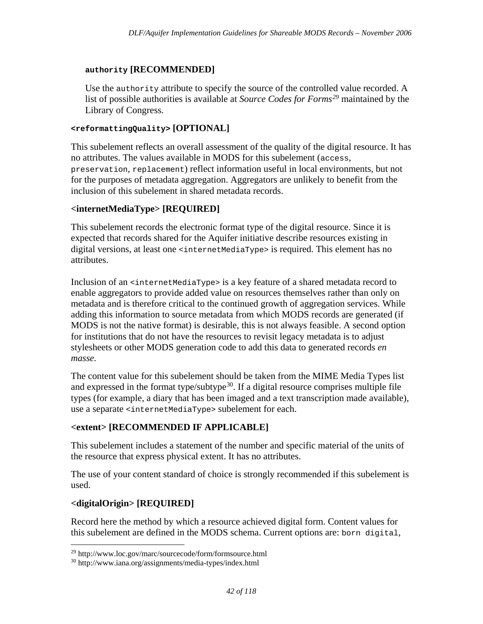## **authority [RECOMMENDED]**

Use the authority attribute to specify the source of the controlled value recorded. A list of possible authorities is available at *Source Codes for Forms[29](#page-41-0)* maintained by the Library of Congress.

## **<reformattingQuality> [OPTIONAL]**

This subelement reflects an overall assessment of the quality of the digital resource. It has no attributes. The values available in MODS for this subelement (access, preservation, replacement) reflect information useful in local environments, but not for the purposes of metadata aggregation. Aggregators are unlikely to benefit from the inclusion of this subelement in shared metadata records.

## **<internetMediaType> [REQUIRED]**

This subelement records the electronic format type of the digital resource. Since it is expected that records shared for the Aquifer initiative describe resources existing in digital versions, at least one <internetMediaType> is required. This element has no attributes.

Inclusion of an <internetMediaType> is a key feature of a shared metadata record to enable aggregators to provide added value on resources themselves rather than only on metadata and is therefore critical to the continued growth of aggregation services. While adding this information to source metadata from which MODS records are generated (if MODS is not the native format) is desirable, this is not always feasible. A second option for institutions that do not have the resources to revisit legacy metadata is to adjust stylesheets or other MODS generation code to add this data to generated records *en masse.*

The content value for this subelement should be taken from the MIME Media Types list and expressed in the format type/subtype<sup>30</sup>. If a digital resource comprises multiple file types (for example, a diary that has been imaged and a text transcription made available), use a separate <internetMediaType> subelement for each.

# **<extent> [RECOMMENDED IF APPLICABLE]**

This subelement includes a statement of the number and specific material of the units of the resource that express physical extent. It has no attributes.

The use of your content standard of choice is strongly recommended if this subelement is used.

# **<digitalOrigin> [REQUIRED]**

 $\overline{a}$ 

Record here the method by which a resource achieved digital form. Content values for this subelement are defined in the MODS schema. Current options are: born digital,

<span id="page-41-0"></span><sup>29</sup> http://www.loc.gov/marc/sourcecode/form/formsource.html

<span id="page-41-1"></span><sup>30</sup> http://www.iana.org/assignments/media-types/index.html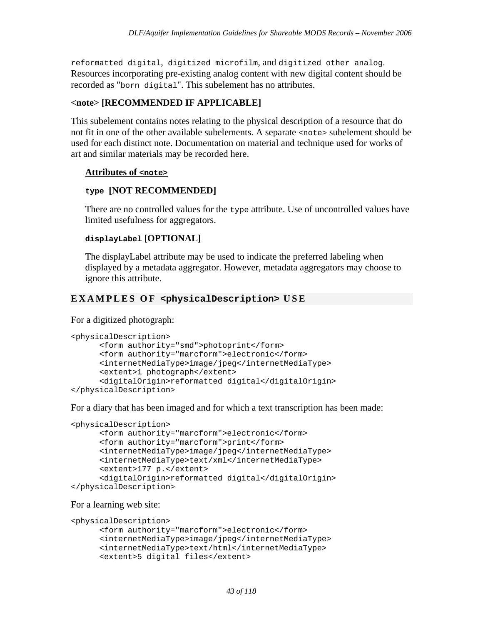reformatted digital, digitized microfilm, and digitized other analog. Resources incorporating pre-existing analog content with new digital content should be recorded as "born digital". This subelement has no attributes.

### **<note> [RECOMMENDED IF APPLICABLE]**

This subelement contains notes relating to the physical description of a resource that do not fit in one of the other available subelements. A separate <note> subelement should be used for each distinct note. Documentation on material and technique used for works of art and similar materials may be recorded here.

### **Attributes of <note>**

### **type [NOT RECOMMENDED]**

There are no controlled values for the type attribute. Use of uncontrolled values have limited usefulness for aggregators.

#### **displayLabel [OPTIONAL]**

The displayLabel attribute may be used to indicate the preferred labeling when displayed by a metadata aggregator. However, metadata aggregators may choose to ignore this attribute.

### **EXAMPLES OF <physicalDescription> USE**

For a digitized photograph:

```
<physicalDescription>
      <form authority="smd">photoprint</form>
      <form authority="marcform">electronic</form>
      <internetMediaType>image/jpeg</internetMediaType>
      <extent>1 photograph</extent>
      <digitalOrigin>reformatted digital</digitalOrigin>
</physicalDescription>
```
For a diary that has been imaged and for which a text transcription has been made:

```
<physicalDescription>
```

```
<form authority="marcform">electronic</form>
      <form authority="marcform">print</form>
      <internetMediaType>image/jpeg</internetMediaType>
      <internetMediaType>text/xml</internetMediaType>
      <extent>177 p.</extent>
      <digitalOrigin>reformatted digital</digitalOrigin>
</physicalDescription>
```
For a learning web site:

```
<physicalDescription>
      <form authority="marcform">electronic</form>
      <internetMediaType>image/jpeg</internetMediaType>
      <internetMediaType>text/html</internetMediaType>
      <extent>5 digital files</extent>
```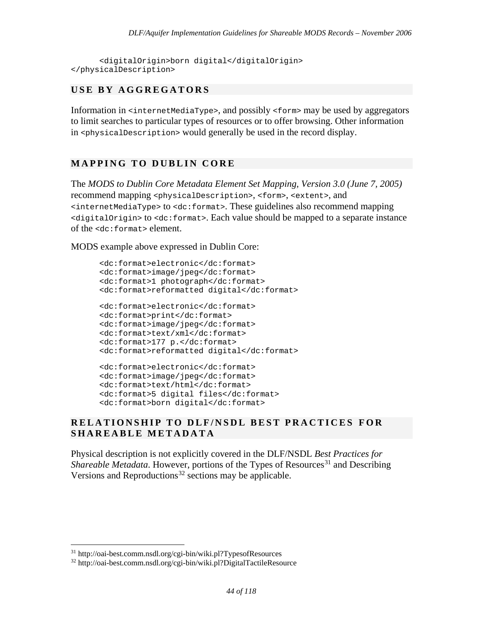```
<digitalOrigin>born digital</digitalOrigin>
</physicalDescription>
```
### **USE BY AGGREGATORS**

Information in <internetMediaType>, and possibly <form> may be used by aggregators to limit searches to particular types of resources or to offer browsing. Other information in <physicalDescription> would generally be used in the record display.

### **MAPPING TO DUBLIN CORE**

The *MODS to Dublin Core Metadata Element Set Mapping, Version 3.0 (June 7, 2005)* recommend mapping <physicalDescription>, <form>, <extent>, and <internetMediaType> to <dc:format>. These guidelines also recommend mapping <digitalOrigin> to <dc:format>. Each value should be mapped to a separate instance of the <dc:format> element.

MODS example above expressed in Dublin Core:

```
<dc:format>electronic</dc:format>
<dc:format>image/jpeg</dc:format>
<dc:format>1 photograph</dc:format>
<dc:format>reformatted digital</dc:format>
<dc:format>electronic</dc:format>
<dc:format>print</dc:format>
<dc:format>image/jpeg</dc:format>
<dc:format>text/xml</dc:format>
<dc:format>177 p.</dc:format>
<dc:format>reformatted digital</dc:format>
<dc:format>electronic</dc:format>
<dc:format>image/jpeg</dc:format>
<dc:format>text/html</dc:format>
<dc:format>5 digital files</dc:format>
<dc:format>born digital</dc:format>
```
### **RELATIONSHIP TO DLF/ NSDL BEST PRACTICES FOR SHAREABLE METADATA**

Physical description is not explicitly covered in the DLF/NSDL *Best Practices for Shareable Metadata*. However, portions of the Types of Resources<sup>[31](#page-43-0)</sup> and Describing Versions and Reproductions<sup>[32](#page-43-1)</sup> sections may be applicable.

 $\overline{a}$ 

<span id="page-43-0"></span><sup>31</sup> http://oai-best.comm.nsdl.org/cgi-bin/wiki.pl?TypesofResources

<span id="page-43-1"></span><sup>32</sup> http://oai-best.comm.nsdl.org/cgi-bin/wiki.pl?DigitalTactileResource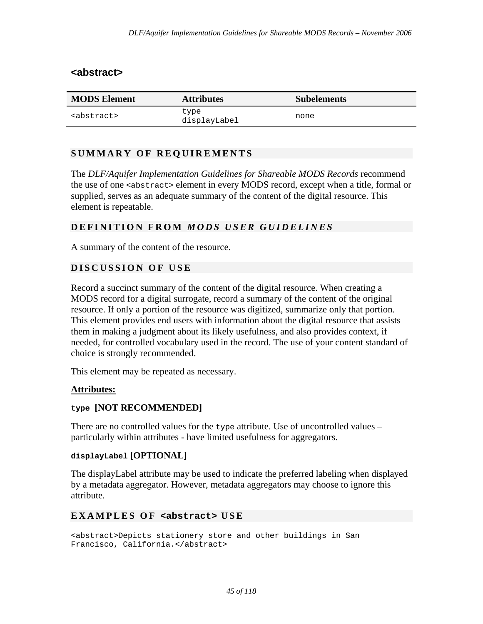### **<abstract>**

| <b>MODS Element</b>   | <b>Attributes</b>    | <b>Subelements</b> |
|-----------------------|----------------------|--------------------|
| <abstract></abstract> | type<br>displayLabel | none               |

## **SUMMARY OF REQUIREMENTS**

The *DLF/Aquifer Implementation Guidelines for Shareable MODS Records* recommend the use of one <abstract> element in every MODS record, except when a title, formal or supplied, serves as an adequate summary of the content of the digital resource. This element is repeatable.

## **DEFINITION FROM** *MODS USER GUIDELINES*

A summary of the content of the resource.

### **DIS CUSSION OF USE**

Record a succinct summary of the content of the digital resource. When creating a MODS record for a digital surrogate, record a summary of the content of the original resource. If only a portion of the resource was digitized, summarize only that portion. This element provides end users with information about the digital resource that assists them in making a judgment about its likely usefulness, and also provides context, if needed, for controlled vocabulary used in the record. The use of your content standard of choice is strongly recommended.

This element may be repeated as necessary.

### **Attributes:**

### **type [NOT RECOMMENDED]**

There are no controlled values for the  $type$  attribute. Use of uncontrolled values – particularly within attributes - have limited usefulness for aggregators.

#### **displayLabel [OPTIONAL]**

The displayLabel attribute may be used to indicate the preferred labeling when displayed by a metadata aggregator. However, metadata aggregators may choose to ignore this attribute.

### **EXAMPLES O F <abstract> USE**

```
<abstract>Depicts stationery store and other buildings in San 
Francisco, California.</abstract>
```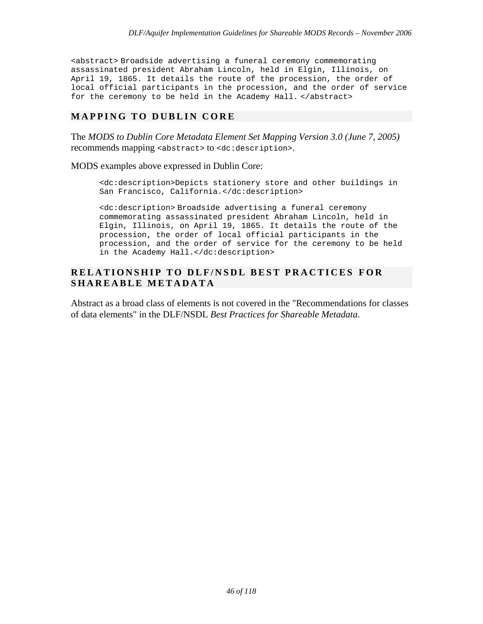<abstract> Broadside advertising a funeral ceremony commemorating assassinated president Abraham Lincoln, held in Elgin, Illinois, on April 19, 1865. It details the route of the procession, the order of local official participants in the procession, and the order of service for the ceremony to be held in the Academy Hall. </abstract>

## **MAPPING TO DUBLIN CORE**

The *MODS to Dublin Core Metadata Element Set Mapping Version 3.0 (June 7, 2005)* recommends mapping <abstract> to <dc:description>.

MODS examples above expressed in Dublin Core:

<dc:description>Depicts stationery store and other buildings in San Francisco, California.</dc:description>

<dc:description> Broadside advertising a funeral ceremony commemorating assassinated president Abraham Lincoln, held in Elgin, Illinois, on April 19, 1865. It details the route of the procession, the order of local official participants in the procession, and the order of service for the ceremony to be held in the Academy Hall.</dc:description>

## **RELATIONSHIP TO DLF/ NSDL BEST PRACTICES FOR SHAREABLE METADATA**

Abstract as a broad class of elements is not covered in the "Recommendations for classes of data elements" in the DLF/NSDL *Best Practices for Shareable Metadata*.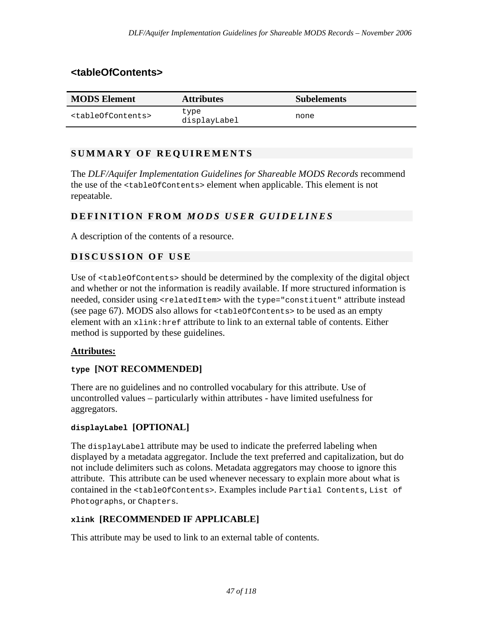# **<tableOfContents>**

| <b>MODS Element</b>                 | <b>Attributes</b>    | <b>Subelements</b> |
|-------------------------------------|----------------------|--------------------|
| <tableofcontents></tableofcontents> | type<br>displayLabel | none               |

# **SUMMARY OF REQUIREMENTS**

The *DLF/Aquifer Implementation Guidelines for Shareable MODS Records* recommend the use of the <tableOfContents> element when applicable. This element is not repeatable.

# **DEFINITION FROM** *MODS USER GUIDELINES*

A description of the contents of a resource.

# **DISCUSSION OF USE**

Use of <tableOfContents> should be determined by the complexity of the digital object and whether or not the information is readily available. If more structured information is needed, consider using <relatedItem> with the type="constituent" attribute instead (see page [67\)](#page-66-0). MODS also allows for <tableOfContents> to be used as an empty element with an xlink:href attribute to link to an external table of contents. Either method is supported by these guidelines.

## **Attributes:**

## **type [NOT RECOMMENDED]**

There are no guidelines and no controlled vocabulary for this attribute. Use of uncontrolled values – particularly within attributes - have limited usefulness for aggregators.

## **displayLabel [OPTIONAL]**

The displayLabel attribute may be used to indicate the preferred labeling when displayed by a metadata aggregator. Include the text preferred and capitalization, but do not include delimiters such as colons. Metadata aggregators may choose to ignore this attribute. This attribute can be used whenever necessary to explain more about what is contained in the <tableOfContents>. Examples include Partial Contents, List of Photographs, or Chapters.

### **xlink [RECOMMENDED IF APPLICABLE]**

This attribute may be used to link to an external table of contents.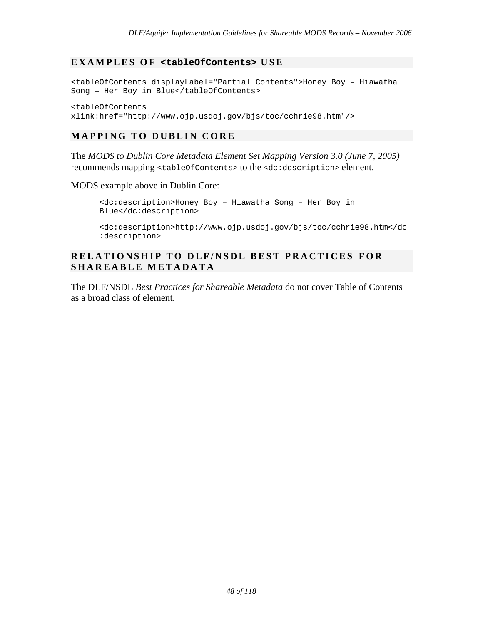## **EXAMPLES OF <tableOfContents> USE**

```
<tableOfContents displayLabel="Partial Contents">Honey Boy – Hiawatha 
Song - Her Boy in Blue</tableOfContents>
```
<tableOfContents xlink:href=["http://www.ojp.usdoj.gov/bjs/toc/cchrie98.htm"](http://www.ojp.usdoj.gov/bjs/toc/cchrie98.htm)/>

# **MAPPING TO DUBLIN CORE**

The *MODS to Dublin Core Metadata Element Set Mapping Version 3.0 (June 7, 2005)* recommends mapping <tableOfContents> to the <dc:description> element.

MODS example above in Dublin Core:

<dc:description>Honey Boy – Hiawatha Song – Her Boy in Blue</dc:description>

<dc:description[>http://www.ojp.usdoj.gov/bjs/toc/cchrie98.htm<](http://www.ojp.usdoj.gov/bjs/toc/cchrie98.htm)/dc :description>

### **RELATIONSHIP TO DLF/ NSDL BEST PRACTICES FOR SHAREABLE METADATA**

The DLF/NSDL *Best Practices for Shareable Metadata* do not cover Table of Contents as a broad class of element.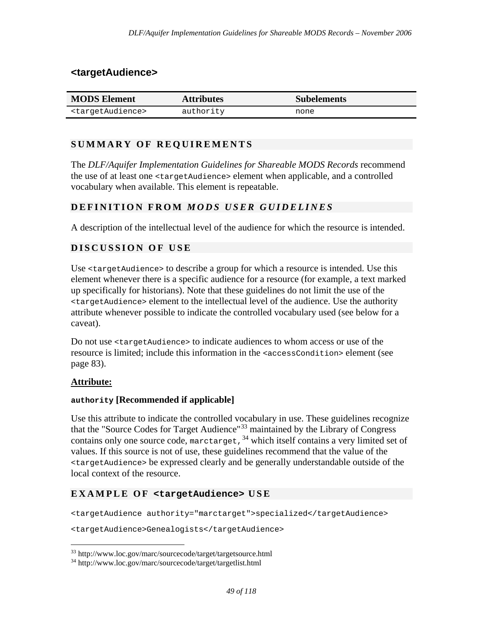## **<targetAudience>**

| <b>MODS Element</b>               | <b>Attributes</b> | <b>Subelements</b> |
|-----------------------------------|-------------------|--------------------|
| <tarqetaudience></tarqetaudience> | authority         | none               |

## **SUMMARY OF REQUIREMENTS**

The *DLF/Aquifer Implementation Guidelines for Shareable MODS Records* recommend the use of at least one <targetAudience> element when applicable, and a controlled vocabulary when available. This element is repeatable.

### **DEFINITION FROM** *MODS USER GUIDELINES*

A description of the intellectual level of the audience for which the resource is intended.

## **DISCUSSION OF USE**

Use <targetAudience> to describe a group for which a resource is intended. Use this element whenever there is a specific audience for a resource (for example, a text marked up specifically for historians). Note that these guidelines do not limit the use of the <targetAudience> element to the intellectual level of the audience. Use the authority attribute whenever possible to indicate the controlled vocabulary used (see below for a caveat).

Do not use <targetAudience> to indicate audiences to whom access or use of the resource is limited; include this information in the <accessCondition> element (see page [83\)](#page-82-0).

### **Attribute:**

 $\overline{a}$ 

### **authority [Recommended if applicable]**

Use this attribute to indicate the controlled vocabulary in use. These guidelines recognize that the "Source Codes for Target Audience"[33](#page-48-0) maintained by the Library of Congress contains only one source code, marctarget,  $34$  which itself contains a very limited set of values. If this source is not of use, these guidelines recommend that the value of the <targetAudience> be expressed clearly and be generally understandable outside of the local context of the resource.

### **EXAMPLE OF <targetAudience> USE**

<targetAudience authority="marctarget">specialized</targetAudience>

<targetAudience>Genealogists</targetAudience>

<span id="page-48-0"></span><sup>33</sup> http://www.loc.gov/marc/sourcecode/target/targetsource.html

<span id="page-48-1"></span><sup>34</sup> http://www.loc.gov/marc/sourcecode/target/targetlist.html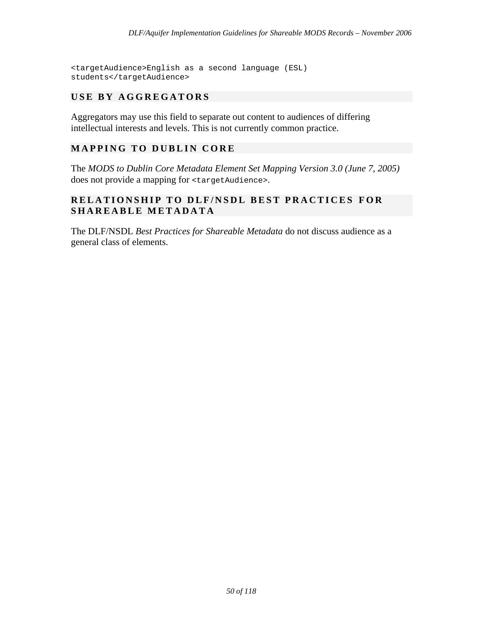```
<targetAudience>English as a second language (ESL) 
students</targetAudience>
```
## **USE BY AGGREGATORS**

Aggregators may use this field to separate out content to audiences of differing intellectual interests and levels. This is not currently common practice.

## **MAPPING TO DUBLIN CORE**

The *MODS to Dublin Core Metadata Element Set Mapping Version 3.0 (June 7, 2005)* does not provide a mapping for <targetAudience>.

## **RELATIONSHIP TO DLF/NSDL BEST PRACTICES FOR SHAREABLE METADATA**

The DLF/NSDL *Best Practices for Shareable Metadata* do not discuss audience as a general class of elements.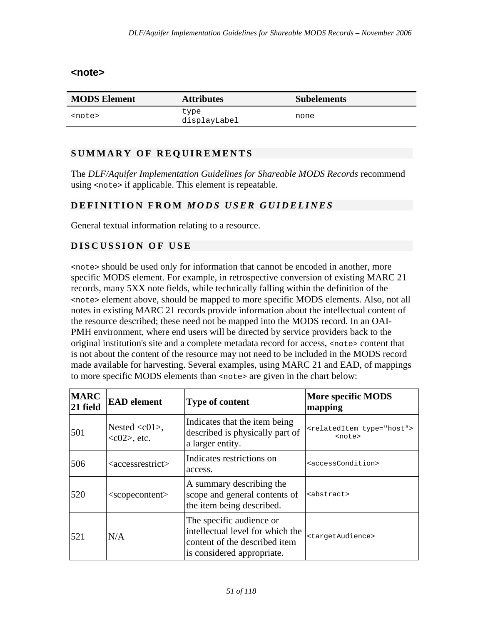**<note>**

| <b>MODS Element</b> | <b>Attributes</b>    | <b>Subelements</b> |
|---------------------|----------------------|--------------------|
| <note></note>       | type<br>displayLabel | none               |

## **SUMMARY OF REQUIREMENTS**

The *DLF/Aquifer Implementation Guidelines for Shareable MODS Records* recommend using <note> if applicable. This element is repeatable.

## **DEFINITION FROM** *MODS USER GUIDELINES*

General textual information relating to a resource.

## **DISCUSSION OF USE**

<note> should be used only for information that cannot be encoded in another, more specific MODS element. For example, in retrospective conversion of existing MARC 21 records, many 5XX note fields, while technically falling within the definition of the <note> element above, should be mapped to more specific MODS elements. Also, not all notes in existing MARC 21 records provide information about the intellectual content of the resource described; these need not be mapped into the MODS record. In an OAI-PMH environment, where end users will be directed by service providers back to the original institution's site and a complete metadata record for access, <note> content that is not about the content of the resource may not need to be included in the MODS record made available for harvesting. Several examples, using MARC 21 and EAD, of mappings to more specific MODS elements than <note> are given in the chart below:

| <b>MARC</b><br>21 field | <b>EAD</b> element                                      | <b>Type of content</b>                                                                                                      | More specific MODS<br>mapping                             |
|-------------------------|---------------------------------------------------------|-----------------------------------------------------------------------------------------------------------------------------|-----------------------------------------------------------|
| 501                     | Nested $\langle c01 \rangle$ ,<br>$<$ c $02$ $>$ , etc. | Indicates that the item being<br>described is physically part of<br>a larger entity.                                        | <relateditem type="host"><br/><note></note></relateditem> |
| 506                     | <accessrestrict></accessrestrict>                       | Indicates restrictions on<br>access.                                                                                        | <accesscondition></accesscondition>                       |
| 520                     | $<$ scopecontent $>$                                    | A summary describing the<br>scope and general contents of<br>the item being described.                                      | <abstract></abstract>                                     |
| 521                     | N/A                                                     | The specific audience or<br>intellectual level for which the<br>content of the described item<br>is considered appropriate. | <targetaudience></targetaudience>                         |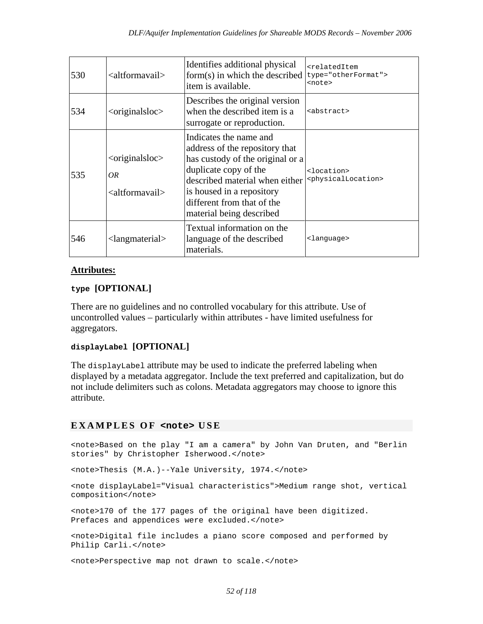| 530 | <altformavail></altformavail>                                          | Identifies additional physical<br>form(s) in which the described<br>item is available.                                                                                                                                                         | <relateditem<br>type="otherFormat"&gt;<br/><note></note></relateditem<br> |
|-----|------------------------------------------------------------------------|------------------------------------------------------------------------------------------------------------------------------------------------------------------------------------------------------------------------------------------------|---------------------------------------------------------------------------|
| 534 | $\langle$ originalsloc $>$                                             | Describes the original version<br>when the described item is a<br>surrogate or reproduction.                                                                                                                                                   | <abstract></abstract>                                                     |
| 535 | <originalsloc><br/>0R<br/><altformavail></altformavail></originalsloc> | Indicates the name and<br>address of the repository that<br>has custody of the original or a<br>duplicate copy of the<br>described material when either<br>is housed in a repository<br>different from that of the<br>material being described | <location><br/><physicallocation></physicallocation></location>           |
| 546 | $\langle$ langmaterial $\rangle$                                       | Textual information on the<br>language of the described<br>materials.                                                                                                                                                                          | <language></language>                                                     |

## **Attributes:**

### **type [OPTIONAL]**

There are no guidelines and no controlled vocabulary for this attribute. Use of uncontrolled values – particularly within attributes - have limited usefulness for aggregators.

## **displayLabel [OPTIONAL]**

The displayLabel attribute may be used to indicate the preferred labeling when displayed by a metadata aggregator. Include the text preferred and capitalization, but do not include delimiters such as colons. Metadata aggregators may choose to ignore this attribute.

# **EXAMPLES OF <note> USE**

<note>Based on the play "I am a camera" by John Van Druten, and "Berlin stories" by Christopher Isherwood.</note>

<note>Thesis (M.A.)--Yale University, 1974.</note>

<note displayLabel="Visual characteristics">Medium range shot, vertical composition</note>

<note>170 of the 177 pages of the original have been digitized. Prefaces and appendices were excluded.</note>

<note>Digital file includes a piano score composed and performed by Philip Carli.</note>

<note>Perspective map not drawn to scale.</note>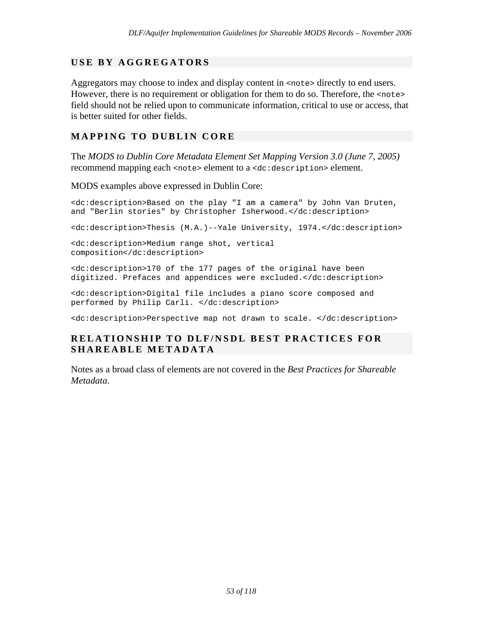# **USE BY AGGREGATORS**

Aggregators may choose to index and display content in <note> directly to end users. However, there is no requirement or obligation for them to do so. Therefore, the <note> field should not be relied upon to communicate information, critical to use or access, that is better suited for other fields.

# **MAPPING TO DUBLIN CORE**

The *MODS to Dublin Core Metadata Element Set Mapping Version 3.0 (June 7, 2005)* recommend mapping each <note> element to a <dc:description> element.

MODS examples above expressed in Dublin Core:

<dc:description>Based on the play "I am a camera" by John Van Druten, and "Berlin stories" by Christopher Isherwood.</dc:description>

<dc:description>Thesis (M.A.)--Yale University, 1974.</dc:description>

<dc:description>Medium range shot, vertical composition</dc:description>

<dc:description>170 of the 177 pages of the original have been digitized. Prefaces and appendices were excluded.</dc:description>

<dc:description>Digital file includes a piano score composed and performed by Philip Carli. </dc:description>

<dc:description>Perspective map not drawn to scale. </dc:description>

## **RELATIONSHIP TO DLF/ NSDL BEST PRACTICES FOR SHAREABLE METADATA**

Notes as a broad class of elements are not covered in the *Best Practices for Shareable Metadata*.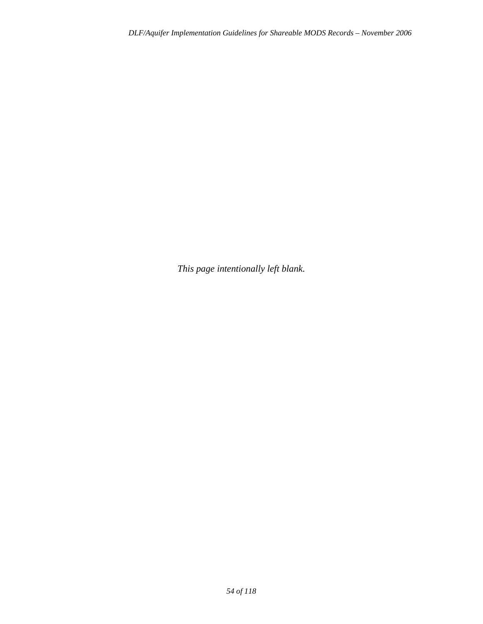*This page intentionally left blank.*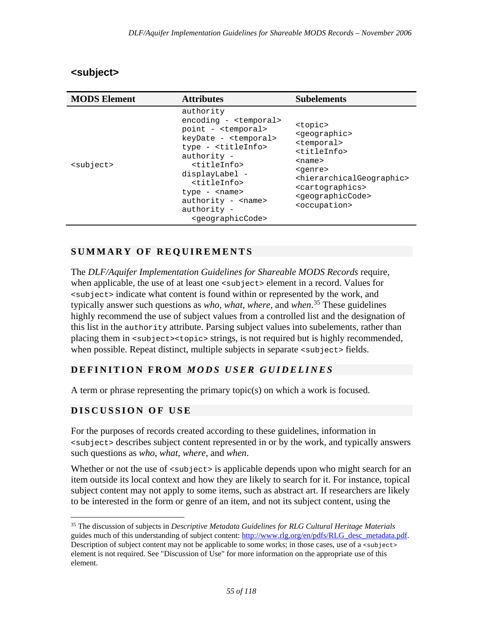## **<subject>**

| <b>MODS Element</b> | <b>Attributes</b>                                                                                                                                                                                                                                                                                                                                                 | <b>Subelements</b>                                                                                                                                                                                                                                                                                      |
|---------------------|-------------------------------------------------------------------------------------------------------------------------------------------------------------------------------------------------------------------------------------------------------------------------------------------------------------------------------------------------------------------|---------------------------------------------------------------------------------------------------------------------------------------------------------------------------------------------------------------------------------------------------------------------------------------------------------|
| <subject></subject> | authority<br>encoding - <temporal><br/>point - <temporal><br/>keyDate - <temporal><br/>type - <titleinfo><br/>authority -<br/><titleinfo><br/>displayLabel -<br/><titleinfo><br/><math>type - can</math><br/>authority - <name><br/>authority -<br/><geographiccode></geographiccode></name></titleinfo></titleinfo></titleinfo></temporal></temporal></temporal> | <topic><br/><geographic><br/><temporal><br/><titleinfo><br/><name><br/><genre><br/><hierarchicalgeographic><br/><cartographics><br/><qeoqraphiccode><br/><occupation></occupation></qeoqraphiccode></cartographics></hierarchicalgeographic></genre></name></titleinfo></temporal></geographic></topic> |

## **SUMMARY OF REQUIRE MENTS**

The *DLF/Aquifer Implementation Guidelines for Shareable MODS Records* require, when applicable, the use of at least one <subject> element in a record. Values for <subject> indicate what content is found within or represented by the work, and typically answer such questions as *who*, *what*, *where*, and *when*. [35](#page-54-0) These guidelines highly recommend the use of subject values from a controlled list and the designation of this list in the authority attribute. Parsing subject values into subelements, rather than placing them in <subject><topic> strings, is not required but is highly recommended, when possible. Repeat distinct, multiple subjects in separate  $\langle$  subject  $\rangle$  fields.

## **DEFINITION FROM** *MODS USER GUIDELINES*

A term or phrase representing the primary topic(s) on which a work is focused.

## **DISCUSSION OF USE**

 $\overline{a}$ 

For the purposes of records created according to these guidelines, information in <subject> describes subject content represented in or by the work, and typically answers such questions as *who*, *what*, *where*, and *when*.

Whether or not the use of  $\langle$  subject is applicable depends upon who might search for an item outside its local context and how they are likely to search for it. For instance, topical subject content may not apply to some items, such as abstract art. If researchers are likely to be interested in the form or genre of an item, and not its subject content, using the

<span id="page-54-0"></span><sup>35</sup> The discussion of subjects in *Descriptive Metadata Guidelines for RLG Cultural Heritage Materials* guides much of this understanding of subject content[: http://www.rlg.org/en/pdfs/RLG\\_desc\\_metadata.pdf.](http://www.rlg.org/en/pdfs/RLG_desc_metadata.pdf)  Description of subject content may not be applicable to some works; in those cases, use of a <subject> element is not required. See "Discussion of Use" for more information on the appropriate use of this element.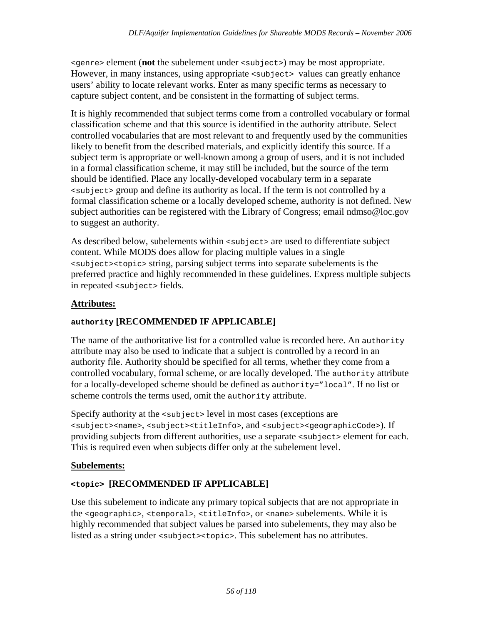<genre> element (**not** the subelement under <subject>) may be most appropriate. However, in many instances, using appropriate <subject> values can greatly enhance users' ability to locate relevant works. Enter as many specific terms as necessary to capture subject content, and be consistent in the formatting of subject terms.

It is highly recommended that subject terms come from a controlled vocabulary or formal classification scheme and that this source is identified in the authority attribute. Select controlled vocabularies that are most relevant to and frequently used by the communities likely to benefit from the described materials, and explicitly identify this source. If a subject term is appropriate or well-known among a group of users, and it is not included in a formal classification scheme, it may still be included, but the source of the term should be identified. Place any locally-developed vocabulary term in a separate <subject> group and define its authority as local. If the term is not controlled by a formal classification scheme or a locally developed scheme, authority is not defined. New subject authorities can be registered with the Library of Congress; email ndmso@loc.gov to suggest an authority.

As described below, subelements within <subject> are used to differentiate subject content. While MODS does allow for placing multiple values in a single <subject><topic> string, parsing subject terms into separate subelements is the preferred practice and highly recommended in these guidelines. Express multiple subjects in repeated <subject> fields.

# **Attributes:**

## **authority [RECOMMENDED IF APPLICABLE]**

The name of the authoritative list for a controlled value is recorded here. An authority attribute may also be used to indicate that a subject is controlled by a record in an authority file. Authority should be specified for all terms, whether they come from a controlled vocabulary, formal scheme, or are locally developed. The authority attribute for a locally-developed scheme should be defined as authority="local". If no list or scheme controls the terms used, omit the authority attribute.

Specify authority at the <subject> level in most cases (exceptions are <subject><name>, <subject><titleInfo>, and <subject><geographicCode>). If providing subjects from different authorities, use a separate <subject> element for each. This is required even when subjects differ only at the subelement level.

## **Subelements:**

# **<topic> [RECOMMENDED IF APPLICABLE]**

Use this subelement to indicate any primary topical subjects that are not appropriate in the <geographic>, <temporal>, <titleInfo>, or <name> subelements. While it is highly recommended that subject values be parsed into subelements, they may also be listed as a string under <subject><topic>. This subelement has no attributes.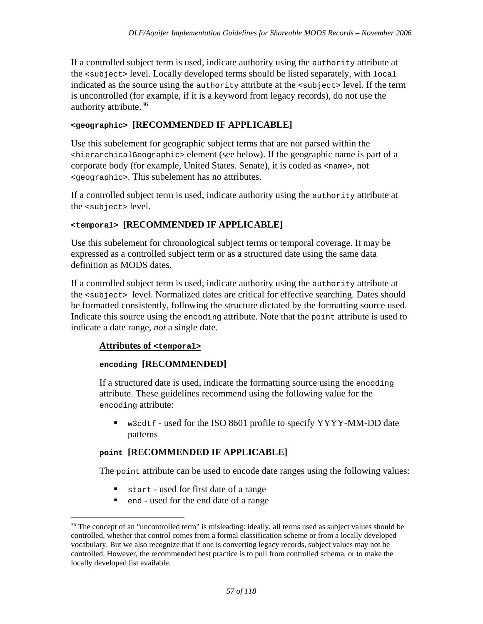If a controlled subject term is used, indicate authority using the authority attribute at the <subject> level. Locally developed terms should be listed separately, with local indicated as the source using the authority attribute at the <subject> level. If the term is uncontrolled (for example, if it is a keyword from legacy records), do not use the authority attribute. $36$ 

## **<geographic> [RECOMMENDED IF APPLICABLE]**

Use this subelement for geographic subject terms that are not parsed within the <hierarchicalGeographic> element (see below). If the geographic name is part of a corporate body (for example, United States. Senate), it is coded as <name>, not <geographic>. This subelement has no attributes.

If a controlled subject term is used, indicate authority using the authority attribute at the <subject> level.

## **<temporal> [RECOMMENDED IF APPLICABLE]**

Use this subelement for chronological subject terms or temporal coverage. It may be expressed as a controlled subject term or as a structured date using the same data definition as MODS dates.

If a controlled subject term is used, indicate authority using the authority attribute at the <subject> level. Normalized dates are critical for effective searching. Dates should be formatted consistently, following the structure dictated by the formatting source used. Indicate this source using the encoding attribute. Note that the point attribute is used to indicate a date range, *not* a single date.

### **Attributes of <temporal>**

 $\overline{a}$ 

### **encoding [RECOMMENDED]**

If a structured date is used, indicate the formatting source using the encoding attribute. These guidelines recommend using the following value for the encoding attribute:

 w3cdtf - used for the ISO 8601 profile to specify YYYY-MM-DD date patterns

## **point [RECOMMENDED IF APPLICABLE]**

The point attribute can be used to encode date ranges using the following values:

- start used for first date of a range
- end used for the end date of a range

<span id="page-56-0"></span><sup>&</sup>lt;sup>36</sup> The concept of an "uncontrolled term" is misleading: ideally, all terms used as subject values should be controlled, whether that control comes from a formal classification scheme or from a locally developed vocabulary. But we also recognize that if one is converting legacy records, subject values may not be controlled. However, the recommended best practice is to pull from controlled schema, or to make the locally developed list available.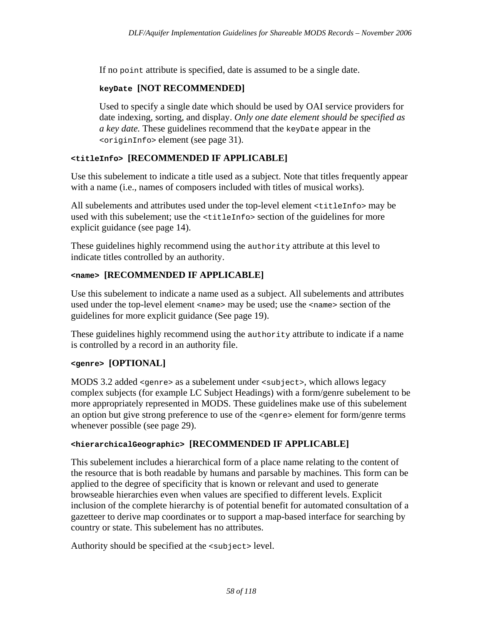If no point attribute is specified, date is assumed to be a single date.

## **keyDate [NOT RECOMMENDED]**

Used to specify a single date which should be used by OAI service providers for date indexing, sorting, and display. *Only one date element should be specified as a key date.* These guidelines recommend that the keyDate appear in the <originInfo> element (see page [31\)](#page-30-0).

## **<titleInfo> [RECOMMENDED IF APPLICABLE]**

Use this subelement to indicate a title used as a subject. Note that titles frequently appear with a name (i.e., names of composers included with titles of musical works).

All subelements and attributes used under the top-level element  $\lt$ titleInfo> may be used with this subelement; use the <titleInfo> section of the guidelines for more explicit guidance (see page [14\)](#page-13-0).

These guidelines highly recommend using the authority attribute at this level to indicate titles controlled by an authority.

## **<name> [RECOMMENDED IF APPLICABLE]**

Use this subelement to indicate a name used as a subject. All subelements and attributes used under the top-level element <name> may be used; use the <name> section of the guidelines for more explicit guidance (See page [19\)](#page-18-0).

These guidelines highly recommend using the authority attribute to indicate if a name is controlled by a record in an authority file.

## **<genre> [OPTIONAL]**

MODS 3.2 added <genre> as a subelement under <subject>, which allows legacy complex subjects (for example LC Subject Headings) with a form/genre subelement to be more appropriately represented in MODS. These guidelines make use of this subelement an option but give strong preference to use of the <genre> element for form/genre terms whenever possible (see page [29\)](#page-28-0).

## **<hierarchicalGeographic> [RECOMMENDED IF APPLICABLE]**

This subelement includes a hierarchical form of a place name relating to the content of the resource that is both readable by humans and parsable by machines. This form can be applied to the degree of specificity that is known or relevant and used to generate browseable hierarchies even when values are specified to different levels. Explicit inclusion of the complete hierarchy is of potential benefit for automated consultation of a gazetteer to derive map coordinates or to support a map-based interface for searching by country or state. This subelement has no attributes.

Authority should be specified at the <subject> level.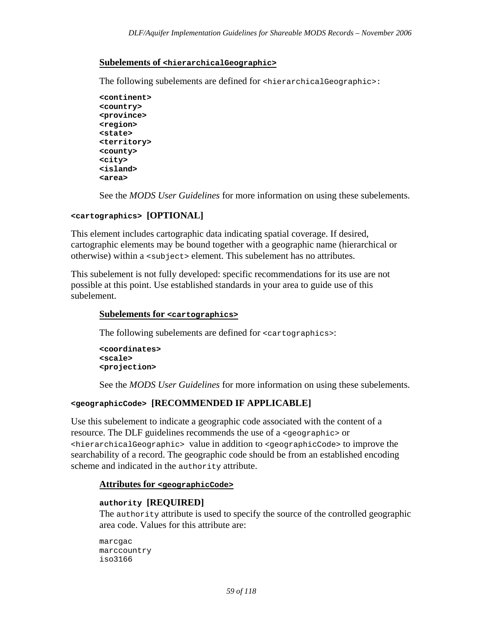#### **Subelements of <hierarchicalGeographic>**

The following subelements are defined for <hierarchicalGeographic>:

```
<continent>
<country>
<province>
<region>
<state>
<territory>
<county>
<city>
<island>
<area>
```
See the *MODS User Guidelines* for more information on using these subelements.

#### **<cartographics> [OPTIONAL]**

This element includes cartographic data indicating spatial coverage. If desired, cartographic elements may be bound together with a geographic name (hierarchical or otherwise) within a <subject> element. This subelement has no attributes.

This subelement is not fully developed: specific recommendations for its use are not possible at this point. Use established standards in your area to guide use of this subelement.

#### **Subelements for <cartographics>**

The following subelements are defined for  $\alpha$  -cartographics>:

**<coordinates> <scale> <projection>**

See the *MODS User Guidelines* for more information on using these subelements.

#### **<geographicCode> [RECOMMENDED IF APPLICABLE]**

Use this subelement to indicate a geographic code associated with the content of a resource. The DLF guidelines recommends the use of a <geographic> or <hierarchicalGeographic> value in addition to <geographicCode> to improve the searchability of a record. The geographic code should be from an established encoding scheme and indicated in the authority attribute.

#### **Attributes for <geographicCode>**

#### **authority [REQUIRED]**

The authority attribute is used to specify the source of the controlled geographic area code. Values for this attribute are:

```
marcgac
marccountry
iso3166
```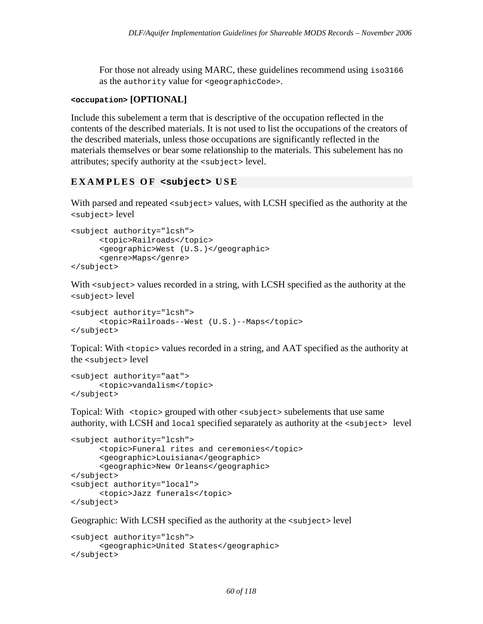For those not already using MARC, these guidelines recommend using iso3166 as the authority value for <geographicCode>.

#### **<occupation> [OPTIONAL]**

Include this subelement a term that is descriptive of the occupation reflected in the contents of the described materials. It is not used to list the occupations of the creators of the described materials, unless those occupations are significantly reflected in the materials themselves or bear some relationship to the materials. This subelement has no attributes; specify authority at the <subject> level.

### **EXAMPLES OF <subject> USE**

With parsed and repeated <subject> values, with LCSH specified as the authority at the <subject> level

```
<subject authority="lcsh">
     <topic>Railroads</topic>
      <geographic>West (U.S.)</geographic>
      <genre>Maps</genre>
</subject>
```
With  $\epsilon$  subject > values recorded in a string, with LCSH specified as the authority at the <subject> level

```
<subject authority="lcsh">
      <topic>Railroads--West (U.S.)--Maps</topic>
</subject>
```
Topical: With <topic> values recorded in a string, and AAT specified as the authority at the <subject> level

```
<subject authority="aat">
      <topic>vandalism</topic>
</subject>
```
Topical: With <topic> grouped with other <subject> subelements that use same authority, with LCSH and local specified separately as authority at the <subject> level

```
<subject authority="lcsh">
      <topic>Funeral rites and ceremonies</topic>
      <geographic>Louisiana</geographic>
     <geographic>New Orleans</geographic>
</subject>
<subject authority="local">
      <topic>Jazz funerals</topic>
</subject>
```
Geographic: With LCSH specified as the authority at the <subject> level

```
<subject authority="lcsh">
      <geographic>United States</geographic>
</subject>
```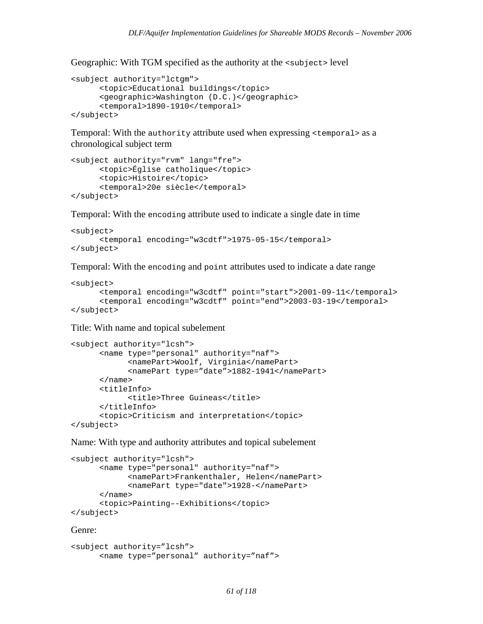Geographic: With TGM specified as the authority at the <subject> level

```
<subject authority="lctgm">
      <topic>Educational buildings</topic>
      <geographic>Washington (D.C.)</geographic>
      <temporal>1890-1910</temporal>
</subject>
```
Temporal: With the authority attribute used when expressing <temporal> as a chronological subject term

```
<subject authority="rvm" lang="fre">
      <topic>Église catholique</topic>
      <topic>Histoire</topic>
      <temporal>20e siècle</temporal>
</subject>
```
Temporal: With the encoding attribute used to indicate a single date in time

```
<subject>
      <temporal encoding="w3cdtf">1975-05-15</temporal>
</subject>
```
Temporal: With the encoding and point attributes used to indicate a date range

```
<subject>
      <temporal encoding="w3cdtf" point="start">2001-09-11</temporal>
      <temporal encoding="w3cdtf" point="end">2003-03-19</temporal>
</subject>
```
Title: With name and topical subelement

```
<subject authority="lcsh">
      <name type="personal" authority="naf">
            <namePart>Woolf, Virginia</namePart>
            <namePart type="date">1882-1941</namePart>
      </name>
      <titleInfo>
            <title>Three Guineas</title>
      </titleInfo>
      <topic>Criticism and interpretation</topic>
</subject>
```
Name: With type and authority attributes and topical subelement

```
<subject authority="lcsh">
      <name type="personal" authority="naf">
            <namePart>Frankenthaler, Helen</namePart>
            <namePart type="date">1928-</namePart>
      </name>
      <topic>Painting–-Exhibitions</topic>
</subject>
```
Genre:

```
<subject authority="lcsh">
      <name type="personal" authority="naf">
```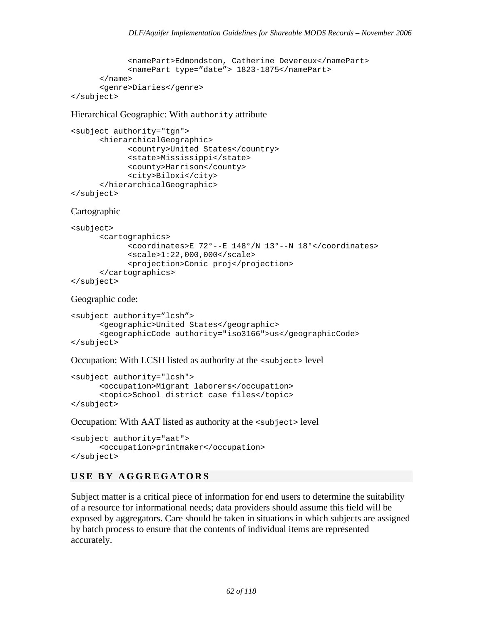```
<namePart>Edmondston, Catherine Devereux</namePart>
            <namePart type="date"> 1823-1875</namePart>
      </name>
      <genre>Diaries</genre>
</subject>
```
Hierarchical Geographic: With authority attribute

```
<subject authority="tgn">
      <hierarchicalGeographic>
            <country>United States</country>
            <state>Mississippi</state>
            <county>Harrison</county>
            <city>Biloxi</city>
      </hierarchicalGeographic>
</subject>
```
#### Cartographic

```
<subject>
      <cartographics>
            <coordinates>E 72°--E 148°/N 13°--N 18°</coordinates>
            <scale>1:22,000,000</scale>
            <projection>Conic proj</projection>
      </cartographics>
</subject>
```
Geographic code:

```
<subject authority="lcsh">
      <geographic>United States</geographic>
      <geographicCode authority="iso3166">us</geographicCode>
</subject>
```
Occupation: With LCSH listed as authority at the <subject> level

```
<subject authority="lcsh">
      <occupation>Migrant laborers</occupation>
      <topic>School district case files</topic>
</subject>
```
Occupation: With AAT listed as authority at the <subject> level

```
<subject authority="aat">
      <occupation>printmaker</occupation>
</subject>
```
## **USE BY AGGREGATORS**

Subject matter is a critical piece of information for end users to determine the suitability of a resource for informational needs; data providers should assume this field will be exposed by aggregators. Care should be taken in situations in which subjects are assigned by batch process to ensure that the contents of individual items are represented accurately.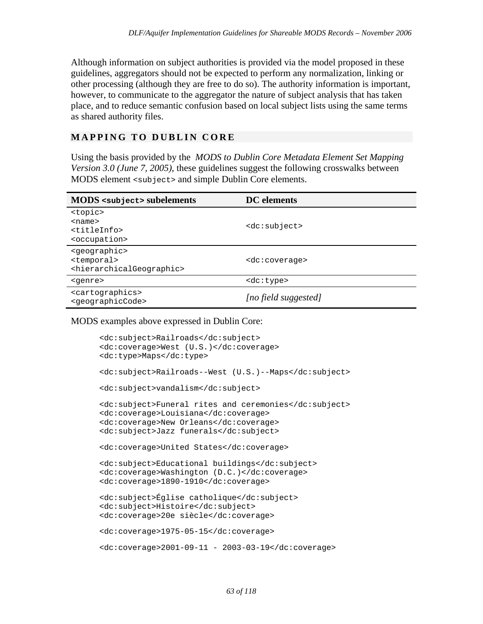Although information on subject authorities is provided via the model proposed in these guidelines, aggregators should not be expected to perform any normalization, linking or other processing (although they are free to do so). The authority information is important, however, to communicate to the aggregator the nature of subject analysis that has taken place, and to reduce semantic confusion based on local subject lists using the same terms as shared authority files.

## **MAPPING TO DUBLIN C ORE**

Using the basis provided by the *MODS to Dublin Core Metadata Element Set Mapping Version 3.0 (June 7, 2005)*, these guidelines suggest the following crosswalks between MODS element <subject> and simple Dublin Core elements.

| MODS <subject> subelements</subject>                                                                      | <b>DC</b> elements          |
|-----------------------------------------------------------------------------------------------------------|-----------------------------|
| <topic><br/><name><br/><titleinfo><br/><occupation></occupation></titleinfo></name></topic>               | <dc:subject></dc:subject>   |
| <geographic><br/><temporal><br/><hierarchicalgeographic></hierarchicalgeographic></temporal></geographic> | <dc:coverage></dc:coverage> |
| <genre></genre>                                                                                           | <dc:type></dc:type>         |
| <cartographics><br/><qeoqraphiccode></qeoqraphiccode></cartographics>                                     | [no field suggested]        |

MODS examples above expressed in Dublin Core:

```
<dc:subject>Railroads</dc:subject>
<dc:coverage>West (U.S.)</dc:coverage>
<dc:type>Maps</dc:type>
<dc:subject>Railroads--West (U.S.)--Maps</dc:subject>
<dc:subject>vandalism</dc:subject>
<dc:subject>Funeral rites and ceremonies</dc:subject>
<dc:coverage>Louisiana</dc:coverage>
<dc:coverage>New Orleans</dc:coverage>
<dc:subject>Jazz funerals</dc:subject>
<dc:coverage>United States</dc:coverage>
<dc:subject>Educational buildings</dc:subject>
<dc:coverage>Washington (D.C.)</dc:coverage>
<dc:coverage>1890-1910</dc:coverage>
<dc:subject>Église catholique</dc:subject>
<dc:subject>Histoire</dc:subject>
<dc:coverage>20e siècle</dc:coverage>
<dc:coverage>1975-05-15</dc:coverage>
<dc:coverage>2001-09-11 - 2003-03-19</dc:coverage>
```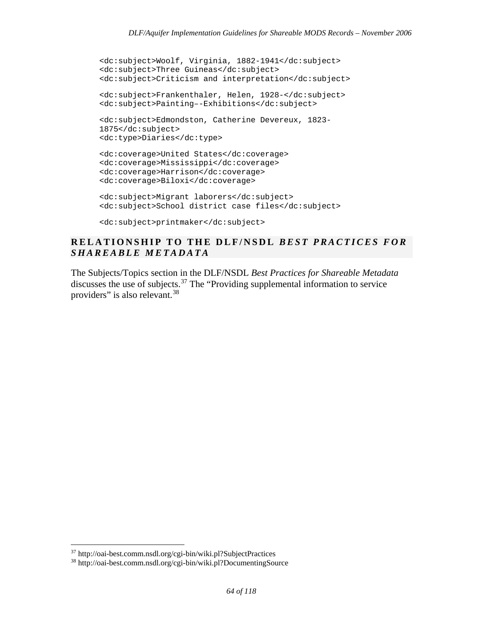<dc:subject>Woolf, Virginia, 1882-1941</dc:subject> <dc:subject>Three Guineas</dc:subject> <dc:subject>Criticism and interpretation</dc:subject> <dc:subject>Frankenthaler, Helen, 1928-</dc:subject> <dc:subject>Painting–-Exhibitions</dc:subject> <dc:subject>Edmondston, Catherine Devereux, 1823- 1875</dc:subject> <dc:type>Diaries</dc:type> <dc:coverage>United States</dc:coverage> <dc:coverage>Mississippi</dc:coverage> <dc:coverage>Harrison</dc:coverage> <dc:coverage>Biloxi</dc:coverage> <dc:subject>Migrant laborers</dc:subject> <dc:subject>School district case files</dc:subject> <dc:subject>printmaker</dc:subject>

## **RELATIONSHIP TO THE DLF/NSDL** *BEST PRACTICES FOR SHAREABLE METADATA*

The Subjects/Topics section in the DLF/NSDL *Best Practices for Shareable Metadata* discusses the use of subjects.<sup>[37](#page-63-0)</sup> The "Providing supplemental information to service providers" is also relevant.<sup>[38](#page-63-1)</sup>

 $\overline{a}$ 

<span id="page-63-0"></span><sup>37</sup> http://oai-best.comm.nsdl.org/cgi-bin/wiki.pl?SubjectPractices

<span id="page-63-1"></span><sup>38</sup> http://oai-best.comm.nsdl.org/cgi-bin/wiki.pl?DocumentingSource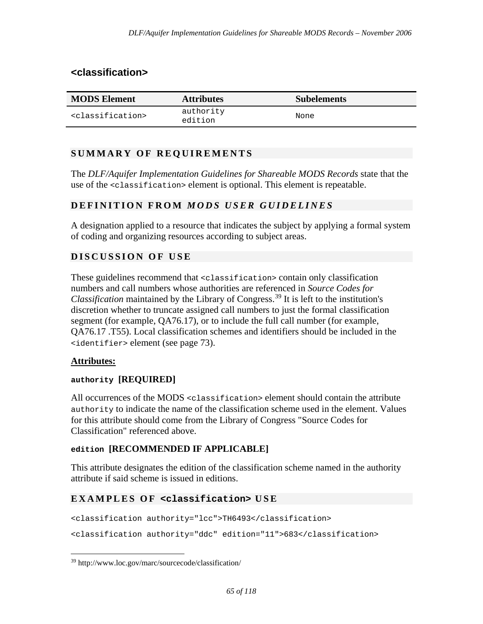# **<classification>**

| <b>MODS Element</b>               | <b>Attributes</b>    | <b>Subelements</b> |
|-----------------------------------|----------------------|--------------------|
| <classification></classification> | authority<br>edition | None               |

# **SUMMARY OF REQUIREMENTS**

The *DLF/Aquifer Implementation Guidelines for Shareable MODS Records* state that the use of the <classification> element is optional. This element is repeatable.

## **DEFINITION FROM** *MODS USER GUIDELINES*

A designation applied to a resource that indicates the subject by applying a formal system of coding and organizing resources according to subject areas.

# **DISCUSSION OF USE**

These guidelines recommend that <classification> contain only classification numbers and call numbers whose authorities are referenced in *Source Codes for Classification* maintained by the Library of Congress.<sup>[39](#page-64-0)</sup> It is left to the institution's discretion whether to truncate assigned call numbers to just the formal classification segment (for example, QA76.17), or to include the full call number (for example, QA76.17 .T55). Local classification schemes and identifiers should be included in the <identifier> element (see page [73\)](#page-72-0).

## **Attributes:**

 $\overline{a}$ 

## **authority [REQUIRED]**

All occurrences of the MODS <classification> element should contain the attribute authority to indicate the name of the classification scheme used in the element. Values for this attribute should come from the Library of Congress "Source Codes for Classification" referenced above.

## **edition [RECOMMENDED IF APPLICABLE]**

This attribute designates the edition of the classification scheme named in the authority attribute if said scheme is issued in editions.

## **EXAMPLES OF <classification> USE**

<classification authority="lcc">TH6493</classification>

<classification authority="ddc" edition="11">683</classification>

<span id="page-64-0"></span><sup>39</sup> http://www.loc.gov/marc/sourcecode/classification/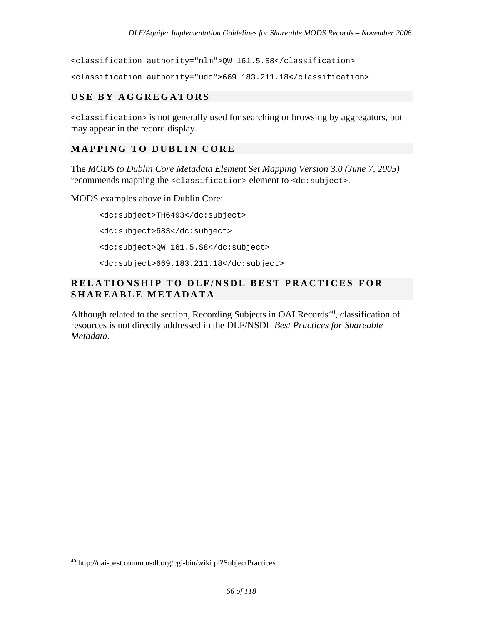<classification authority="nlm">QW 161.5.S8</classification>

<classification authority="udc">669.183.211.18</classification>

### **USE BY AGGREGATORS**

<classification> is not generally used for searching or browsing by aggregators, but may appear in the record display.

#### **MAPPING TO DUBLIN CORE**

The *MODS to Dublin Core Metadata Element Set Mapping Version 3.0 (June 7, 2005)* recommends mapping the <classification> element to <dc:subject>.

MODS examples above in Dublin Core:

<dc:subject>TH6493</dc:subject> <dc:subject>683</dc:subject> <dc:subject>QW 161.5.S8</dc:subject> <dc:subject>669.183.211.18</dc:subject>

## **RELATIONSHIP TO DLF/ NSDL BEST PRACTICES FOR SHAREABLE METADATA**

Although related to the section, Recording Subjects in OAI Records<sup>[40](#page-65-0)</sup>, classification of resources is not directly addressed in the DLF/NSDL *Best Practices for Shareable Metadata*.

 $\overline{a}$ 

<span id="page-65-0"></span><sup>40</sup> http://oai-best.comm.nsdl.org/cgi-bin/wiki.pl?SubjectPractices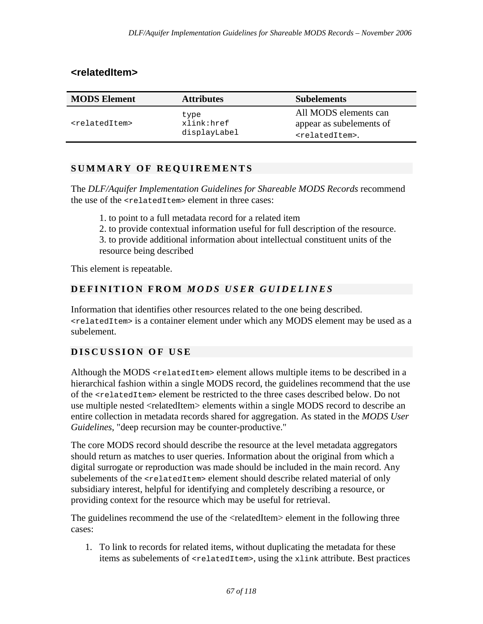# <span id="page-66-0"></span>**<relatedItem>**

| <b>MODS Element</b>         | <b>Attributes</b>                  | <b>Subelements</b>                                                                |
|-----------------------------|------------------------------------|-----------------------------------------------------------------------------------|
| <relateditem></relateditem> | type<br>xlink:href<br>displayLabel | All MODS elements can<br>appear as subelements of<br><relateditem>.</relateditem> |

## **SUMMARY OF REQUIREMENTS**

The *DLF/Aquifer Implementation Guidelines for Shareable MODS Records* recommend the use of the <relatedItem> element in three cases:

1. to point to a full metadata record for a related item

2. to provide contextual information useful for full description of the resource.

3. to provide additional information about intellectual constituent units of the resource being described

This element is repeatable.

## **DEFINITION FROM** *MODS USER GUIDELINES*

Information that identifies other resources related to the one being described. <relatedItem> is a container element under which any MODS element may be used as a subelement.

# **DISCUSSION OF USE**

Although the MODS <relatedItem> element allows multiple items to be described in a hierarchical fashion within a single MODS record, the guidelines recommend that the use of the <relatedItem> element be restricted to the three cases described below. Do not use multiple nested <relatedItem> elements within a single MODS record to describe an entire collection in metadata records shared for aggregation. As stated in the *MODS User Guidelines*, "deep recursion may be counter-productive."

The core MODS record should describe the resource at the level metadata aggregators should return as matches to user queries. Information about the original from which a digital surrogate or reproduction was made should be included in the main record. Any subelements of the <relatedItem> element should describe related material of only subsidiary interest, helpful for identifying and completely describing a resource, or providing context for the resource which may be useful for retrieval.

The guidelines recommend the use of the <relatedItem> element in the following three cases:

1. To link to records for related items, without duplicating the metadata for these items as subelements of <relatedItem>, using the xlink attribute. Best practices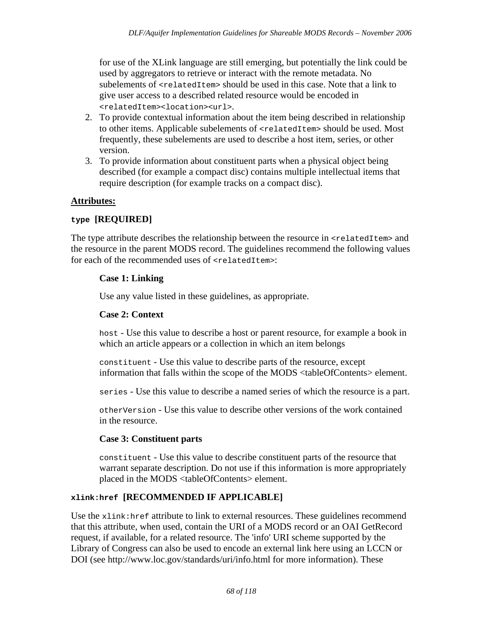for use of the XLink language are still emerging, but potentially the link could be used by aggregators to retrieve or interact with the remote metadata. No subelements of  $\leq$  relatedItem> should be used in this case. Note that a link to give user access to a described related resource would be encoded in <relatedItem><location><url>.

- 2. To provide contextual information about the item being described in relationship to other items. Applicable subelements of <relatedItem> should be used. Most frequently, these subelements are used to describe a host item, series, or other version.
- 3. To provide information about constituent parts when a physical object being described (for example a compact disc) contains multiple intellectual items that require description (for example tracks on a compact disc).

## **Attributes:**

## **type [REQUIRED]**

The type attribute describes the relationship between the resource in <relatedItem> and the resource in the parent MODS record. The guidelines recommend the following values for each of the recommended uses of <relatedItem>:

## **Case 1: Linking**

Use any value listed in these guidelines, as appropriate.

### **Case 2: Context**

host - Use this value to describe a host or parent resource, for example a book in which an article appears or a collection in which an item belongs

constituent - Use this value to describe parts of the resource, except information that falls within the scope of the MODS <tableOfContents> element.

series - Use this value to describe a named series of which the resource is a part.

otherVersion - Use this value to describe other versions of the work contained in the resource.

## **Case 3: Constituent parts**

constituent - Use this value to describe constituent parts of the resource that warrant separate description. Do not use if this information is more appropriately placed in the MODS <tableOfContents> element.

## **xlink:href [RECOMMENDED IF APPLICABLE]**

Use the xlink: href attribute to link to external resources. These guidelines recommend that this attribute, when used, contain the URI of a MODS record or an OAI GetRecord request, if available, for a related resource. The 'info' URI scheme supported by the Library of Congress can also be used to encode an external link here using an LCCN or DOI (see http://www.loc.gov/standards/uri/info.html for more information). These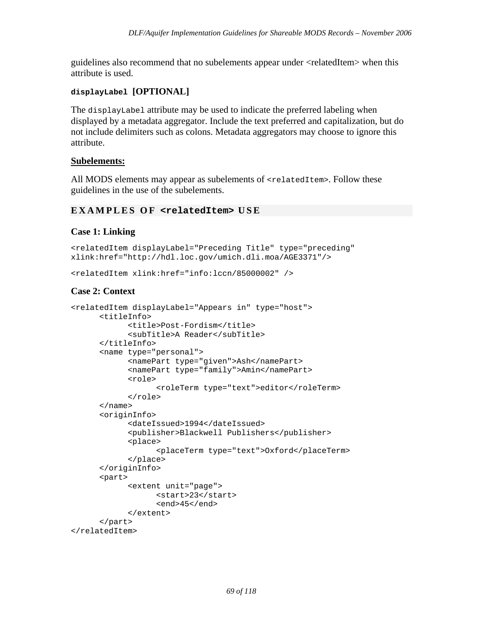guidelines also recommend that no subelements appear under <relatedItem> when this attribute is used.

### **displayLabel [OPTIONAL]**

The displayLabel attribute may be used to indicate the preferred labeling when displayed by a metadata aggregator. Include the text preferred and capitalization, but do not include delimiters such as colons. Metadata aggregators may choose to ignore this attribute.

#### **Subelements:**

All MODS elements may appear as subelements of <relatedItem>. Follow these guidelines in the use of the subelements.

#### **EXAMPLES OF <relatedItem> USE**

#### **Case 1: Linking**

```
<relatedItem displayLabel="Preceding Title" type="preceding" 
xlink:href="http://hdl.loc.gov/umich.dli.moa/AGE3371"/>
```
<relatedItem xlink:href="info:lccn/85000002" />

### **Case 2: Context**

```
<relatedItem displayLabel="Appears in" type="host">
      <titleInfo>
            <title>Post-Fordism</title>
            <subTitle>A Reader</subTitle>
      </titleInfo>
      <name type="personal">
            <namePart type="given">Ash</namePart>
            <namePart type="family">Amin</namePart>
            <role>
                  <roleTerm type="text">editor</roleTerm>
            </role>
      </name>
      <originInfo>
            <dateIssued>1994</dateIssued>
            <publisher>Blackwell Publishers</publisher>
            <place>
                  <placeTerm type="text">Oxford</placeTerm>
            </place>
      </originInfo>
      <part>
            <extent unit="page">
                  <start>23</start>
                  <end>45</end>
            </extent>
      </part>
</relatedItem>
```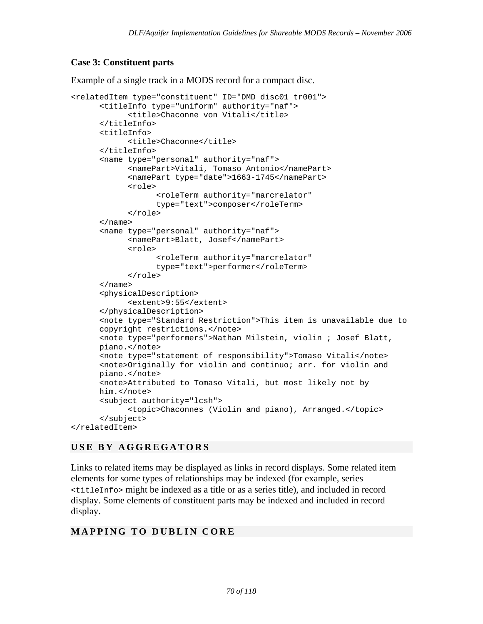## **Case 3: Constituent parts**

Example of a single track in a MODS record for a compact disc.

```
<relatedItem type="constituent" ID="DMD_disc01_tr001">
      <titleInfo type="uniform" authority="naf">
            <title>Chaconne von Vitali</title>
      </titleInfo>
      <titleInfo>
            <title>Chaconne</title>
      </titleInfo>
      <name type="personal" authority="naf">
            <namePart>Vitali, Tomaso Antonio</namePart>
            <namePart type="date">1663-1745</namePart>
            <role>
                  <roleTerm authority="marcrelator" 
                  type="text">composer</roleTerm>
            </role>
      </name>
      <name type="personal" authority="naf">
            <namePart>Blatt, Josef</namePart>
            <role>
                  <roleTerm authority="marcrelator" 
                  type="text">performer</roleTerm>
            </role>
      </name>
      <physicalDescription>
            <extent>9:55</extent>
      </physicalDescription>
      <note type="Standard Restriction">This item is unavailable due to 
     copyright restrictions.</note>
      <note type="performers">Nathan Milstein, violin ; Josef Blatt, 
     piano.</note>
      <note type="statement of responsibility">Tomaso Vitali</note>
      <note>Originally for violin and continuo; arr. for violin and 
     piano.</note>
      <note>Attributed to Tomaso Vitali, but most likely not by 
     him.</note>
      <subject authority="lcsh">
            <topic>Chaconnes (Violin and piano), Arranged.</topic>
      </subject>
</relatedItem>
```
## **USE BY AGGREGATORS**

Links to related items may be displayed as links in record displays. Some related item elements for some types of relationships may be indexed (for example, series <titleInfo> might be indexed as a title or as a series title), and included in record display. Some elements of constituent parts may be indexed and included in record display.

## **MAPPING TO DUBLIN CORE**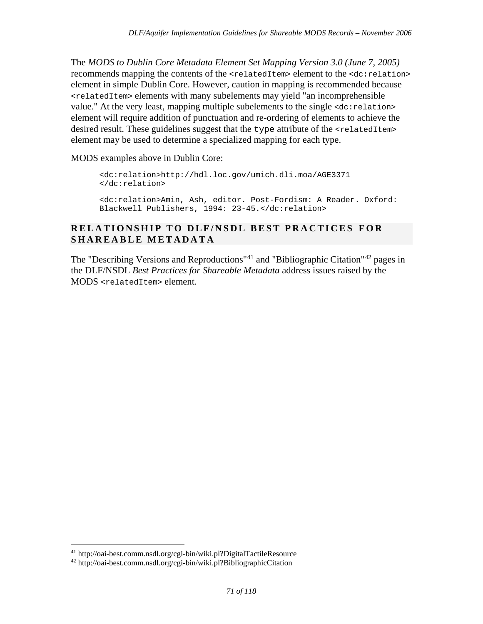The *MODS to Dublin Core Metadata Element Set Mapping Version 3.0 (June 7, 2005)* recommends mapping the contents of the <relatedItem> element to the <dc:relation> element in simple Dublin Core. However, caution in mapping is recommended because <relatedItem> elements with many subelements may yield "an incomprehensible value." At the very least, mapping multiple subelements to the single  $\langle dc:relation \rangle$ element will require addition of punctuation and re-ordering of elements to achieve the desired result. These guidelines suggest that the type attribute of the  $\epsilon$ relatedItem> element may be used to determine a specialized mapping for each type.

MODS examples above in Dublin Core:

<dc:relation>http://hdl.loc.gov/umich.dli.moa/AGE3371 </dc:relation> <dc:relation>Amin, Ash, editor. Post-Fordism: A Reader. Oxford: Blackwell Publishers, 1994: 23-45.</dc:relation>

## **RELATIONSHIP TO DLF/ NSDL BEST PRACTICES FOR SHAREABLE METADATA**

The "Describing Versions and Reproductions"[41](#page-70-0) and "Bibliographic Citation"[42](#page-70-1) pages in the DLF/NSDL *Best Practices for Shareable Metadata* address issues raised by the MODS <relatedItem> element.

 $\overline{a}$ 

<span id="page-70-0"></span><sup>41</sup> http://oai-best.comm.nsdl.org/cgi-bin/wiki.pl?DigitalTactileResource

<span id="page-70-1"></span><sup>42</sup> http://oai-best.comm.nsdl.org/cgi-bin/wiki.pl?BibliographicCitation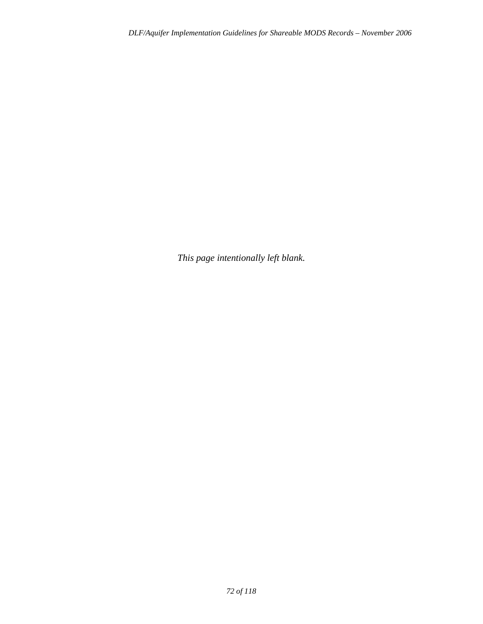*This page intentionally left blank.*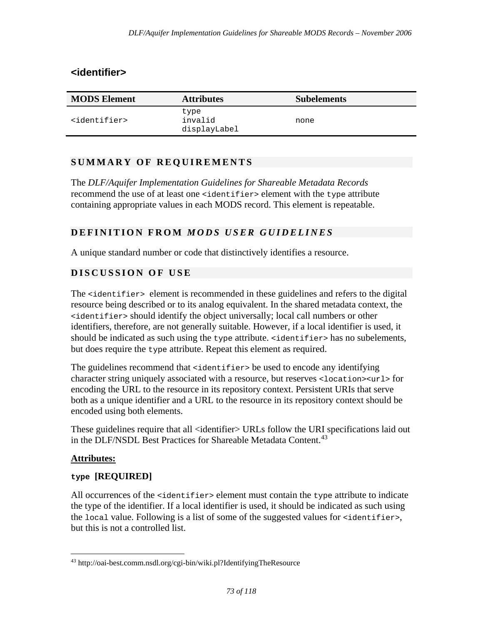## **<identifier>**

| <b>MODS Element</b>       | <b>Attributes</b>               | <b>Subelements</b> |
|---------------------------|---------------------------------|--------------------|
| <identifier></identifier> | type<br>invalid<br>displayLabel | none               |

## **SUMMARY OF REQUIREMENTS**

The *DLF/Aquifer Implementation Guidelines for Shareable Metadata Records*  recommend the use of at least one  $\leq$  identifier below element with the type attribute containing appropriate values in each MODS record. This element is repeatable.

## **DEFINITION FROM** *MODS USER GUIDEL INES*

A unique standard number or code that distinctively identifies a resource.

## **DISCUSSION OF USE**

The  $\le$ identifier> element is recommended in these guidelines and refers to the digital resource being described or to its analog equivalent. In the shared metadata context, the <identifier> should identify the object universally; local call numbers or other identifiers, therefore, are not generally suitable. However, if a local identifier is used, it should be indicated as such using the type attribute. <identifier> has no subelements, but does require the type attribute. Repeat this element as required.

The guidelines recommend that <identifier> be used to encode any identifying character string uniquely associated with a resource, but reserves <location><url> for encoding the URL to the resource in its repository context. Persistent URIs that serve both as a unique identifier and a URL to the resource in its repository context should be encoded using both elements.

These guidelines require that all <identifier> URLs follow the URI specifications laid out in the DLF/NSDL Best Practices for Shareable Metadata Content.<sup>[43](#page-72-0)</sup>

## **Attributes:**

## **type [REQUIRED]**

All occurrences of the  $\le$  identifier  $\ge$  element must contain the type attribute to indicate the type of the identifier. If a local identifier is used, it should be indicated as such using the local value. Following is a list of some of the suggested values for  $\alpha$  identifiers, but this is not a controlled list.

<span id="page-72-0"></span><sup>43</sup> http://oai-best.comm.nsdl.org/cgi-bin/wiki.pl?IdentifyingTheResource  $\overline{a}$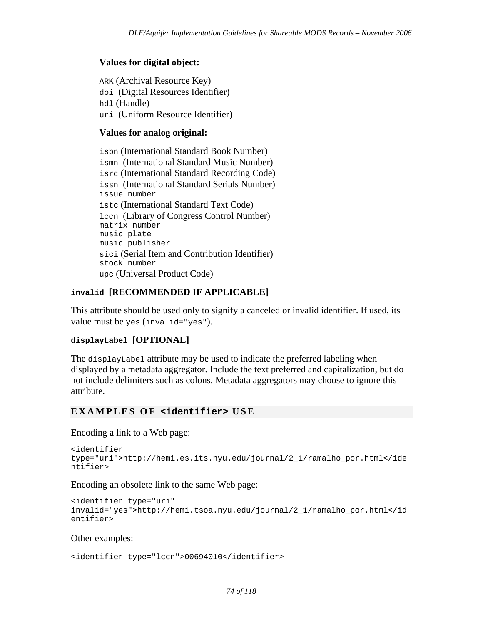## **Values for digital object:**

ARK (Archival Resource Key) doi (Digital Resources Identifier) hdl (Handle) uri (Uniform Resource Identifier)

## **Values for analog original:**

isbn (International Standard Book Number) ismn (International Standard Music Number) isrc (International Standard Recording Code) issn (International Standard Serials Number) issue number istc (International Standard Text Code) lccn (Library of Congress Control Number) matrix number music plate music publisher sici (Serial Item and Contribution Identifier) stock number upc (Universal Product Code)

## **invalid [RECOMMENDED IF APPLICABLE]**

This attribute should be used only to signify a canceled or invalid identifier. If used, its value must be yes (invalid="yes").

## **displayLabel [OPTIONAL]**

The displayLabel attribute may be used to indicate the preferred labeling when displayed by a metadata aggregator. Include the text preferred and capitalization, but do not include delimiters such as colons. Metadata aggregators may choose to ignore this attribute.

# **EXAMPLES OF <identifier> USE**

Encoding a link to a Web page:

```
<identifier 
type="uri">http://hemi.es.its.nyu.edu/journal/2_1/ramalho_por.html</ide
ntifier>
```
Encoding an obsolete link to the same Web page:

```
<identifier type="uri" 
invalid="yes">http://hemi.tsoa.nyu.edu/journal/2_1/ramalho_por.html</id
entifier>
```
Other examples:

<identifier type="lccn">00694010</identifier>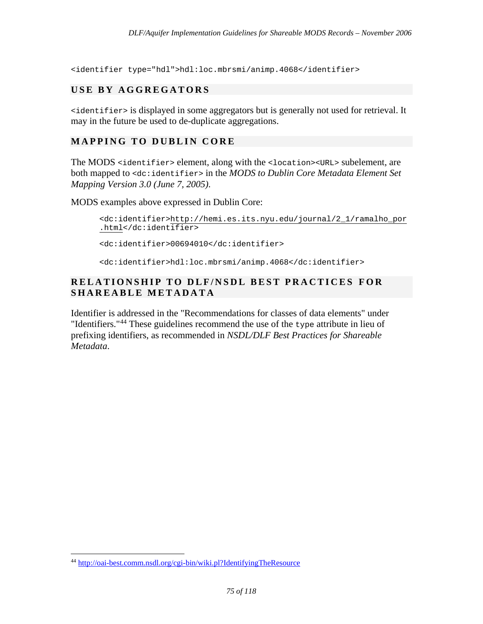<identifier type="hdl">hdl:loc.mbrsmi/animp.4068</identifier>

## **USE BY AGGREGATORS**

<identifier> is displayed in some aggregators but is generally not used for retrieval. It may in the future be used to de-duplicate aggregations.

## **MAPPING TO DUBLIN CORE**

The MODS <identifier> element, along with the <location><URL> subelement, are both mapped to <dc:identifier> in the *MODS to Dublin Core Metadata Element Set Mapping Version 3.0 (June 7, 2005)*.

MODS examples above expressed in Dublin Core:

<dc:identifier[>http://hemi.es.its.nyu.edu/journal/2\\_1/ramalho\\_por](http://hemi.es.its.nyu.edu/journal/2_1/ramalho_por.html) [.html<](http://hemi.es.its.nyu.edu/journal/2_1/ramalho_por.html)/dc:identifier>

<dc:identifier>00694010</dc:identifier>

<dc:identifier>hdl:loc.mbrsmi/animp.4068</dc:identifier>

## **RELATIONSHIP TO DLF/ NSDL BEST PRACTICES FOR SHAREABLE METADATA**

Identifier is addressed in the "Recommendations for classes of data elements" under "Identifiers."[44](#page-74-0) These guidelines recommend the use of the type attribute in lieu of prefixing identifiers, as recommended in *NSDL/DLF Best Practices for Shareable Metadata*.

<span id="page-74-0"></span><sup>44</sup> <http://oai-best.comm.nsdl.org/cgi-bin/wiki.pl?IdentifyingTheResource>  $\overline{a}$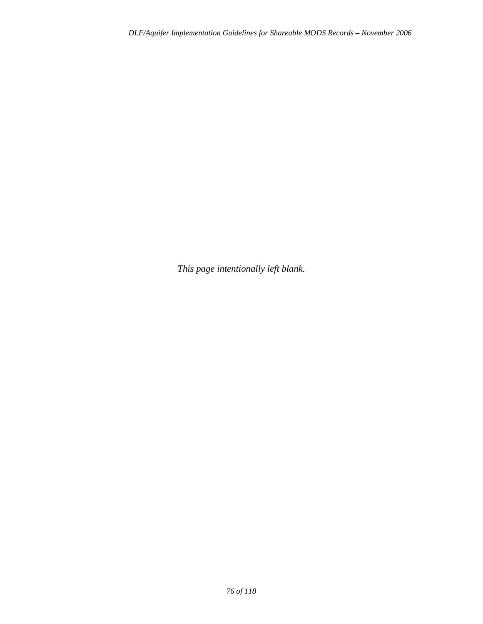*This page intentionally left blank.*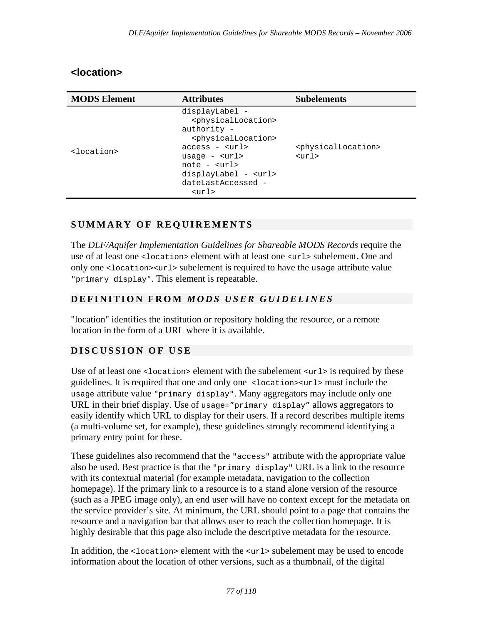## **<location>**

| <b>MODS</b> Element   | <b>Attributes</b>                                                                                                                                                                                                                                                                                                  | <b>Subelements</b>                                                                |
|-----------------------|--------------------------------------------------------------------------------------------------------------------------------------------------------------------------------------------------------------------------------------------------------------------------------------------------------------------|-----------------------------------------------------------------------------------|
| <location></location> | displayLabel -<br><physicallocation><br/>authority -<br/><physicallocation><br/><math>access - <url></url></math><br/>usage - <math>\langle \text{url}\rangle</math><br/><math>note - <math>url</math><br/>displayLabel - <url><br/>dateLastAccessed -<br/>curl</url></math></physicallocation></physicallocation> | <physicallocation><br/><math>\langle \text{unl} \rangle</math></physicallocation> |

## **SUMMARY OF REQUIREMENTS**

The *DLF/Aquifer Implementation Guidelines for Shareable MODS Records* require the use of at least one <location> element with at least one <url> subelement**.** One and only one <location><url> subelement is required to have the usage attribute value "primary display". This element is repeatable.

## **DEFINITION FROM** *MODS USER GUIDELINES*

"location" identifies the institution or repository holding the resource, or a remote location in the form of a URL where it is available.

## **DISCUSSION OF USE**

Use of at least one  $\leq$  location  $\geq$  element with the subelement  $\leq$ url is required by these guidelines. It is required that one and only one <location><url> must include the usage attribute value "primary display". Many aggregators may include only one URL in their brief display. Use of usage="primary display" allows aggregators to easily identify which URL to display for their users. If a record describes multiple items (a multi-volume set, for example), these guidelines strongly recommend identifying a primary entry point for these.

These guidelines also recommend that the "access" attribute with the appropriate value also be used. Best practice is that the "primary display" URL is a link to the resource with its contextual material (for example metadata, navigation to the collection homepage). If the primary link to a resource is to a stand alone version of the resource (such as a JPEG image only), an end user will have no context except for the metadata on the service provider's site. At minimum, the URL should point to a page that contains the resource and a navigation bar that allows user to reach the collection homepage. It is highly desirable that this page also include the descriptive metadata for the resource.

In addition, the  $\leq$ location  $\geq$  element with the  $\leq$ url  $\geq$  subelement may be used to encode information about the location of other versions, such as a thumbnail, of the digital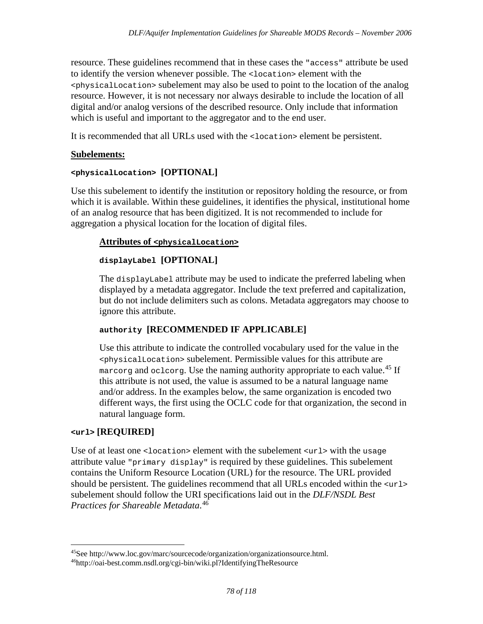resource. These guidelines recommend that in these cases the "access" attribute be used to identify the version whenever possible. The <location> element with the <physicalLocation> subelement may also be used to point to the location of the analog resource. However, it is not necessary nor always desirable to include the location of all digital and/or analog versions of the described resource. Only include that information which is useful and important to the aggregator and to the end user.

It is recommended that all URLs used with the <location> element be persistent.

## **Subelements:**

## **<physicalLocation> [OPTIONAL]**

Use this subelement to identify the institution or repository holding the resource, or from which it is available. Within these guidelines, it identifies the physical, institutional home of an analog resource that has been digitized. It is not recommended to include for aggregation a physical location for the location of digital files.

## **Attributes of <physicalLocation>**

## **displayLabel [OPTIONAL]**

The displayLabel attribute may be used to indicate the preferred labeling when displayed by a metadata aggregator. Include the text preferred and capitalization, but do not include delimiters such as colons. Metadata aggregators may choose to ignore this attribute.

## **authority [RECOMMENDED IF APPLICABLE]**

Use this attribute to indicate the controlled vocabulary used for the value in the <physicalLocation> subelement. Permissible values for this attribute are marcorg and oclosed. Use the naming authority appropriate to each value.<sup>[45](#page-77-0)</sup> If this attribute is not used, the value is assumed to be a natural language name and/or address. In the examples below, the same organization is encoded two different ways, the first using the OCLC code for that organization, the second in natural language form.

## **<url> [REQUIRED]**

 $\overline{a}$ 

Use of at least one <location> element with the subelement  $\langle \text{url} \rangle$  with the usage attribute value "primary display" is required by these guidelines. This subelement contains the Uniform Resource Location (URL) for the resource. The URL provided should be persistent. The guidelines recommend that all URLs encoded within the  $\langle \text{url} \rangle$ subelement should follow the URI specifications laid out in the *DLF/NSDL Best Practices for Shareable Metadata*. [46](#page-77-1)

<span id="page-77-0"></span><sup>45</sup>See http://www.loc.gov/marc/sourcecode/organization/organizationsource.html.

<span id="page-77-1"></span><sup>46</sup>http://oai-best.comm.nsdl.org/cgi-bin/wiki.pl?IdentifyingTheResource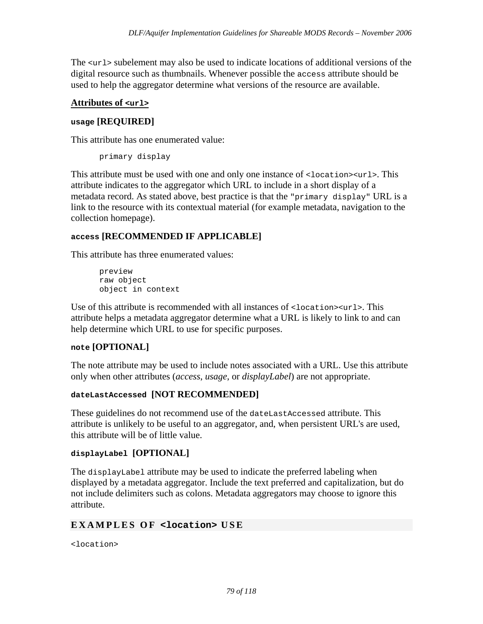The <url> subelement may also be used to indicate locations of additional versions of the digital resource such as thumbnails. Whenever possible the access attribute should be used to help the aggregator determine what versions of the resource are available.

## **Attributes of <url>**

## **usage [REQUIRED]**

This attribute has one enumerated value:

```
primary display
```
This attribute must be used with one and only one instance of <location><url>. This attribute indicates to the aggregator which URL to include in a short display of a metadata record. As stated above, best practice is that the "primary display" URL is a link to the resource with its contextual material (for example metadata, navigation to the collection homepage).

## **access [RECOMMENDED IF APPLICABLE]**

This attribute has three enumerated values:

```
preview
raw object
object in context
```
Use of this attribute is recommended with all instances of <location><url>. This attribute helps a metadata aggregator determine what a URL is likely to link to and can help determine which URL to use for specific purposes.

## **note [OPTIONAL]**

The note attribute may be used to include notes associated with a URL. Use this attribute only when other attributes (*access*, *usage*, or *displayLabel*) are not appropriate.

## **dateLastAccessed [NOT RECOMMENDED]**

These guidelines do not recommend use of the dateLastAccessed attribute. This attribute is unlikely to be useful to an aggregator, and, when persistent URL's are used, this attribute will be of little value.

## **displayLabel [OPTIONAL]**

The displayLabel attribute may be used to indicate the preferred labeling when displayed by a metadata aggregator. Include the text preferred and capitalization, but do not include delimiters such as colons. Metadata aggregators may choose to ignore this attribute.

## **EXAMPLES OF <location> USE**

<location>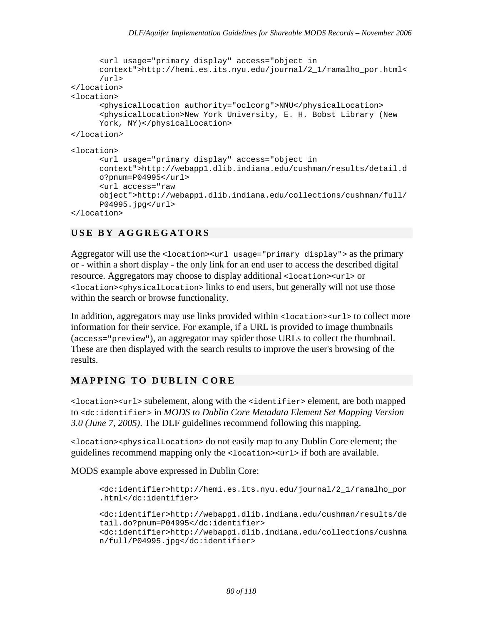```
<url usage="primary display" access="object in 
      context">http://hemi.es.its.nyu.edu/journal/2_1/ramalho_por.html<
      /url>
</location>
<location>
      <physicalLocation authority="oclcorg">NNU</physicalLocation>
      <physicalLocation>New York University, E. H. Bobst Library (New 
      York, NY)</physicalLocation>
</location>
<location>
      <url usage="primary display" access="object in 
      context">http://webapp1.dlib.indiana.edu/cushman/results/detail.d
      o?pnum=P04995</url>
      <url access="raw 
      object">http://webapp1.dlib.indiana.edu/collections/cushman/full/
      P04995.jpg</url>
</location>
```
### **USE BY AGGREGATORS**

Aggregator will use the <location><url usage="primary display"> as the primary or - within a short display - the only link for an end user to access the described digital resource. Aggregators may choose to display additional <location><url> or <location><physicalLocation> links to end users, but generally will not use those within the search or browse functionality.

In addition, aggregators may use links provided within <location><url> to collect more information for their service. For example, if a URL is provided to image thumbnails (access="preview"), an aggregator may spider those URLs to collect the thumbnail. These are then displayed with the search results to improve the user's browsing of the results.

#### **MAPPING TO DUBLIN CORE**

<location><url> subelement, along with the <identifier> element, are both mapped to <dc:identifier> in *MODS to Dublin Core Metadata Element Set Mapping Version 3.0 (June 7, 2005)*. The DLF guidelines recommend following this mapping.

<location><physicalLocation> do not easily map to any Dublin Core element; the guidelines recommend mapping only the <location><url> if both are available.

MODS example above expressed in Dublin Core:

```
<dc:identifier>http://hemi.es.its.nyu.edu/journal/2_1/ramalho_por
.html</dc:identifier>
<dc:identifier>http://webapp1.dlib.indiana.edu/cushman/results/de
tail.do?pnum=P04995</dc:identifier>
<dc:identifier>http://webapp1.dlib.indiana.edu/collections/cushma
n/full/P04995.jpg</dc:identifier>
```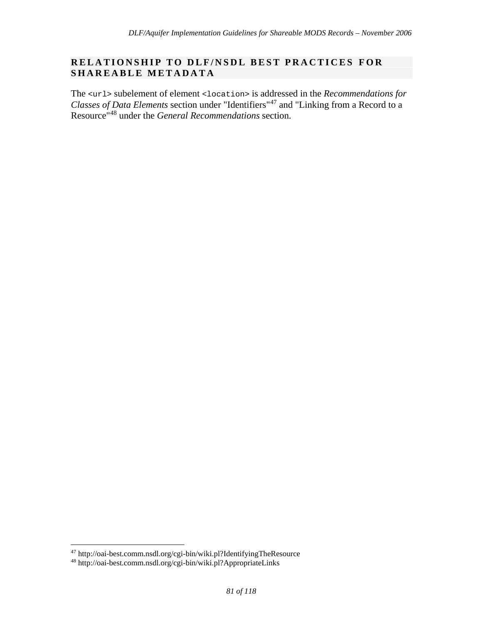## **RELATIONSHIP TO DLF/ NSDL BEST PRACTICES FOR SHAREABLE METADATA**

The <url> subelement of element <location> is addressed in the *Recommendations for Classes of Data Elements* section under "Identifiers"<sup>[47](#page-80-0)</sup> and "Linking from a Record to a Resource"[48](#page-80-1) under the *General Recommendations* section.

 $\overline{a}$ 

<sup>47</sup> http://oai-best.comm.nsdl.org/cgi-bin/wiki.pl?IdentifyingTheResource

<span id="page-80-1"></span><span id="page-80-0"></span><sup>48</sup> http://oai-best.comm.nsdl.org/cgi-bin/wiki.pl?AppropriateLinks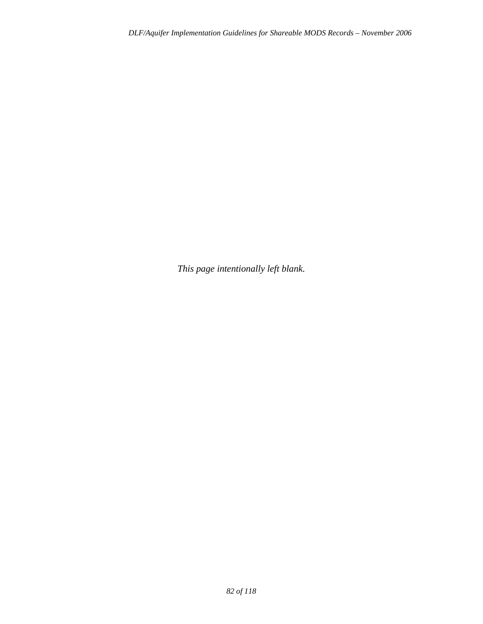*This page intentionally left blank.*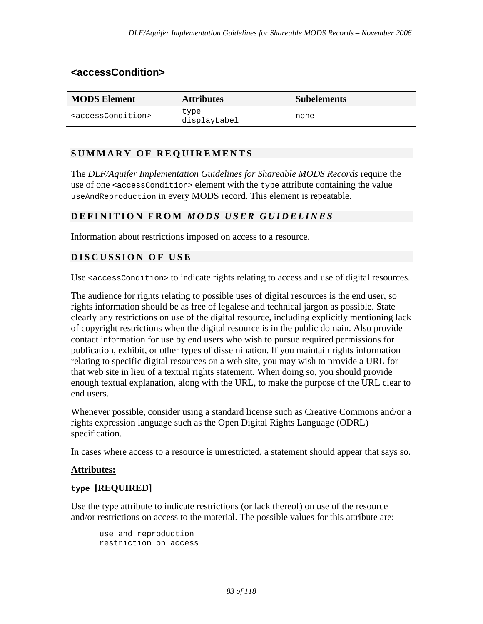## **<accessCondition>**

| <b>MODS Element</b>                 | <b>Attributes</b>    | <b>Subelements</b> |
|-------------------------------------|----------------------|--------------------|
| <accesscondition></accesscondition> | type<br>displayLabel | none               |

## **SUMMARY OF REQUIREMENTS**

The *DLF/Aquifer Implementation Guidelines for Shareable MODS Records* require the use of one <accessCondition> element with the type attribute containing the value useAndReproduction in every MODS record. This element is repeatable.

## **DEFINITION FROM** *MODS USER GUIDELINES*

Information about restrictions imposed on access to a resource.

## **DISCUSSION OF USE**

Use  $\leq$   $\leq$   $\leq$   $\leq$   $\leq$   $\leq$   $\leq$   $\leq$   $\leq$   $\leq$   $\leq$   $\leq$   $\leq$   $\leq$   $\leq$   $\leq$   $\leq$   $\leq$   $\leq$   $\leq$   $\leq$   $\leq$   $\leq$   $\leq$   $\leq$   $\leq$   $\leq$   $\leq$   $\leq$   $\leq$   $\leq$   $\leq$   $\leq$   $\leq$   $\leq$   $\leq$   $\$ 

The audience for rights relating to possible uses of digital resources is the end user, so rights information should be as free of legalese and technical jargon as possible. State clearly any restrictions on use of the digital resource, including explicitly mentioning lack of copyright restrictions when the digital resource is in the public domain. Also provide contact information for use by end users who wish to pursue required permissions for publication, exhibit, or other types of dissemination. If you maintain rights information relating to specific digital resources on a web site, you may wish to provide a URL for that web site in lieu of a textual rights statement. When doing so, you should provide enough textual explanation, along with the URL, to make the purpose of the URL clear to end users.

Whenever possible, consider using a standard license such as Creative Commons and/or a rights expression language such as the Open Digital Rights Language (ODRL) specification.

In cases where access to a resource is unrestricted, a statement should appear that says so.

### **Attributes:**

#### **type [REQUIRED]**

Use the type attribute to indicate restrictions (or lack thereof) on use of the resource and/or restrictions on access to the material. The possible values for this attribute are:

```
use and reproduction
restriction on access
```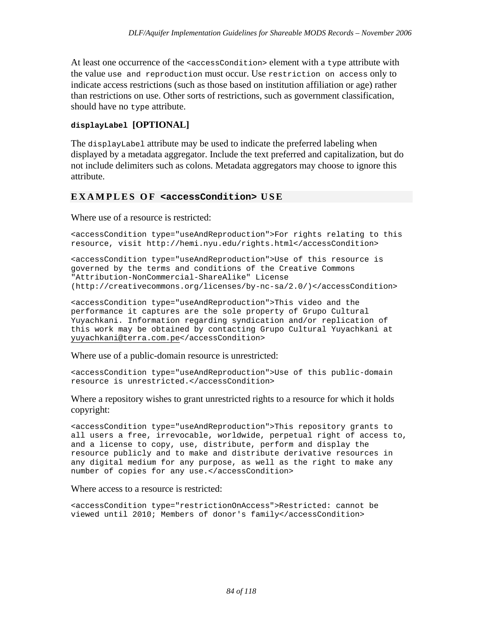At least one occurrence of the <accessCondition> element with a type attribute with the value use and reproduction must occur. Use restriction on access only to indicate access restrictions (such as those based on institution affiliation or age) rather than restrictions on use. Other sorts of restrictions, such as government classification, should have no type attribute.

### **displayLabel [OPTIONAL]**

The displayLabel attribute may be used to indicate the preferred labeling when displayed by a metadata aggregator. Include the text preferred and capitalization, but do not include delimiters such as colons. Metadata aggregators may choose to ignore this attribute.

## **EXAMPLES OF <accessCondition> USE**

Where use of a resource is restricted:

<accessCondition type="useAndReproduction">For rights relating to this resource, visit http://hemi.nyu.edu/rights.html</accessCondition>

<accessCondition type="useAndReproduction">Use of this resource is governed by the terms and conditions of the Creative Commons "Attribution-NonCommercial-ShareAlike" License (http://creativecommons.org/licenses/by-nc-sa/2.0/)</accessCondition>

<accessCondition type="useAndReproduction">This video and the performance it captures are the sole property of Grupo Cultural Yuyachkani. Information regarding syndication and/or replication of this work may be obtained by contacting Grupo Cultural Yuyachkani at [yuyachkani@terra.com.pe<](mailto:yuyachkani@terra.com.pe)/accessCondition>

Where use of a public-domain resource is unrestricted:

<accessCondition type="useAndReproduction">Use of this public-domain resource is unrestricted.</accessCondition>

Where a repository wishes to grant unrestricted rights to a resource for which it holds copyright:

<accessCondition type="useAndReproduction">This repository grants to all users a free, irrevocable, worldwide, perpetual right of access to, and a license to copy, use, distribute, perform and display the resource publicly and to make and distribute derivative resources in any digital medium for any purpose, as well as the right to make any number of copies for any use.</accessCondition>

Where access to a resource is restricted:

<accessCondition type="restrictionOnAccess">Restricted: cannot be viewed until 2010; Members of donor's family</accessCondition>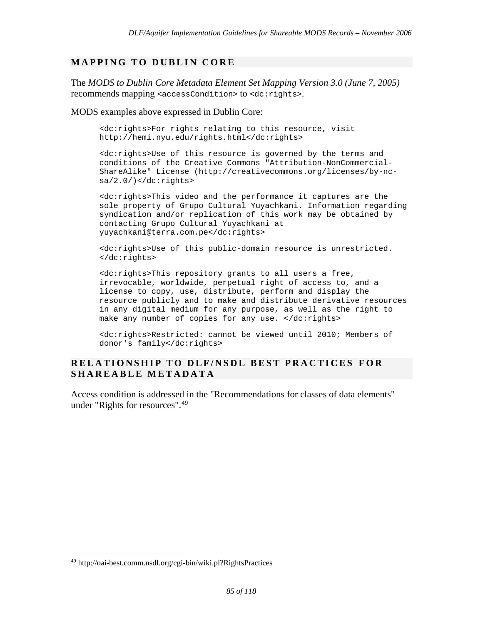## **MAPPING TO DUBLIN CORE**

The *MODS to Dublin Core Metadata Element Set Mapping Version 3.0 (June 7, 2005)* recommends mapping <accessCondition> to <dc:rights>.

MODS examples above expressed in Dublin Core:

<dc:rights>For rights relating to this resource, visit http://hemi.nyu.edu/rights.html</dc:rights>

<dc:rights>Use of this resource is governed by the terms and conditions of the Creative Commons "Attribution-NonCommercial-ShareAlike" License (http://creativecommons.org/licenses/by-nc $sa/2.0$ ) </dc:rights>

<dc:rights>This video and the performance it captures are the sole property of Grupo Cultural Yuyachkani. Information regarding syndication and/or replication of this work may be obtained by contacting Grupo Cultural Yuyachkani at yuyachkani@terra.com.pe</dc:rights>

<dc:rights>Use of this public-domain resource is unrestricted. </dc:rights>

<dc:rights>This repository grants to all users a free, irrevocable, worldwide, perpetual right of access to, and a license to copy, use, distribute, perform and display the resource publicly and to make and distribute derivative resources in any digital medium for any purpose, as well as the right to make any number of copies for any use. </dc:rights>

<dc:rights>Restricted: cannot be viewed until 2010; Members of donor's family</dc:rights>

### **RELATIONSHIP TO DLF/ NSDL BEST PRACTICES FOR SHAREABLE METADATA**

Access condition is addressed in the "Recommendations for classes of data elements" under "Rights for resources".[49](#page-84-0)

 $\overline{a}$ 

<span id="page-84-0"></span><sup>49</sup> http://oai-best.comm.nsdl.org/cgi-bin/wiki.pl?RightsPractices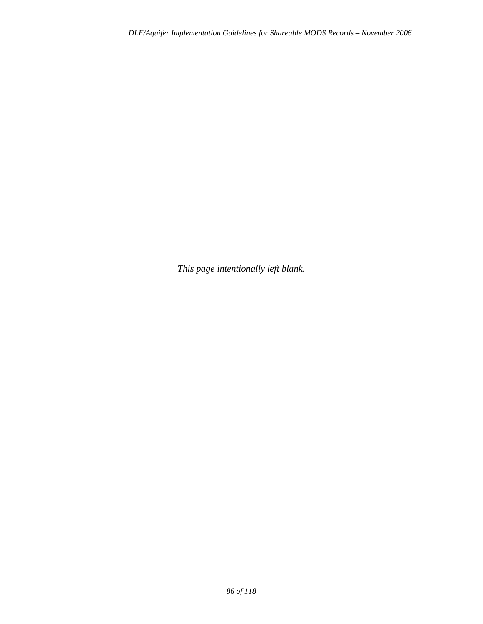*This page intentionally left blank.*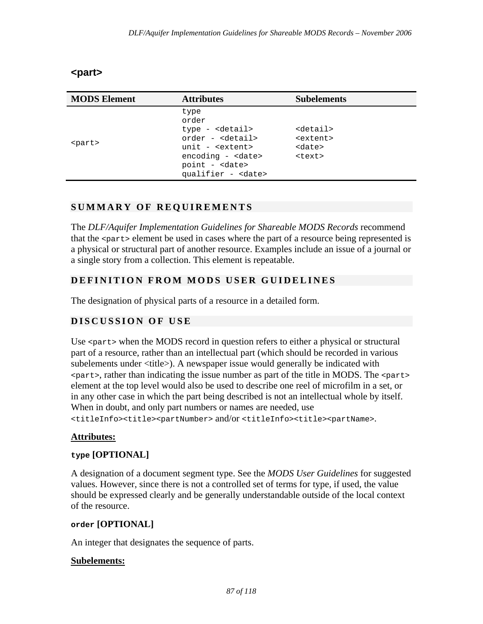### **<part>**

| <b>MODS Element</b> | <b>Attributes</b>                                                                                                                                                                                      | <b>Subelements</b>                                                          |
|---------------------|--------------------------------------------------------------------------------------------------------------------------------------------------------------------------------------------------------|-----------------------------------------------------------------------------|
| <part></part>       | type<br>order<br>type - <detail><br/>order - <detail><br/><math>unit -</math> <extent><br/>encoding - <date><br/>point - <date><br/>qualifier - <date></date></date></date></extent></detail></detail> | <detail><br/><extent><br/><date><br/><text></text></date></extent></detail> |

### **SUMMARY OF REQUIREMENTS**

The *DLF/Aquifer Implementation Guidelines for Shareable MODS Records* recommend that the  $\epsilon_{\text{part}}$  element be used in cases where the part of a resource being represented is a physical or structural part of another resource. Examples include an issue of a journal or a single story from a collection. This element is repeatable.

### **DEFINITION FROM MODS USER GUIDELINES**

The designation of physical parts of a resource in a detailed form.

## **DISCUSSION OF USE**

Use <part> when the MODS record in question refers to either a physical or structural part of a resource, rather than an intellectual part (which should be recorded in various subelements under <title>). A newspaper issue would generally be indicated with <part>, rather than indicating the issue number as part of the title in MODS. The <part> element at the top level would also be used to describe one reel of microfilm in a set, or in any other case in which the part being described is not an intellectual whole by itself. When in doubt, and only part numbers or names are needed, use <titleInfo><title><partNumber> and/or <titleInfo><title><partName>.

### **Attributes:**

### **type [OPTIONAL]**

A designation of a document segment type. See the *MODS User Guidelines* for suggested values. However, since there is not a controlled set of terms for type, if used, the value should be expressed clearly and be generally understandable outside of the local context of the resource.

### **order [OPTIONAL]**

An integer that designates the sequence of parts.

### **Subelements:**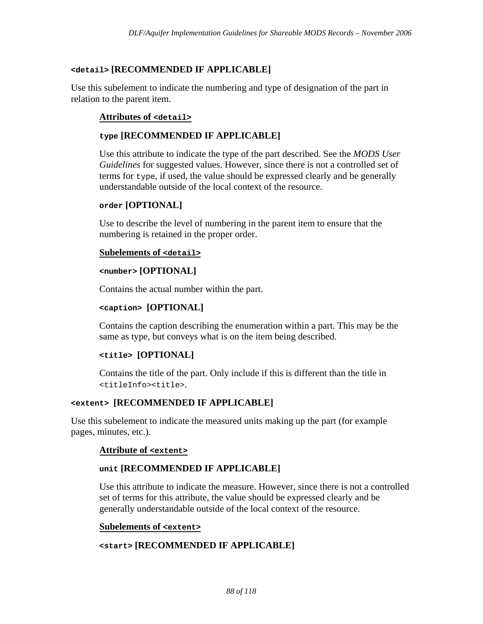### **<detail> [RECOMMENDED IF APPLICABLE]**

Use this subelement to indicate the numbering and type of designation of the part in relation to the parent item.

### **Attributes of <detail>**

### **type [RECOMMENDED IF APPLICABLE]**

Use this attribute to indicate the type of the part described. See the *MODS User Guidelines* for suggested values. However, since there is not a controlled set of terms for type, if used, the value should be expressed clearly and be generally understandable outside of the local context of the resource.

### **order [OPTIONAL]**

Use to describe the level of numbering in the parent item to ensure that the numbering is retained in the proper order.

### **Subelements of <detail>**

### **<number> [OPTIONAL]**

Contains the actual number within the part.

#### **<caption> [OPTIONAL]**

Contains the caption describing the enumeration within a part. This may be the same as type, but conveys what is on the item being described.

### **<title> [OPTIONAL]**

Contains the title of the part. Only include if this is different than the title in <titleInfo><title>.

### **<extent> [RECOMMENDED IF APPLICABLE]**

Use this subelement to indicate the measured units making up the part (for example pages, minutes, etc.).

### **Attribute of <extent>**

### **unit [RECOMMENDED IF APPLICABLE]**

Use this attribute to indicate the measure. However, since there is not a controlled set of terms for this attribute, the value should be expressed clearly and be generally understandable outside of the local context of the resource.

### **Subelements of <extent>**

## **<start> [RECOMMENDED IF APPLICABLE]**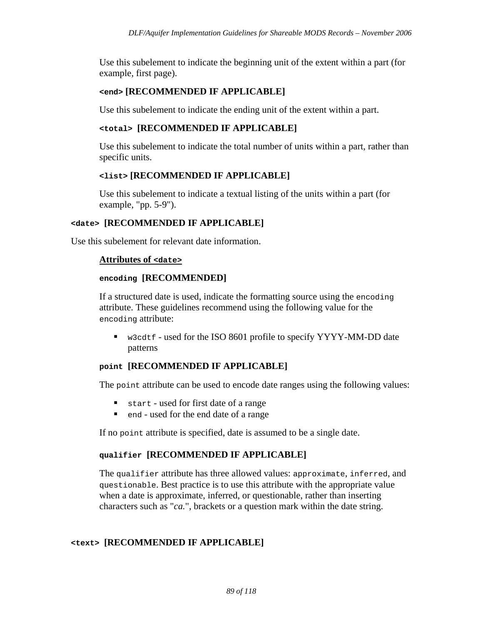Use this subelement to indicate the beginning unit of the extent within a part (for example, first page).

### **<end> [RECOMMENDED IF APPLICABLE]**

Use this subelement to indicate the ending unit of the extent within a part.

### **<total> [RECOMMENDED IF APPLICABLE]**

Use this subelement to indicate the total number of units within a part, rather than specific units.

### **<list> [RECOMMENDED IF APPLICABLE]**

Use this subelement to indicate a textual listing of the units within a part (for example, "pp. 5-9").

### **<date> [RECOMMENDED IF APPLICABLE]**

Use this subelement for relevant date information.

### **Attributes of <date>**

#### **encoding [RECOMMENDED]**

If a structured date is used, indicate the formatting source using the encoding attribute. These guidelines recommend using the following value for the encoding attribute:

 w3cdtf - used for the ISO 8601 profile to specify YYYY-MM-DD date patterns

### **point [RECOMMENDED IF APPLICABLE]**

The point attribute can be used to encode date ranges using the following values:

- start used for first date of a range
- end used for the end date of a range

If no point attribute is specified, date is assumed to be a single date.

### **qualifier [RECOMMENDED IF APPLICABLE]**

The qualifier attribute has three allowed values: approximate, inferred, and questionable. Best practice is to use this attribute with the appropriate value when a date is approximate, inferred, or questionable, rather than inserting characters such as "*ca.*", brackets or a question mark within the date string.

### **<text> [RECOMMENDED IF APPLICABLE]**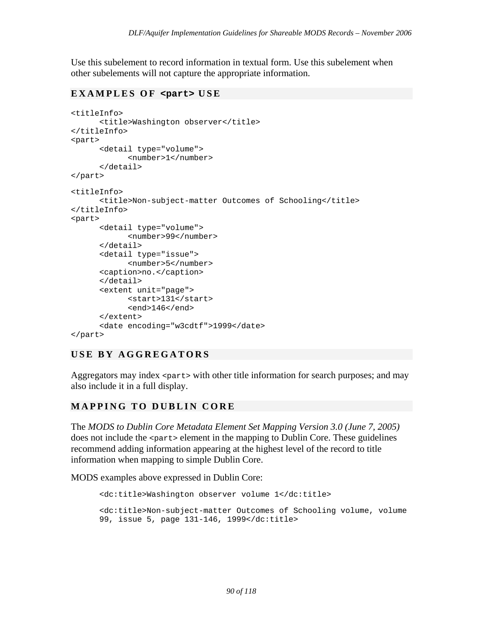Use this subelement to record information in textual form. Use this subelement when other subelements will not capture the appropriate information.

### **EXAMPLES OF <part> USE**

```
<titleInfo>
      <title>Washington observer</title>
</titleInfo>
<part>
      <detail type="volume">
            <number>1</number>
      </detail>
</part>
<titleInfo>
      <title>Non-subject-matter Outcomes of Schooling</title>
</titleInfo>
<part>
      <detail type="volume">
            <number>99</number>
      </detail>
      <detail type="issue">
            <number>5</number>
      <caption>no.</caption>
      </detail>
      <extent unit="page">
            <start>131</start>
            <end>146</end>
      </extent>
      <date encoding="w3cdtf">1999</date>
</part>
```
### **USE BY AGGREGATORS**

Aggregators may index <part> with other title information for search purposes; and may also include it in a full display.

### **MAPPING TO DUBLIN CORE**

The *MODS to Dublin Core Metadata Element Set Mapping Version 3.0 (June 7, 2005)* does not include the <part> element in the mapping to Dublin Core. These guidelines recommend adding information appearing at the highest level of the record to title information when mapping to simple Dublin Core.

MODS examples above expressed in Dublin Core:

```
<dc:title>Washington observer volume 1</dc:title>
<dc:title>Non-subject-matter Outcomes of Schooling volume, volume 
99, issue 5, page 131-146, 1999</dc:title>
```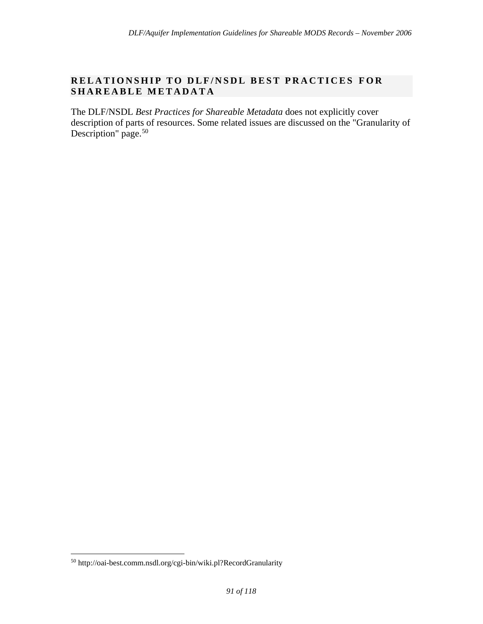## **RELATIONSHIP TO DLF/ NSDL BEST PRACTICES FOR SHAREABLE METADATA**

The DLF/NSDL *Best Practices for Shareable Metadata* does not explicitly cover description of parts of resources. Some related issues are discussed on the "Granularity of Description" page.<sup>[50](#page-90-0)</sup>

<span id="page-90-0"></span><sup>50</sup> http://oai-best.comm.nsdl.org/cgi-bin/wiki.pl?RecordGranularity  $\overline{a}$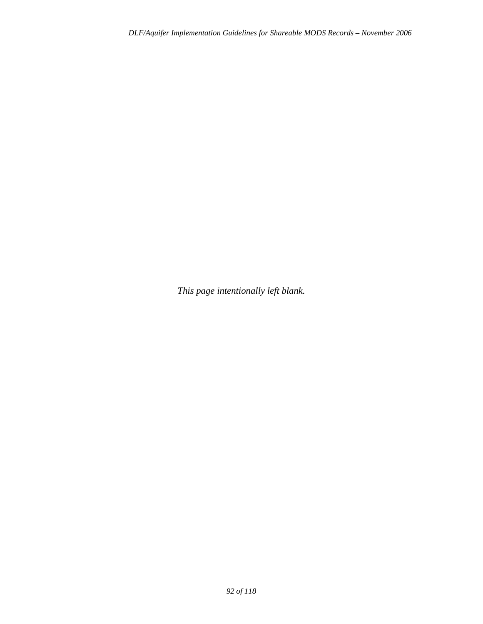*This page intentionally left blank.*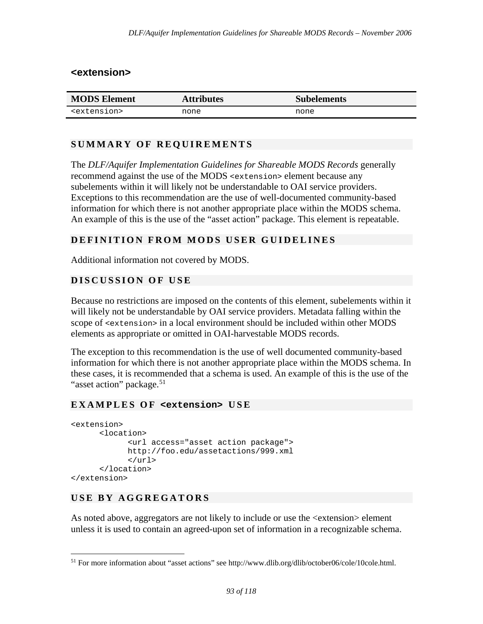### **<extension>**

| <b>MODS Element</b>     | <b>Attributes</b> | <b>Subelements</b> |
|-------------------------|-------------------|--------------------|
| <extension></extension> | none              | none               |

### **SUMMARY OF REQUIREMENTS**

The *DLF/Aquifer Implementation Guidelines for Shareable MODS Records* generally recommend against the use of the MODS <extension> element because any subelements within it will likely not be understandable to OAI service providers. Exceptions to this recommendation are the use of well-documented community-based information for which there is not another appropriate place within the MODS schema. An example of this is the use of the "asset action" package. This element is repeatable.

### **DEFINITION FROM MODS USER GUIDELINES**

Additional information not covered by MODS.

### **DISCUSSION OF USE**

Because no restrictions are imposed on the contents of this element, subelements within it will likely not be understandable by OAI service providers. Metadata falling within the scope of <extension> in a local environment should be included within other MODS elements as appropriate or omitted in OAI-harvestable MODS records.

The exception to this recommendation is the use of well documented community-based information for which there is not another appropriate place within the MODS schema. In these cases, it is recommended that a schema is used. An example of this is the use of the "asset action" package.<sup>[51](#page-92-0)</sup>

#### **EXAMPLES OF <extension> USE**

```
<extension>
      <location>
              <url access="asset action package">
              http://foo.edu/assetactions/999.xml
              \langle \text{url} \rangle</location>
</extension>
```
### **USE BY AGGREGATORS**

 $\overline{a}$ 

As noted above, aggregators are not likely to include or use the <extension> element unless it is used to contain an agreed-upon set of information in a recognizable schema.

<span id="page-92-0"></span><sup>51</sup> For more information about "asset actions" see http://www.dlib.org/dlib/october06/cole/10cole.html.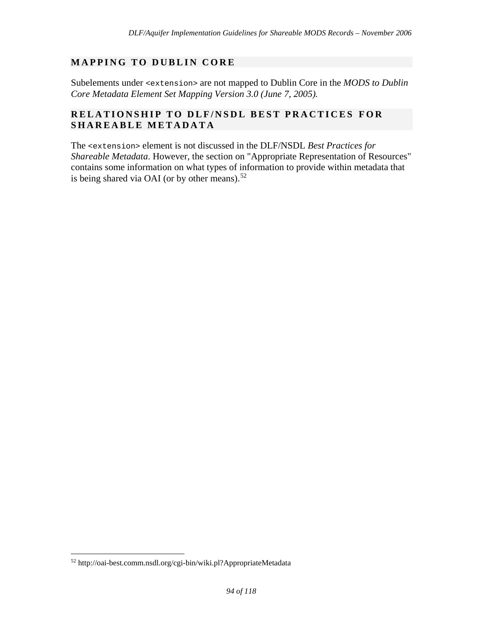## **MAPPING TO DUBLIN CORE**

Subelements under <extension> are not mapped to Dublin Core in the *MODS to Dublin Core Metadata Element Set Mapping Version 3.0 (June 7, 2005).*

### **RELATIONSHIP TO DLF/ NSDL BEST PRACTICES FOR SHAREABLE METADATA**

The <extension> element is not discussed in the DLF/NSDL *Best Practices for Shareable Metadata*. However, the section on "Appropriate Representation of Resources" contains some information on what types of information to provide within metadata that is being shared via OAI (or by other means). $52$ 

 $\overline{a}$ 

<span id="page-93-0"></span><sup>52</sup> http://oai-best.comm.nsdl.org/cgi-bin/wiki.pl?AppropriateMetadata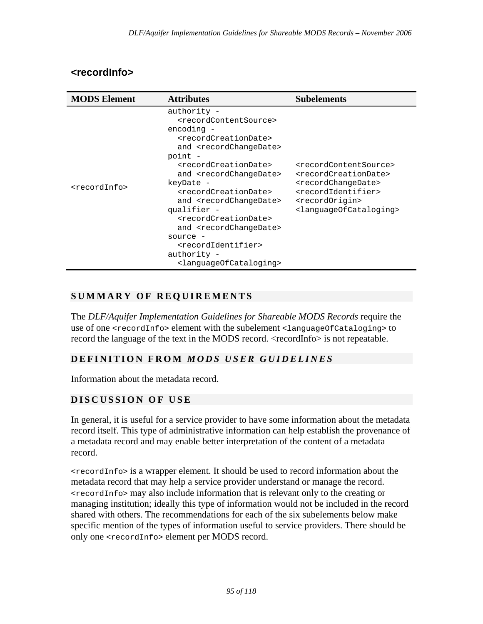### **<recordInfo>**

| <b>MODS Element</b>       | <b>Attributes</b>                                                                                                                                                                                                                                                                                                                                                                                                                                                                                                                                                                                                                         | <b>Subelements</b>                                                                                                                                                                                                                                                |
|---------------------------|-------------------------------------------------------------------------------------------------------------------------------------------------------------------------------------------------------------------------------------------------------------------------------------------------------------------------------------------------------------------------------------------------------------------------------------------------------------------------------------------------------------------------------------------------------------------------------------------------------------------------------------------|-------------------------------------------------------------------------------------------------------------------------------------------------------------------------------------------------------------------------------------------------------------------|
| <recordinfo></recordinfo> | authority -<br><recordcontentsource><br/>encoding -<br/><recordcreationdate><br/>and <recordchangedate><br/>point -<br/><recordcreationdate><br/>and <recordchangedate><br/>keyDate -<br/><recordcreationdate><br/>and <recordchangedate><br/>qualifier -<br/><recordcreationdate><br/>and <recordchangedate><br/><math>source -</math><br/><recordidentifier><br/>authority -<br/><languageofcataloging></languageofcataloging></recordidentifier></recordchangedate></recordcreationdate></recordchangedate></recordcreationdate></recordchangedate></recordcreationdate></recordchangedate></recordcreationdate></recordcontentsource> | <recordcontentsource><br/><recordcreationdate><br/><recordchangedate><br/><recordidentifier><br/><recordorigin><br/><languageofcataloging></languageofcataloging></recordorigin></recordidentifier></recordchangedate></recordcreationdate></recordcontentsource> |

### **SUMMARY OF REQUIREMENTS**

The *DLF/Aquifer Implementation Guidelines for Shareable MODS Records* require the use of one <recordInfo> element with the subelement <languageOfCataloging> to record the language of the text in the MODS record. <recordInfo> is not repeatable.

## **DEFINITION FROM** *MODS USER GUIDELINES*

Information about the metadata record.

### **DISCUSSION OF USE**

In general, it is useful for a service provider to have some information about the metadata record itself. This type of administrative information can help establish the provenance of a metadata record and may enable better interpretation of the content of a metadata record.

<recordInfo> is a wrapper element. It should be used to record information about the metadata record that may help a service provider understand or manage the record. <recordInfo> may also include information that is relevant only to the creating or managing institution; ideally this type of information would not be included in the record shared with others. The recommendations for each of the six subelements below make specific mention of the types of information useful to service providers. There should be only one <recordInfo> element per MODS record.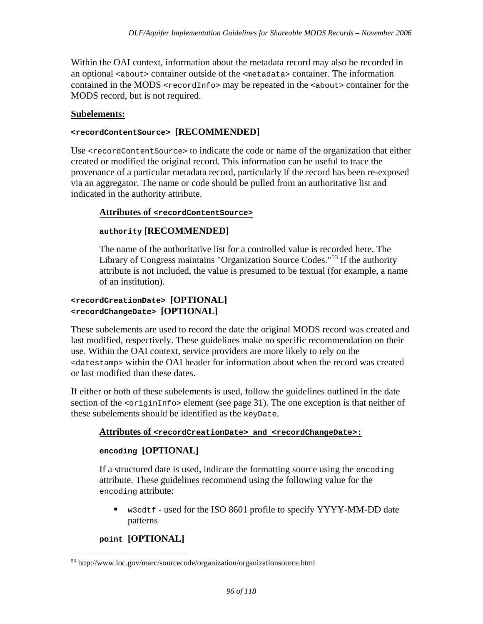Within the OAI context, information about the metadata record may also be recorded in an optional <about> container outside of the <metadata> container. The information contained in the MODS <recordInfo> may be repeated in the <about> container for the MODS record, but is not required.

## **Subelements:**

## **<recordContentSource> [RECOMMENDED]**

Use <recordContentSource> to indicate the code or name of the organization that either created or modified the original record. This information can be useful to trace the provenance of a particular metadata record, particularly if the record has been re-exposed via an aggregator. The name or code should be pulled from an authoritative list and indicated in the authority attribute.

## **Attributes of <recordContentSource>**

## **authority [RECOMMENDED]**

The name of the authoritative list for a controlled value is recorded here. The Library of Congress maintains "Organization Source Codes."[53](#page-95-0) If the authority attribute is not included, the value is presumed to be textual (for example, a name of an institution).

## **<recordCreationDate> [OPTIONAL] <recordChangeDate> [OPTIONAL]**

These subelements are used to record the date the original MODS record was created and last modified, respectively. These guidelines make no specific recommendation on their use. Within the OAI context, service providers are more likely to rely on the <datestamp> within the OAI header for information about when the record was created or last modified than these dates.

If either or both of these subelements is used, follow the guidelines outlined in the date section of the  $\langle \text{originalnfo} \rangle$  element (see page [31\)](#page-30-0). The one exception is that neither of these subelements should be identified as the keyDate.

## **Attributes of <recordCreationDate> and <recordChangeDate>:**

## **encoding [OPTIONAL]**

If a structured date is used, indicate the formatting source using the encoding attribute. These guidelines recommend using the following value for the encoding attribute:

■ w3cdtf - used for the ISO 8601 profile to specify YYYY-MM-DD date patterns

## **point [OPTIONAL]**

<span id="page-95-0"></span><sup>53</sup> http://www.loc.gov/marc/sourcecode/organization/organizationsource.html  $\overline{a}$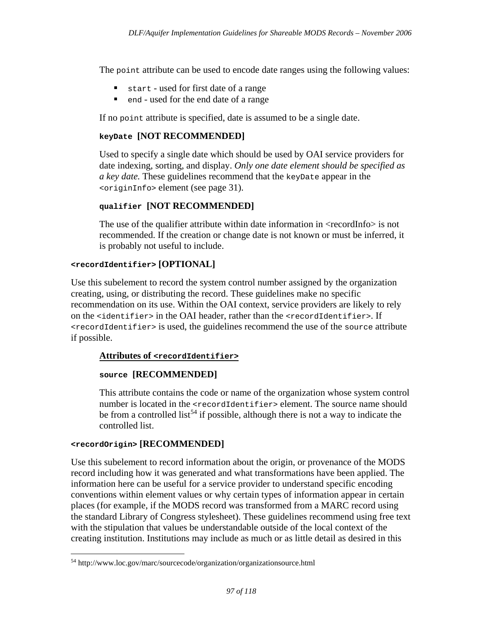The point attribute can be used to encode date ranges using the following values:

- start used for first date of a range
- end used for the end date of a range

If no point attribute is specified, date is assumed to be a single date.

## **keyDate [NOT RECOMMENDED]**

Used to specify a single date which should be used by OAI service providers for date indexing, sorting, and display. *Only one date element should be specified as a key date.* These guidelines recommend that the keyDate appear in the <originInfo> element (see page [31\)](#page-30-0).

## **qualifier [NOT RECOMMENDED]**

The use of the qualifier attribute within date information in <recordInfo> is not recommended. If the creation or change date is not known or must be inferred, it is probably not useful to include.

## **<recordIdentifier> [OPTIONAL]**

Use this subelement to record the system control number assigned by the organization creating, using, or distributing the record. These guidelines make no specific recommendation on its use. Within the OAI context, service providers are likely to rely on the  $\le$ identifier> in the OAI header, rather than the  $\le$ recordIdentifier>. If <recordIdentifier> is used, the guidelines recommend the use of the source attribute if possible.

## **Attributes of <recordIdentifier>**

## **source [RECOMMENDED]**

This attribute contains the code or name of the organization whose system control number is located in the <recordIdentifier> element. The source name should be from a controlled list<sup>[54](#page-96-0)</sup> if possible, although there is not a way to indicate the controlled list.

### **<recordOrigin> [RECOMMENDED]**

Use this subelement to record information about the origin, or provenance of the MODS record including how it was generated and what transformations have been applied. The information here can be useful for a service provider to understand specific encoding conventions within element values or why certain types of information appear in certain places (for example, if the MODS record was transformed from a MARC record using the standard Library of Congress stylesheet). These guidelines recommend using free text with the stipulation that values be understandable outside of the local context of the creating institution. Institutions may include as much or as little detail as desired in this

<span id="page-96-0"></span><sup>54</sup> http://www.loc.gov/marc/sourcecode/organization/organizationsource.html  $\overline{a}$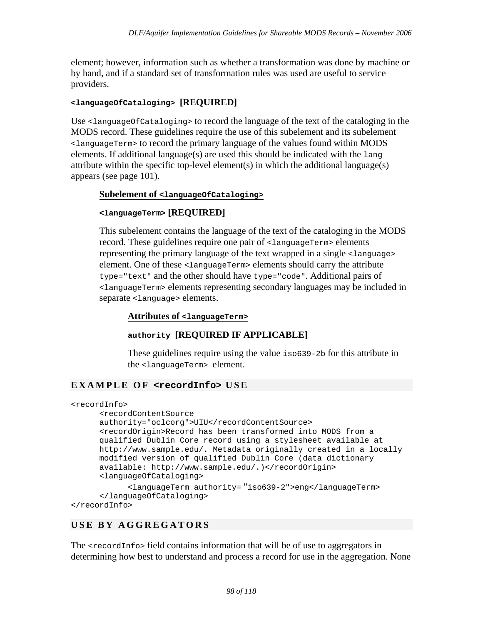element; however, information such as whether a transformation was done by machine or by hand, and if a standard set of transformation rules was used are useful to service providers.

#### **<languageOfCataloging> [REQUIRED]**

Use <languageOfCataloging> to record the language of the text of the cataloging in the MODS record. These guidelines require the use of this subelement and its subelement <languageTerm> to record the primary language of the values found within MODS elements. If additional language(s) are used this should be indicated with the lang attribute within the specific top-level element(s) in which the additional language(s) appears (see page [101\)](#page-100-0).

#### **Subelement of <languageOfCataloging>**

### **<languageTerm> [REQUIRED]**

This subelement contains the language of the text of the cataloging in the MODS record. These guidelines require one pair of <languageTerm> elements representing the primary language of the text wrapped in a single  $\alpha$ -language> element. One of these <languageTerm> elements should carry the attribute type="text" and the other should have type="code". Additional pairs of <languageTerm> elements representing secondary languages may be included in separate <language> elements.

#### **Attributes of <languageTerm>**

### **authority [REQUIRED IF APPLICABLE]**

These guidelines require using the value iso639-2b for this attribute in the <languageTerm> element.

#### **EXAMPLE OF <recordInfo> USE**

```
<recordInfo>
      <recordContentSource 
      authority="oclcorg">UIU</recordContentSource>
      <recordOrigin>Record has been transformed into MODS from a 
      qualified Dublin Core record using a stylesheet available at 
      http://www.sample.edu/. Metadata originally created in a locally 
      modified version of qualified Dublin Core (data dictionary 
      available: http://www.sample.edu/.)</recordOrigin>
      <languageOfCataloging>
            <languageTerm authority= "iso639-2">eng</languageTerm>
      </languageOfCataloging>
</recordInfo>
```
## **USE BY AGGREGATORS**

The <recordInfo> field contains information that will be of use to aggregators in determining how best to understand and process a record for use in the aggregation. None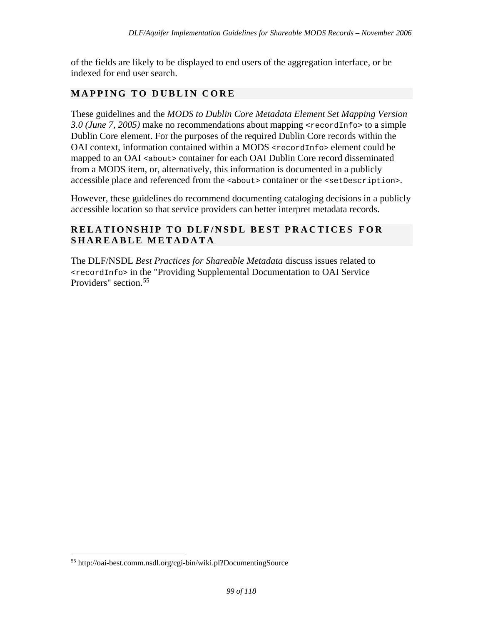of the fields are likely to be displayed to end users of the aggregation interface, or be indexed for end user search.

## **MAPPING TO DUBLIN CORE**

These guidelines and the *MODS to Dublin Core Metadata Element Set Mapping Version 3.0 (June 7, 2005)* make no recommendations about mapping <recordInfo> to a simple Dublin Core element. For the purposes of the required Dublin Core records within the OAI context, information contained within a MODS <recordInfo> element could be mapped to an OAI <about> container for each OAI Dublin Core record disseminated from a MODS item, or, alternatively, this information is documented in a publicly accessible place and referenced from the <about> container or the <setDescription>.

However, these guidelines do recommend documenting cataloging decisions in a publicly accessible location so that service providers can better interpret metadata records.

## **RELATIONSHIP TO DLF/ NSDL BEST PRACTICES FOR SHAREABLE METADATA**

The DLF/NSDL *Best Practices for Shareable Metadata* discuss issues related to <recordInfo> in the "Providing Supplemental Documentation to OAI Service Providers" section.[55](#page-98-0)

<span id="page-98-0"></span><sup>55</sup> http://oai-best.comm.nsdl.org/cgi-bin/wiki.pl?DocumentingSource  $\overline{a}$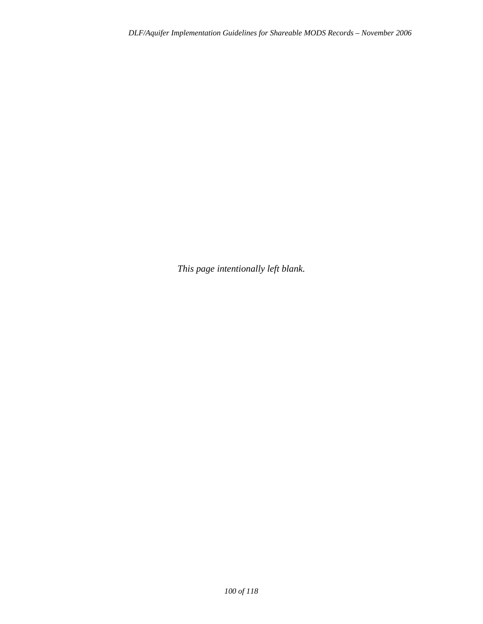*This page intentionally left blank.*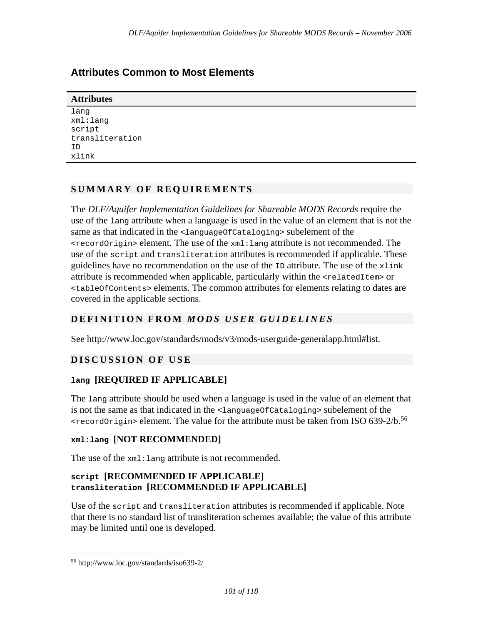# <span id="page-100-0"></span>**Attributes Common to Most Elements**

## **SUMMARY OF REQUIREMENTS**

The *DLF/Aquifer Implementation Guidelines for Shareable MODS Records* require the use of the lang attribute when a language is used in the value of an element that is not the same as that indicated in the <languageOfCataloging> subelement of the <recordOrigin> element. The use of the xml:lang attribute is not recommended. The use of the script and transliteration attributes is recommended if applicable. These guidelines have no recommendation on the use of the  $ID$  attribute. The use of the  $xlink$ attribute is recommended when applicable, particularly within the <relatedItem> or <tableOfContents> elements. The common attributes for elements relating to dates are covered in the applicable sections.

## **DEFINITION FROM** *MODS USER GUIDELINES*

See http://www.loc.gov/standards/mods/v3/mods-userguide-generalapp.html#list.

# **DISCUSSION OF USE**

## **lang [REQUIRED IF APPLICABLE]**

The lang attribute should be used when a language is used in the value of an element that is not the same as that indicated in the  $\alpha$ -languageOfCataloging> subelement of the  $<$ recordOrigin> element. The value for the attribute must be taken from ISO 639-2/b.<sup>[56](#page-100-1)</sup>

## **xml:lang [NOT RECOMMENDED]**

The use of the  $xml:$  lang attribute is not recommended.

## **script [RECOMMENDED IF APPLICABLE] transliteration [RECOMMENDED IF APPLICABLE]**

Use of the script and transliteration attributes is recommended if applicable. Note that there is no standard list of transliteration schemes available; the value of this attribute may be limited until one is developed.

<span id="page-100-1"></span><sup>56</sup> http://www.loc.gov/standards/iso639-2/  $\overline{a}$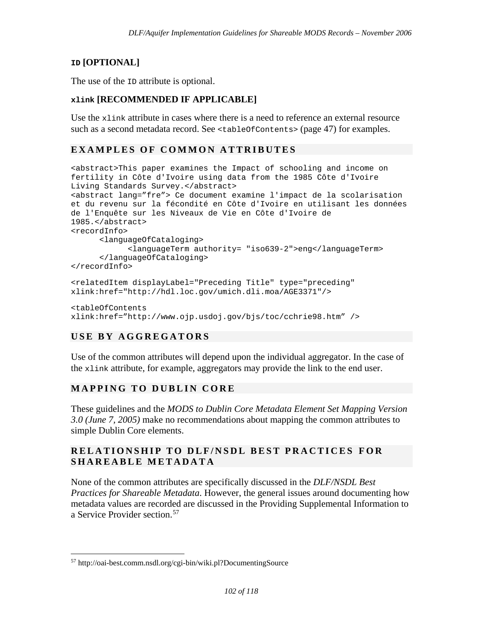### **ID [OPTIONAL]**

The use of the  $ID$  attribute is optional.

### **xlink [RECOMMENDED IF APPLICABLE]**

Use the  $x$ link attribute in cases where there is a need to reference an external resource such as a second metadata record. See <tableOfContents> (page [47\)](#page-46-0) for examples.

## **EXAMPLES OF COMMON A TTRIBUTES**

```
<abstract>This paper examines the Impact of schooling and income on 
fertility in Côte d'Ivoire using data from the 1985 Côte d'Ivoire 
Living Standards Survey.</abstract>
<abstract lang="fre"> Ce document examine l'impact de la scolarisation 
et du revenu sur la fécondité en Côte d'Ivoire en utilisant les données 
de l'Enquête sur les Niveaux de Vie en Côte d'Ivoire de 
1985.</abstract>
<recordInfo>
      <languageOfCataloging>
            <languageTerm authority= "iso639-2">eng</languageTerm>
      </languageOfCataloging>
</recordInfo>
<relatedItem displayLabel="Preceding Title" type="preceding" 
xlink:href="http://hdl.loc.gov/umich.dli.moa/AGE3371"/>
<tableOfContents 
xlink:href="http://www.ojp.usdoj.gov/bjs/toc/cchrie98.htm" />
```
## **USE BY AGGREGATORS**

Use of the common attributes will depend upon the individual aggregator. In the case of the xlink attribute, for example, aggregators may provide the link to the end user.

### **MAPPING TO DUBLIN CORE**

These guidelines and the *MODS to Dublin Core Metadata Element Set Mapping Version 3.0 (June 7, 2005)* make no recommendations about mapping the common attributes to simple Dublin Core elements.

## **RELATIONSHIP TO DLF/ NSDL BEST PRACTICES FOR SHAREABLE METADATA**

None of the common attributes are specifically discussed in the *DLF/NSDL Best Practices for Shareable Metadata*. However, the general issues around documenting how metadata values are recorded are discussed in the Providing Supplemental Information to a Service Provider section.[57](#page-101-0)

 $\overline{a}$ 

<span id="page-101-0"></span><sup>57</sup> http://oai-best.comm.nsdl.org/cgi-bin/wiki.pl?DocumentingSource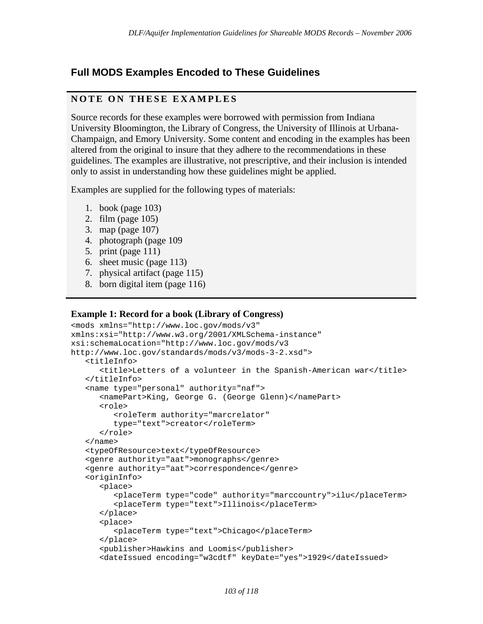# **Full MODS Examples Encoded to These Guidelines**

## **NOTE ON THESE EXAMPLES**

Source records for these examples were borrowed with permission from Indiana University Bloomington, the Library of Congress, the University of Illinois at Urbana-Champaign, and Emory University. Some content and encoding in the examples has been altered from the original to insure that they adhere to the recommendations in these guidelines. The examples are illustrative, not prescriptive, and their inclusion is intended only to assist in understanding how these guidelines might be applied.

Examples are supplied for the following types of materials:

- 1. book (page [103\)](#page-102-0)
- 2. film (page [105\)](#page-104-0)
- 3. map (page [107\)](#page-106-0)
- 4. photograph (page [109](#page-108-0)
- 5. print (page [111\)](#page-110-0)
- 6. sheet music (page [113\)](#page-112-0)
- 7. physical artifact (page [115\)](#page-114-0)
- 8. born digital item (page [116\)](#page-115-0)

### <span id="page-102-0"></span>**Example 1: Record for a book (Library of Congress)**

```
<mods xmlns="http://www.loc.gov/mods/v3"
xmlns:xsi="http://www.w3.org/2001/XMLSchema-instance"
xsi:schemaLocation="http://www.loc.gov/mods/v3 
http://www.loc.gov/standards/mods/v3/mods-3-2.xsd">
   <titleInfo>
      <title>Letters of a volunteer in the Spanish-American war</title>
   </titleInfo>
   <name type="personal" authority="naf">
      <namePart>King, George G. (George Glenn)</namePart>
      <role>
         <roleTerm authority="marcrelator" 
         type="text">creator</roleTerm>
      </role>
   </name>
   <typeOfResource>text</typeOfResource>
   <genre authority="aat">monographs</genre>
   <genre authority="aat">correspondence</genre>
   <originInfo>
      <place>
         <placeTerm type="code" authority="marccountry">ilu</placeTerm>
         <placeTerm type="text">Illinois</placeTerm>
      </place>
      <place>
         <placeTerm type="text">Chicago</placeTerm>
      </place>
      <publisher>Hawkins and Loomis</publisher>
      <dateIssued encoding="w3cdtf" keyDate="yes">1929</dateIssued>
```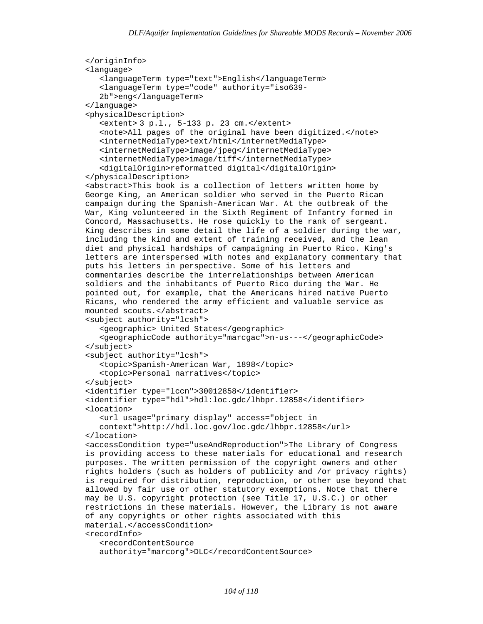```
</originInfo>
<language>
   <languageTerm type="text">English</languageTerm>
   <languageTerm type="code" authority="iso639-
   2b">eng</languageTerm>
</language>
<physicalDescription>
   <extent> 3 p.l., 5-133 p. 23 cm.</extent>
   <note>All pages of the original have been digitized.</note>
   <internetMediaType>text/html</internetMediaType>
   <internetMediaType>image/jpeg</internetMediaType>
   <internetMediaType>image/tiff</internetMediaType>
   <digitalOrigin>reformatted digital</digitalOrigin>
</physicalDescription>
<abstract>This book is a collection of letters written home by 
George King, an American soldier who served in the Puerto Rican 
campaign during the Spanish-American War. At the outbreak of the 
War, King volunteered in the Sixth Regiment of Infantry formed in 
Concord, Massachusetts. He rose quickly to the rank of sergeant. 
King describes in some detail the life of a soldier during the war, 
including the kind and extent of training received, and the lean 
diet and physical hardships of campaigning in Puerto Rico. King's 
letters are interspersed with notes and explanatory commentary that 
puts his letters in perspective. Some of his letters and 
commentaries describe the interrelationships between American 
soldiers and the inhabitants of Puerto Rico during the War. He 
pointed out, for example, that the Americans hired native Puerto 
Ricans, who rendered the army efficient and valuable service as 
mounted scouts.</abstract>
<subject authority="lcsh">
   <geographic> United States</geographic>
   <geographicCode authority="marcgac">n-us---</geographicCode>
</subject>
<subject authority="lcsh">
   <topic>Spanish-American War, 1898</topic>
   <topic>Personal narratives</topic>
</subject>
<identifier type="lccn">30012858</identifier>
<identifier type="hdl">hdl:loc.gdc/lhbpr.12858</identifier>
<location>
   <url usage="primary display" access="object in 
   context">http://hdl.loc.gov/loc.gdc/lhbpr.12858</url>
</location>
<accessCondition type="useAndReproduction">The Library of Congress 
is providing access to these materials for educational and research 
purposes. The written permission of the copyright owners and other 
rights holders (such as holders of publicity and /or privacy rights) 
is required for distribution, reproduction, or other use beyond that 
allowed by fair use or other statutory exemptions. Note that there 
may be U.S. copyright protection (see Title 17, U.S.C.) or other 
restrictions in these materials. However, the Library is not aware 
of any copyrights or other rights associated with this 
material.</accessCondition>
<recordInfo>
   <recordContentSource 
   authority="marcorg">DLC</recordContentSource>
```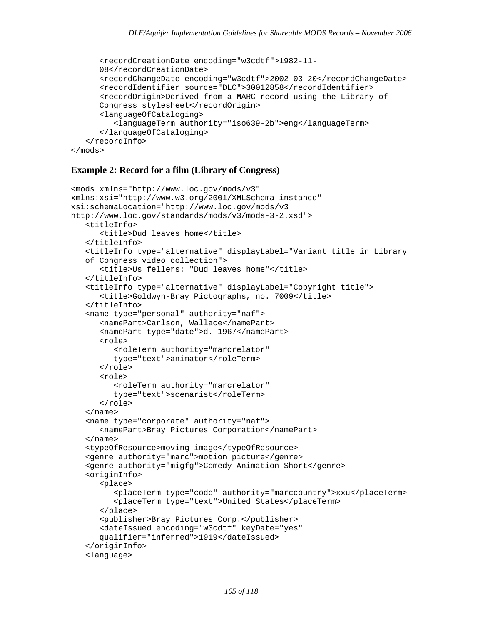```
<recordCreationDate encoding="w3cdtf">1982-11-
      08</recordCreationDate>
      <recordChangeDate encoding="w3cdtf">2002-03-20</recordChangeDate>
      <recordIdentifier source="DLC">30012858</recordIdentifier>
      <recordOrigin>Derived from a MARC record using the Library of 
     Congress stylesheet</recordOrigin>
      <languageOfCataloging>
         <languageTerm authority="iso639-2b">eng</languageTerm>
      </languageOfCataloging>
   </recordInfo>
</mods>
```
#### <span id="page-104-0"></span>**Example 2: Record for a film (Library of Congress)**

```
<mods xmlns="http://www.loc.gov/mods/v3"
xmlns:xsi="http://www.w3.org/2001/XMLSchema-instance"
xsi:schemaLocation="http://www.loc.gov/mods/v3 
http://www.loc.gov/standards/mods/v3/mods-3-2.xsd">
   <titleInfo>
      <title>Dud leaves home</title>
   </titleInfo>
   <titleInfo type="alternative" displayLabel="Variant title in Library 
   of Congress video collection">
      <title>Us fellers: "Dud leaves home"</title>
   </titleInfo>
   <titleInfo type="alternative" displayLabel="Copyright title">
      <title>Goldwyn-Bray Pictographs, no. 7009</title>
   </titleInfo>
   <name type="personal" authority="naf">
      <namePart>Carlson, Wallace</namePart>
      <namePart type="date">d. 1967</namePart>
      <role>
         <roleTerm authority="marcrelator" 
         type="text">animator</roleTerm>
      </role>
      <role>
         <roleTerm authority="marcrelator" 
         type="text">scenarist</roleTerm>
      </role>
   </name>
   <name type="corporate" authority="naf">
      <namePart>Bray Pictures Corporation</namePart>
   </name>
   <typeOfResource>moving image</typeOfResource>
   <genre authority="marc">motion picture</genre>
   <genre authority="migfg">Comedy-Animation-Short</genre>
   <originInfo>
      <place>
         <placeTerm type="code" authority="marccountry">xxu</placeTerm>
         <placeTerm type="text">United States</placeTerm>
      </place>
      <publisher>Bray Pictures Corp.</publisher>
      <dateIssued encoding="w3cdtf" keyDate="yes" 
      qualifier="inferred">1919</dateIssued>
   </originInfo>
   <language>
```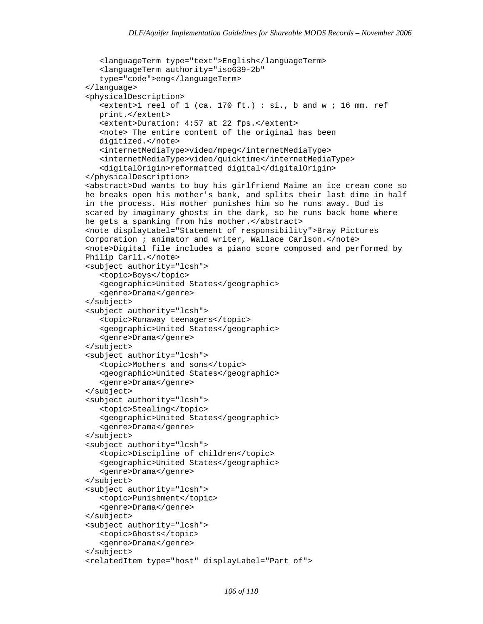```
<languageTerm type="text">English</languageTerm>
   <languageTerm authority="iso639-2b" 
   type="code">eng</languageTerm>
</language>
<physicalDescription>
   \epsilon <extent>1 reel of 1 (ca. 170 ft.) : si., b and w ; 16 mm. ref
   print.</extent>
   <extent>Duration: 4:57 at 22 fps.</extent>
   <note> The entire content of the original has been 
   digitized.</note>
   <internetMediaType>video/mpeg</internetMediaType>
   <internetMediaType>video/quicktime</internetMediaType>
   <digitalOrigin>reformatted digital</digitalOrigin>
</physicalDescription>
<abstract>Dud wants to buy his girlfriend Maime an ice cream cone so 
he breaks open his mother's bank, and splits their last dime in half 
in the process. His mother punishes him so he runs away. Dud is 
scared by imaginary ghosts in the dark, so he runs back home where 
he gets a spanking from his mother.</abstract>
<note displayLabel="Statement of responsibility">Bray Pictures 
Corporation ; animator and writer, Wallace Carlson.</note>
<note>Digital file includes a piano score composed and performed by 
Philip Carli.</note>
<subject authority="lcsh">
   <topic>Boys</topic>
   <geographic>United States</geographic>
   <genre>Drama</genre>
</subject>
<subject authority="lcsh">
   <topic>Runaway teenagers</topic>
   <geographic>United States</geographic>
   <genre>Drama</genre>
</subject>
<subject authority="lcsh">
   <topic>Mothers and sons</topic>
   <geographic>United States</geographic>
   <genre>Drama</genre>
</subject>
<subject authority="lcsh">
   <topic>Stealing</topic>
   <geographic>United States</geographic>
   <genre>Drama</genre>
</subject>
<subject authority="lcsh">
   <topic>Discipline of children</topic>
   <geographic>United States</geographic>
   <genre>Drama</genre>
</subject>
<subject authority="lcsh">
   <topic>Punishment</topic>
   <genre>Drama</genre>
</subject>
<subject authority="lcsh">
   <topic>Ghosts</topic>
   <genre>Drama</genre>
</subject>
<relatedItem type="host" displayLabel="Part of">
```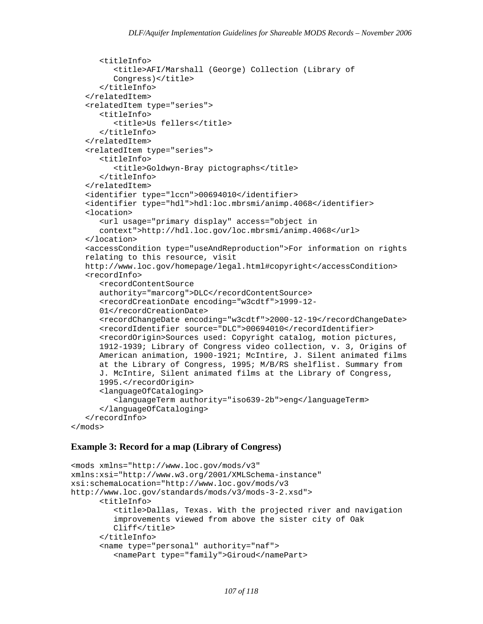```
<titleInfo>
         <title>AFI/Marshall (George) Collection (Library of 
         Congress)</title>
      </titleInfo>
   </relatedItem>
   <relatedItem type="series">
      <titleInfo>
         <title>Us fellers</title>
      </titleInfo>
   </relatedItem>
   <relatedItem type="series">
      <titleInfo>
         <title>Goldwyn-Bray pictographs</title>
      </titleInfo>
   </relatedItem>
   <identifier type="lccn">00694010</identifier>
   <identifier type="hdl">hdl:loc.mbrsmi/animp.4068</identifier>
   <location>
      <url usage="primary display" access="object in 
      context">http://hdl.loc.gov/loc.mbrsmi/animp.4068</url>
  </location>
   <accessCondition type="useAndReproduction">For information on rights 
  relating to this resource, visit 
  http://www.loc.gov/homepage/legal.html#copyright</accessCondition>
   <recordInfo>
     <recordContentSource 
     authority="marcorg">DLC</recordContentSource>
     <recordCreationDate encoding="w3cdtf">1999-12-
     01</recordCreationDate>
     <recordChangeDate encoding="w3cdtf">2000-12-19</recordChangeDate>
     <recordIdentifier source="DLC">00694010</recordIdentifier>
     <recordOrigin>Sources used: Copyright catalog, motion pictures, 
     1912-1939; Library of Congress video collection, v. 3, Origins of 
     American animation, 1900-1921; McIntire, J. Silent animated films 
     at the Library of Congress, 1995; M/B/RS shelflist. Summary from 
     J. McIntire, Silent animated films at the Library of Congress, 
      1995.</recordOrigin>
      <languageOfCataloging>
         <languageTerm authority="iso639-2b">eng</languageTerm>
      </languageOfCataloging>
   </recordInfo>
</mods>
```
#### <span id="page-106-0"></span>**Example 3: Record for a map (Library of Congress)**

```
<mods xmlns="http://www.loc.gov/mods/v3"
xmlns:xsi="http://www.w3.org/2001/XMLSchema-instance"
xsi:schemaLocation="http://www.loc.gov/mods/v3 
http://www.loc.gov/standards/mods/v3/mods-3-2.xsd">
      <titleInfo>
         <title>Dallas, Texas. With the projected river and navigation 
         improvements viewed from above the sister city of Oak 
         Cliff</title>
      </titleInfo>
      <name type="personal" authority="naf">
         <namePart type="family">Giroud</namePart>
```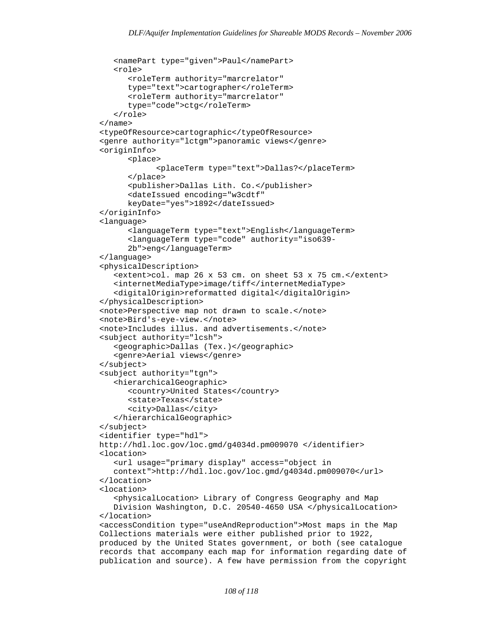```
<namePart type="given">Paul</namePart>
   <role>
      <roleTerm authority="marcrelator" 
      type="text">cartographer</roleTerm>
      <roleTerm authority="marcrelator" 
      type="code">ctq</roleTerm>
   </role>
</name>
<typeOfResource>cartographic</typeOfResource>
<genre authority="lctgm">panoramic views</genre>
<originInfo>
      <place>
            <placeTerm type="text">Dallas?</placeTerm>
      </place>
      <publisher>Dallas Lith. Co.</publisher>
      <dateIssued encoding="w3cdtf" 
      keyDate="yes">1892</dateIssued>
</originInfo>
<language>
      <languageTerm type="text">English</languageTerm>
      <languageTerm type="code" authority="iso639-
      2b">eng</languageTerm>
</language>
<physicalDescription>
   <extent>col. map 26 x 53 cm. on sheet 53 x 75 cm.</extent>
   <internetMediaType>image/tiff</internetMediaType>
   <digitalOrigin>reformatted digital</digitalOrigin>
</physicalDescription>
<note>Perspective map not drawn to scale.</note>
<note>Bird's-eye-view.</note>
<note>Includes illus. and advertisements.</note>
<subject authority="lcsh">
   <geographic>Dallas (Tex.)</geographic>
   <genre>Aerial views</genre>
</subject>
<subject authority="tgn">
   <hierarchicalGeographic>
      <country>United States</country>
      <state>Texas</state>
      <city>Dallas</city>
   </hierarchicalGeographic>
</subject>
<identifier type="hdl"> 
http://hdl.loc.gov/loc.gmd/g4034d.pm009070 </identifier>
<location>
   <url usage="primary display" access="object in 
   context">http://hdl.loc.gov/loc.gmd/g4034d.pm009070</url>
</location>
<location>
   <physicalLocation> Library of Congress Geography and Map 
   Division Washington, D.C. 20540-4650 USA </physicalLocation>
</location>
<accessCondition type="useAndReproduction">Most maps in the Map 
Collections materials were either published prior to 1922, 
produced by the United States government, or both (see catalogue 
records that accompany each map for information regarding date of 
publication and source). A few have permission from the copyright
```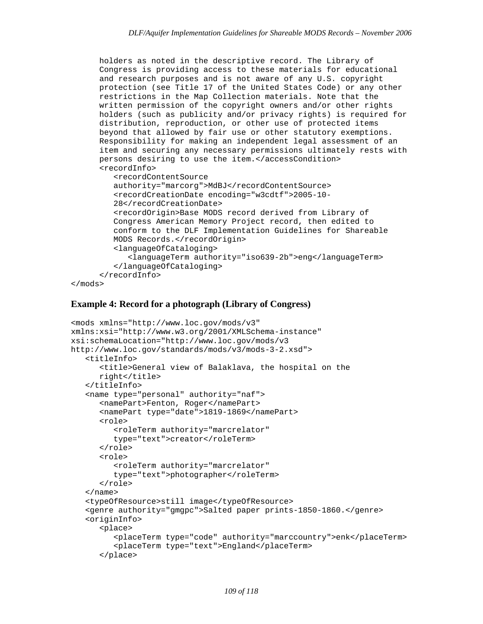```
holders as noted in the descriptive record. The Library of 
Congress is providing access to these materials for educational 
and research purposes and is not aware of any U.S. copyright 
protection (see Title 17 of the United States Code) or any other 
restrictions in the Map Collection materials. Note that the 
written permission of the copyright owners and/or other rights 
holders (such as publicity and/or privacy rights) is required for 
distribution, reproduction, or other use of protected items 
beyond that allowed by fair use or other statutory exemptions. 
Responsibility for making an independent legal assessment of an 
item and securing any necessary permissions ultimately rests with 
persons desiring to use the item.</accessCondition>
<recordInfo>
   <recordContentSource 
   authority="marcorg">MdBJ</recordContentSource>
   <recordCreationDate encoding="w3cdtf">2005-10-
   28</recordCreationDate>
   <recordOrigin>Base MODS record derived from Library of 
   Congress American Memory Project record, then edited to 
   conform to the DLF Implementation Guidelines for Shareable 
   MODS Records.</recordOrigin>
   <languageOfCataloging>
      <languageTerm authority="iso639-2b">eng</languageTerm>
   </languageOfCataloging>
```

```
</recordInfo>
```

```
</mods>
```
## **Example 4: Record for a photograph (Library of Congress)**

```
<mods xmlns="http://www.loc.gov/mods/v3"
xmlns:xsi="http://www.w3.org/2001/XMLSchema-instance"
xsi:schemaLocation="http://www.loc.gov/mods/v3 
http://www.loc.gov/standards/mods/v3/mods-3-2.xsd">
   <titleInfo>
      <title>General view of Balaklava, the hospital on the 
      right</title>
   </titleInfo>
   <name type="personal" authority="naf">
      <namePart>Fenton, Roger</namePart>
      <namePart type="date">1819-1869</namePart>
      <role>
         <roleTerm authority="marcrelator" 
         type="text">creator</roleTerm>
      </role>
      <role>
         <roleTerm authority="marcrelator" 
         type="text">photographer</roleTerm>
      </role>
   </name>
   <typeOfResource>still image</typeOfResource>
   <genre authority="gmgpc">Salted paper prints-1850-1860.</genre>
   <originInfo>
      <place>
         <placeTerm type="code" authority="marccountry">enk</placeTerm>
         <placeTerm type="text">England</placeTerm>
      </place>
```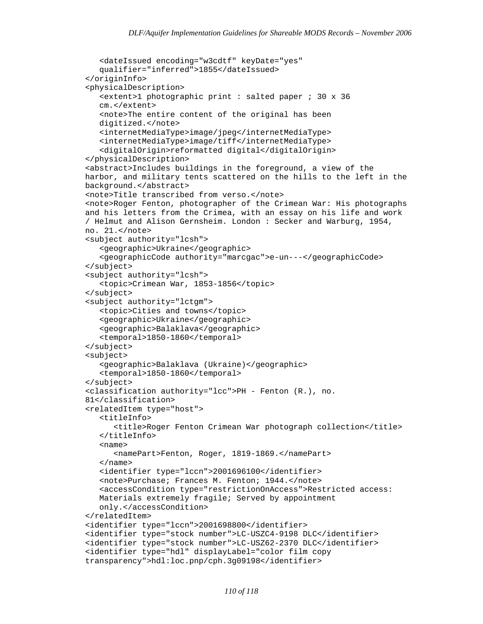```
<dateIssued encoding="w3cdtf" keyDate="yes" 
   qualifier="inferred">1855</dateIssued>
</originInfo>
<physicalDescription>
   <extent>1 photographic print : salted paper ; 30 x 36 
   cm.</extent>
   <note>The entire content of the original has been 
   digitized.</note>
   <internetMediaType>image/jpeg</internetMediaType>
   <internetMediaType>image/tiff</internetMediaType>
   <digitalOrigin>reformatted digital</digitalOrigin>
</physicalDescription>
<abstract>Includes buildings in the foreground, a view of the 
harbor, and military tents scattered on the hills to the left in the 
background.</abstract>
<note>Title transcribed from verso.</note>
<note>Roger Fenton, photographer of the Crimean War: His photographs 
and his letters from the Crimea, with an essay on his life and work 
/ Helmut and Alison Gernsheim. London : Secker and Warburg, 1954, 
no. 21.</note>
<subject authority="lcsh">
   <geographic>Ukraine</geographic>
   <geographicCode authority="marcgac">e-un---</geographicCode>
</subject>
<subject authority="lcsh">
   <topic>Crimean War, 1853-1856</topic>
</subject>
<subject authority="lctgm">
   <topic>Cities and towns</topic>
   <geographic>Ukraine</geographic>
   <geographic>Balaklava</geographic>
   <temporal>1850-1860</temporal>
</subject>
<subject>
   <geographic>Balaklava (Ukraine)</geographic>
   <temporal>1850-1860</temporal>
</subject>
<classification authority="lcc">PH - Fenton (R.), no. 
81</classification>
<relatedItem type="host">
   <titleInfo>
      <title>Roger Fenton Crimean War photograph collection</title>
   </titleInfo>
   <name>
      <namePart>Fenton, Roger, 1819-1869.</namePart>
   </name>
   <identifier type="lccn">2001696100</identifier>
   <note>Purchase; Frances M. Fenton; 1944.</note>
   <accessCondition type="restrictionOnAccess">Restricted access: 
   Materials extremely fragile; Served by appointment 
   only.</accessCondition>
</relatedItem>
<identifier type="lccn">2001698800</identifier>
<identifier type="stock number">LC-USZC4-9198 DLC</identifier>
<identifier type="stock number">LC-USZ62-2370 DLC</identifier>
<identifier type="hdl" displayLabel="color film copy
transparency">hdl:loc.pnp/cph.3g09198</identifier>
```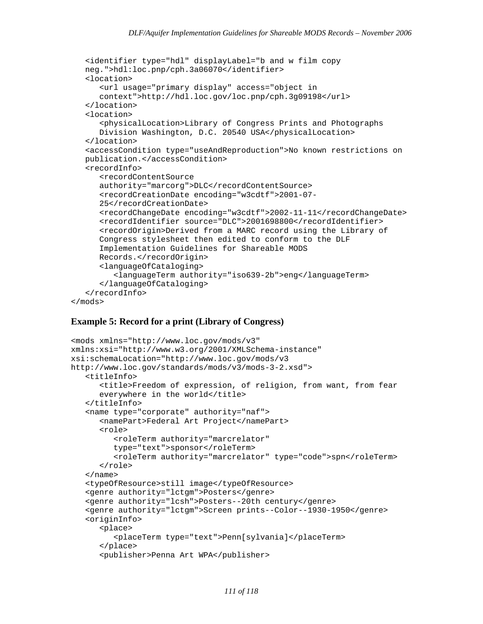```
<identifier type="hdl" displayLabel="b and w film copy 
  neg.">hdl:loc.pnp/cph.3a06070</identifier>
   <location>
      <url usage="primary display" access="object in 
      context">http://hdl.loc.gov/loc.pnp/cph.3g09198</url>
   </location>
   <location>
      <physicalLocation>Library of Congress Prints and Photographs 
      Division Washington, D.C. 20540 USA</physicalLocation>
   </location>
   <accessCondition type="useAndReproduction">No known restrictions on 
  publication.</accessCondition>
   <recordInfo>
      <recordContentSource 
     authority="marcorg">DLC</recordContentSource>
      <recordCreationDate encoding="w3cdtf">2001-07-
      25</recordCreationDate>
      <recordChangeDate encoding="w3cdtf">2002-11-11</recordChangeDate>
     <recordIdentifier source="DLC">2001698800</recordIdentifier>
      <recordOrigin>Derived from a MARC record using the Library of 
     Congress stylesheet then edited to conform to the DLF 
      Implementation Guidelines for Shareable MODS 
     Records.</recordOrigin>
      <languageOfCataloging>
         <languageTerm authority="iso639-2b">eng</languageTerm>
      </languageOfCataloging>
   </recordInfo>
</mods>
```
### **Example 5: Record for a print (Library of Congress)**

```
<mods xmlns="http://www.loc.gov/mods/v3"
xmlns:xsi="http://www.w3.org/2001/XMLSchema-instance"
xsi:schemaLocation="http://www.loc.gov/mods/v3 
http://www.loc.gov/standards/mods/v3/mods-3-2.xsd"> 
   <titleInfo>
      <title>Freedom of expression, of religion, from want, from fear 
      everywhere in the world</title>
   </titleInfo>
   <name type="corporate" authority="naf">
      <namePart>Federal Art Project</namePart>
      <role>
         <roleTerm authority="marcrelator" 
         type="text">sponsor</roleTerm>
         <roleTerm authority="marcrelator" type="code">spn</roleTerm>
      </role>
   </name>
   <typeOfResource>still image</typeOfResource>
   <genre authority="lctgm">Posters</genre>
   <genre authority="lcsh">Posters--20th century</genre>
   <genre authority="lctgm">Screen prints--Color--1930-1950</genre>
   <originInfo>
      <place>
         <placeTerm type="text">Penn[sylvania]</placeTerm>
      </place>
      <publisher>Penna Art WPA</publisher>
```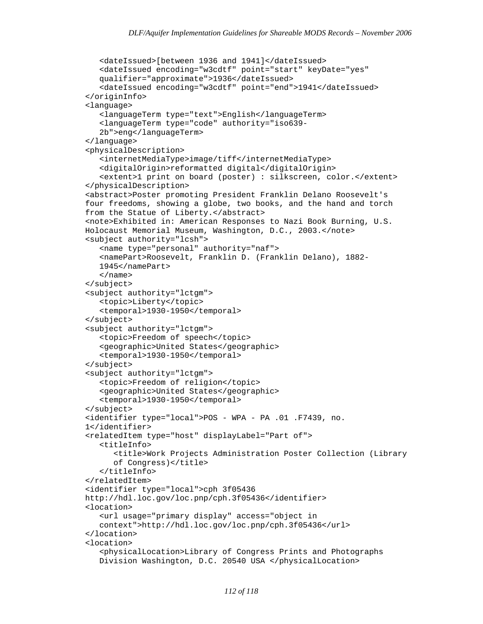```
<dateIssued>[between 1936 and 1941]</dateIssued>
   <dateIssued encoding="w3cdtf" point="start" keyDate="yes" 
   qualifier="approximate">1936</dateIssued>
   <dateIssued encoding="w3cdtf" point="end">1941</dateIssued>
</originInfo>
<language>
   <languageTerm type="text">English</languageTerm>
   <languageTerm type="code" authority="iso639-
   2b">eng</languageTerm>
</language>
<physicalDescription>
   <internetMediaType>image/tiff</internetMediaType>
   <digitalOrigin>reformatted digital</digitalOrigin>
   <extent>1 print on board (poster) : silkscreen, color.</extent>
</physicalDescription>
<abstract>Poster promoting President Franklin Delano Roosevelt's 
four freedoms, showing a globe, two books, and the hand and torch 
from the Statue of Liberty.</abstract>
<note>Exhibited in: American Responses to Nazi Book Burning, U.S. 
Holocaust Memorial Museum, Washington, D.C., 2003.</note>
<subject authority="lcsh">
   <name type="personal" authority="naf">
   <namePart>Roosevelt, Franklin D. (Franklin Delano), 1882-
   1945</namePart>
   </name>
</subject>
<subject authority="lctgm">
   <topic>Liberty</topic>
   <temporal>1930-1950</temporal>
</subject>
<subject authority="lctgm">
   <topic>Freedom of speech</topic>
   <geographic>United States</geographic>
   <temporal>1930-1950</temporal>
</subject>
<subject authority="lctgm">
   <topic>Freedom of religion</topic>
   <geographic>United States</geographic>
   <temporal>1930-1950</temporal>
</subject>
<identifier type="local">POS - WPA - PA .01 .F7439, no. 
1</identifier>
<relatedItem type="host" displayLabel="Part of">
   <titleInfo>
      <title>Work Projects Administration Poster Collection (Library 
      of Congress)</title>
   </titleInfo>
</relatedItem>
<identifier type="local">cph 3f05436 
http://hdl.loc.gov/loc.pnp/cph.3f05436</identifier>
<location>
   <url usage="primary display" access="object in 
   context">http://hdl.loc.gov/loc.pnp/cph.3f05436</url>
</location>
<location>
   <physicalLocation>Library of Congress Prints and Photographs 
  Division Washington, D.C. 20540 USA </physicalLocation>
```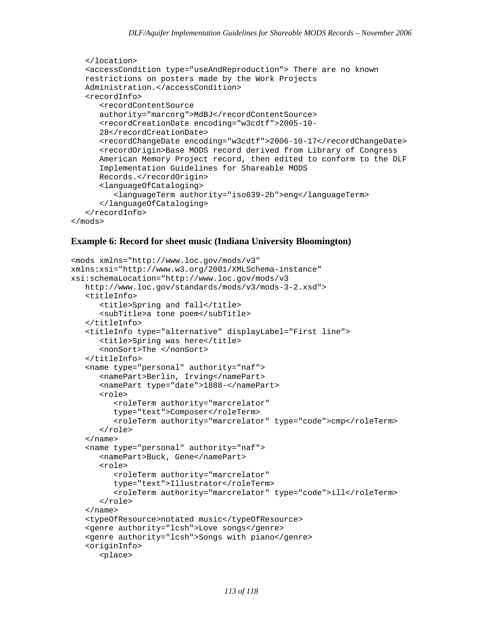```
</location>
   <accessCondition type="useAndReproduction"> There are no known 
  restrictions on posters made by the Work Projects 
  Administration.</accessCondition>
  <recordInfo>
      <recordContentSource 
     authority="marcorg">MdBJ</recordContentSource>
      <recordCreationDate encoding="w3cdtf">2005-10-
      28</recordCreationDate>
      <recordChangeDate encoding="w3cdtf">2006-10-17</recordChangeDate>
      <recordOrigin>Base MODS record derived from Library of Congress 
     American Memory Project record, then edited to conform to the DLF 
     Implementation Guidelines for Shareable MODS 
     Records.</recordOrigin>
      <languageOfCataloging>
         <languageTerm authority="iso639-2b">eng</languageTerm>
      </languageOfCataloging>
   </recordInfo>
</mods>
```
### **Example 6: Record for sheet music (Indiana University Bloomington)**

```
<mods xmlns="http://www.loc.gov/mods/v3"
xmlns:xsi="http://www.w3.org/2001/XMLSchema-instance"
xsi:schemaLocation="http://www.loc.gov/mods/v3 
  http://www.loc.gov/standards/mods/v3/mods-3-2.xsd">
   <titleInfo>
      <title>Spring and fall</title>
      <subTitle>a tone poem</subTitle>
   </titleInfo>
   <titleInfo type="alternative" displayLabel="First line">
      <title>Spring was here</title>
      <nonSort>The </nonSort>
   </titleInfo>
   <name type="personal" authority="naf">
      <namePart>Berlin, Irving</namePart>
      <namePart type="date">1888-</namePart>
      <role>
         <roleTerm authority="marcrelator" 
         type="text">Composer</roleTerm>
         <roleTerm authority="marcrelator" type="code">cmp</roleTerm>
      </role>
   </name>
   <name type="personal" authority="naf">
      <namePart>Buck, Gene</namePart>
      <role>
         <roleTerm authority="marcrelator" 
         type="text">Illustrator</roleTerm>
         <roleTerm authority="marcrelator" type="code">ill</roleTerm>
      </role>
   </name>
   <typeOfResource>notated music</typeOfResource>
   <genre authority="lcsh">Love songs</genre>
   <genre authority="lcsh">Songs with piano</genre>
   <originInfo>
      <place>
```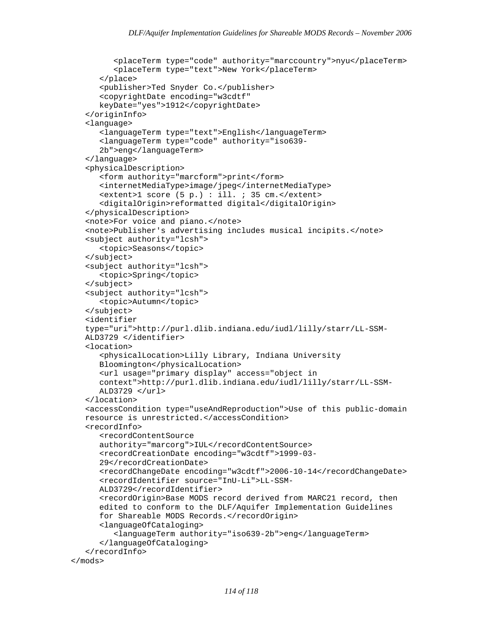```
<placeTerm type="code" authority="marccountry">nyu</placeTerm>
         <placeTerm type="text">New York</placeTerm>
      </place>
      <publisher>Ted Snyder Co.</publisher>
      <copyrightDate encoding="w3cdtf" 
      keyDate="yes">1912</copyrightDate>
   </originInfo>
   <language>
      <languageTerm type="text">English</languageTerm>
      <languageTerm type="code" authority="iso639-
      2b">eng</languageTerm>
   </language>
   <physicalDescription>
      <form authority="marcform">print</form>
      <internetMediaType>image/jpeg</internetMediaType>
      <extent>1 score (5 p.) : ill. ; 35 cm.</extent>
      <digitalOrigin>reformatted digital</digitalOrigin>
   </physicalDescription>
   <note>For voice and piano.</note>
   <note>Publisher's advertising includes musical incipits.</note>
   <subject authority="lcsh">
      <topic>Seasons</topic>
   </subject>
   <subject authority="lcsh">
      <topic>Spring</topic>
   </subject>
   <subject authority="lcsh">
      <topic>Autumn</topic>
   </subject>
   <identifier 
   type="uri">http://purl.dlib.indiana.edu/iudl/lilly/starr/LL-SSM-
   ALD3729 </identifier>
   <location>
      <physicalLocation>Lilly Library, Indiana University 
      Bloomington</physicalLocation>
      <url usage="primary display" access="object in 
      context">http://purl.dlib.indiana.edu/iudl/lilly/starr/LL-SSM-
      ALD3729 </url>
   </location>
   <accessCondition type="useAndReproduction">Use of this public-domain 
   resource is unrestricted.</accessCondition>
   <recordInfo>
      <recordContentSource 
      authority="marcorg">IUL</recordContentSource>
      <recordCreationDate encoding="w3cdtf">1999-03-
      29</recordCreationDate>
      <recordChangeDate encoding="w3cdtf">2006-10-14</recordChangeDate>
      <recordIdentifier source="InU-Li">LL-SSM-
      ALD3729</recordIdentifier>
      <recordOrigin>Base MODS record derived from MARC21 record, then 
      edited to conform to the DLF/Aquifer Implementation Guidelines 
      for Shareable MODS Records.</recordOrigin>
      <languageOfCataloging>
         <languageTerm authority="iso639-2b">eng</languageTerm>
      </languageOfCataloging>
   </recordInfo>
</mods>
```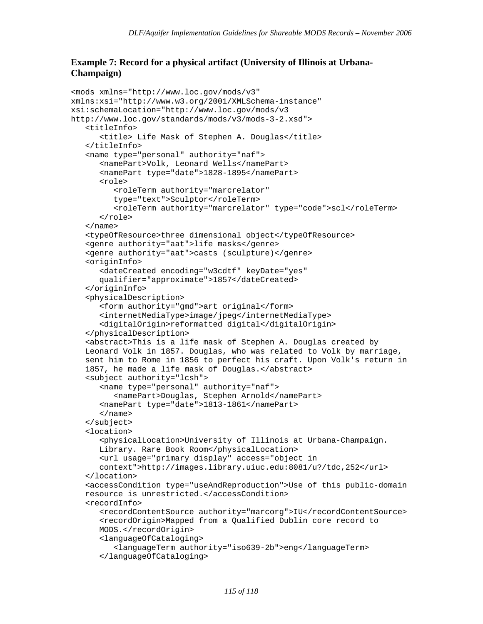# **Example 7: Record for a physical artifact (University of Illinois at Urbana-Champaign)**

```
<mods xmlns="http://www.loc.gov/mods/v3"
xmlns:xsi="http://www.w3.org/2001/XMLSchema-instance"
xsi:schemaLocation="http://www.loc.gov/mods/v3 
http://www.loc.gov/standards/mods/v3/mods-3-2.xsd">
   <titleInfo>
      <title> Life Mask of Stephen A. Douglas</title>
   </titleInfo>
   <name type="personal" authority="naf">
      <namePart>Volk, Leonard Wells</namePart>
      <namePart type="date">1828-1895</namePart>
      <role>
         <roleTerm authority="marcrelator" 
         type="text">Sculptor</roleTerm>
         <roleTerm authority="marcrelator" type="code">scl</roleTerm>
      </role>
   </name>
   <typeOfResource>three dimensional object</typeOfResource>
   <genre authority="aat">life masks</genre>
   <genre authority="aat">casts (sculpture)</genre>
   <originInfo>
      <dateCreated encoding="w3cdtf" keyDate="yes" 
      qualifier="approximate">1857</dateCreated>
   </originInfo>
   <physicalDescription>
      <form authority="gmd">art original</form>
      <internetMediaType>image/jpeg</internetMediaType>
      <digitalOrigin>reformatted digital</digitalOrigin>
   </physicalDescription>
   <abstract>This is a life mask of Stephen A. Douglas created by 
   Leonard Volk in 1857. Douglas, who was related to Volk by marriage, 
   sent him to Rome in 1856 to perfect his craft. Upon Volk's return in 
   1857, he made a life mask of Douglas.</abstract>
   <subject authority="lcsh">
      <name type="personal" authority="naf">
         <namePart>Douglas, Stephen Arnold</namePart>
      <namePart type="date">1813-1861</namePart>
      </name>
   </subject>
   <location>
      <physicalLocation>University of Illinois at Urbana-Champaign. 
      Library. Rare Book Room</physicalLocation>
      <url usage="primary display" access="object in 
      context">http://images.library.uiuc.edu:8081/u?/tdc,252</url>
   </location>
   <accessCondition type="useAndReproduction">Use of this public-domain 
   resource is unrestricted.</accessCondition>
   <recordInfo>
      <recordContentSource authority="marcorg">IU</recordContentSource>
      <recordOrigin>Mapped from a Qualified Dublin core record to 
      MODS.</recordOrigin>
      <languageOfCataloging>
         <languageTerm authority="iso639-2b">eng</languageTerm>
      </languageOfCataloging>
```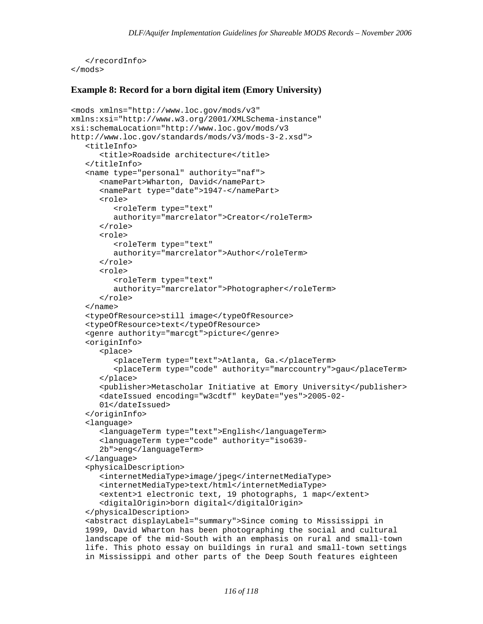```
</recordInfo>
</mods>
```
## **Example 8: Record for a born digital item (Emory University)**

```
<mods xmlns="http://www.loc.gov/mods/v3"
xmlns:xsi="http://www.w3.org/2001/XMLSchema-instance"
xsi:schemaLocation="http://www.loc.gov/mods/v3 
http://www.loc.gov/standards/mods/v3/mods-3-2.xsd">
   <titleInfo>
      <title>Roadside architecture</title>
   </titleInfo>
   <name type="personal" authority="naf">
      <namePart>Wharton, David</namePart>
      <namePart type="date">1947-</namePart>
      <role>
         <roleTerm type="text" 
         authority="marcrelator">Creator</roleTerm>
      </role>
      <role>
         <roleTerm type="text" 
         authority="marcrelator">Author</roleTerm>
      </role>
      <role>
         <roleTerm type="text" 
         authority="marcrelator">Photographer</roleTerm>
      </role>
   \epsilon/names
   <typeOfResource>still image</typeOfResource>
   <typeOfResource>text</typeOfResource>
   <genre authority="marcgt">picture</genre>
   <originInfo>
      <place>
         <placeTerm type="text">Atlanta, Ga.</placeTerm>
         <placeTerm type="code" authority="marccountry">gau</placeTerm>
      </place>
      <publisher>Metascholar Initiative at Emory University</publisher>
      <dateIssued encoding="w3cdtf" keyDate="yes">2005-02-
      01</dateIssued>
   </originInfo>
   <language>
      <languageTerm type="text">English</languageTerm>
      <languageTerm type="code" authority="iso639-
      2b">eng</languageTerm>
   </language>
   <physicalDescription>
      <internetMediaType>image/jpeg</internetMediaType>
      <internetMediaType>text/html</internetMediaType>
      <extent>1 electronic text, 19 photographs, 1 map</extent>
      <digitalOrigin>born digital</digitalOrigin>
   </physicalDescription>
   <abstract displayLabel="summary">Since coming to Mississippi in 
   1999, David Wharton has been photographing the social and cultural 
   landscape of the mid-South with an emphasis on rural and small-town 
   life. This photo essay on buildings in rural and small-town settings 
   in Mississippi and other parts of the Deep South features eighteen
```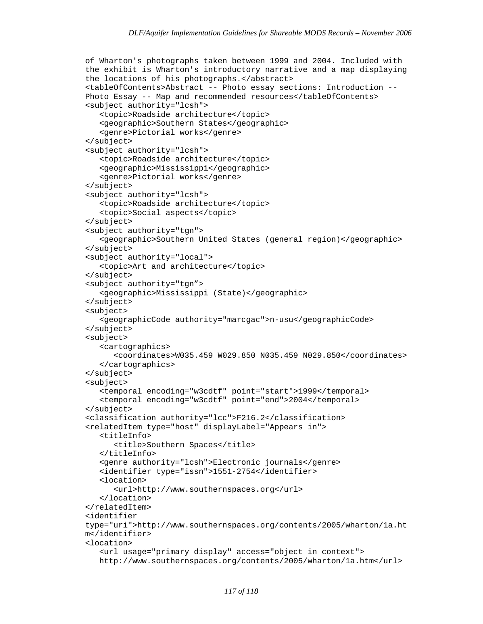```
of Wharton's photographs taken between 1999 and 2004. Included with 
the exhibit is Wharton's introductory narrative and a map displaying 
the locations of his photographs.</abstract>
<tableOfContents>Abstract -- Photo essay sections: Introduction --
Photo Essay -- Map and recommended resources</tableOfContents>
<subject authority="lcsh">
   <topic>Roadside architecture</topic>
   <geographic>Southern States</geographic>
   <genre>Pictorial works</genre>
</subject>
<subject authority="lcsh">
   <topic>Roadside architecture</topic>
   <geographic>Mississippi</geographic>
   <genre>Pictorial works</genre>
</subject>
<subject authority="lcsh">
   <topic>Roadside architecture</topic>
   <topic>Social aspects</topic>
</subject>
<subject authority="tgn">
   <geographic>Southern United States (general region)</geographic>
</subject>
<subject authority="local">
   <topic>Art and architecture</topic>
</subject>
<subject authority="tgn">
   <geographic>Mississippi (State)</geographic>
</subject>
<subject>
   <geographicCode authority="marcgac">n-usu</geographicCode>
</subject>
<subject>
   <cartographics>
      <coordinates>W035.459 W029.850 N035.459 N029.850</coordinates>
   </cartographics>
</subject>
<subject>
   <temporal encoding="w3cdtf" point="start">1999</temporal>
   <temporal encoding="w3cdtf" point="end">2004</temporal>
</subject>
<classification authority="lcc">F216.2</classification>
<relatedItem type="host" displayLabel="Appears in">
   <titleInfo>
      <title>Southern Spaces</title>
   </titleInfo>
   <genre authority="lcsh">Electronic journals</genre>
   <identifier type="issn">1551-2754</identifier>
   <location>
      <url>http://www.southernspaces.org</url>
   </location>
</relatedItem>
<identifier 
type="uri">http://www.southernspaces.org/contents/2005/wharton/1a.ht
m</identifier>
<location>
   <url usage="primary display" access="object in context">
   http://www.southernspaces.org/contents/2005/wharton/1a.htm</url>
```